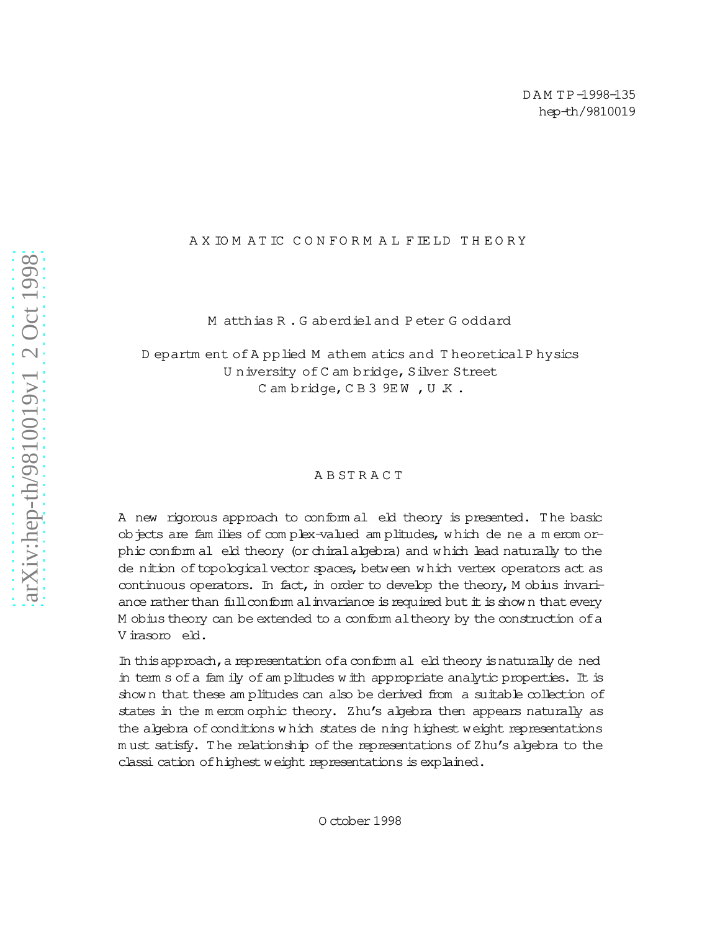## A X IO M A T IC CON FORM A L F IE LD THEORY

M atthias R .G aberdieland P eter G oddard

D epartm ent of A pplied M athem atics and T heoreticalP hysics University of C am bridge, Silver Street C am bridge, CB3 9EW, UK.

## A B ST R A C T

A new rigorous approach to conform al eld theory is presented. The basic objects are fam ilies of complex-valued amplitudes, which de ne a m erom orphic conform aleld theory (or chiralalgebra) and w hich lead naturally to the de nition of topological vector spaces, between w hich vertex operators act as continuous operators. In fact, in order to develop the theory, M obius invariance rather than full conform alinvariance is required but  $#$  is show n that every M obius theory can be extended to a conform altheory by the construction ofa V irasoro eld.

In this approach, a representation of a conform allel theory is naturally dened in term s of a fam ily of am plitudes w ith appropriate analytic properties. It is show n that these am plitudes can also be derived from a suitable collection of states in the m erom orphic theory. Zhu's algebra then appears naturally as the algebra of conditions which states de ning highest weight representations m ust satisfy. T he relationship of the representations of Zhu's algebra to the classication ofhighest weight representations is explained.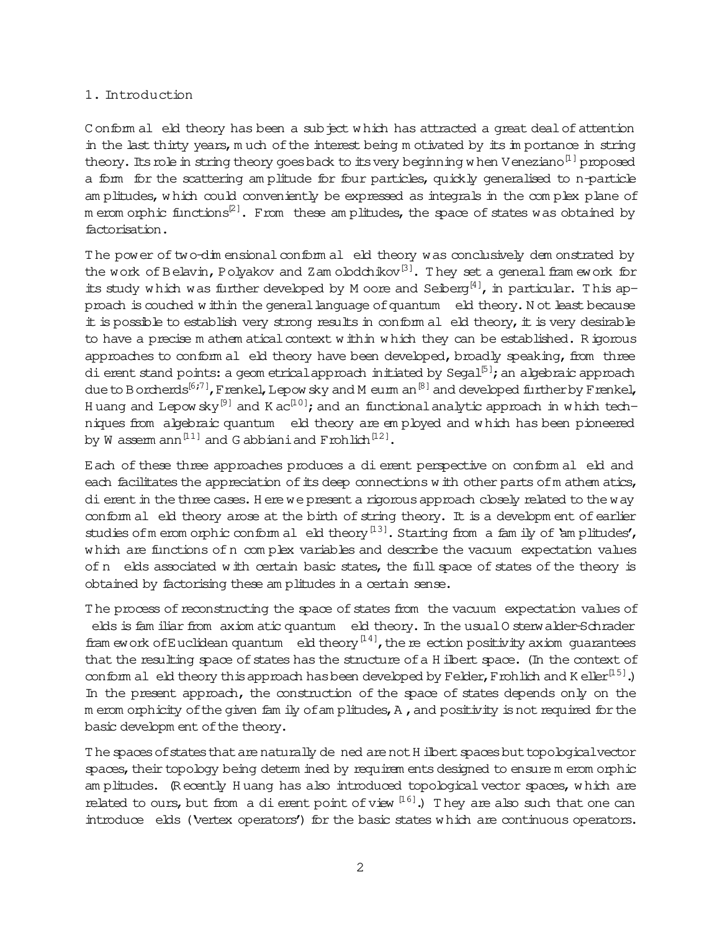# 1. Introduction

Conform al eld theory has been a subject w hich has attracted a great deal of attention in the last thirty years, much of the interest being motivated by its importance in string theory. Its role in string theory goes back to its very beginning w hen Veneziano<sup>[1]</sup> proposed a form for the scattering am plitude for four particles, quickly generalised to n-particle am plitudes, w hich could conveniently be expressed as integrals in the com plex plane of m erom orphic functions<sup>[2]</sup>. From these am plitudes, the space of states was obtained by factorisation.

The power of two-dim ensional conform al eld theory was conclusively dem onstrated by the work of Belavin, Polyakov and Zam olodchikov<sup>[3]</sup>. They set a general fram ework for its study which was further developed by M oore and Seiberg<sup>[4]</sup>, in particular. This approach is couched w ithin the general language of quantum eld theory. Not least because it is possible to establish very strong results in conform allel theory, it is very desirable to have a precise m athem atical context w ithin w hich they can be established. R igorous approaches to conform al eld theory have been developed, broadly speaking, from three dierent stand points: a geom etrical approach initiated by Segal<sup>[5]</sup>; an algebraic approach due to Borcherds<sup>[6;7]</sup>, Frenkel, Lepow sky and M eurm an<sup>[8]</sup> and developed further by Frenkel, H uang and Lepow sky<sup>[9]</sup> and K ac<sup>[10]</sup>; and an functional analytic approach in w hich techniques from algebraic quantum eld theory are em ployed and which has been pioneered by W assem ann  $[11]$  and G abbiani and Frohlich  $[12]$ .

Each of these three approaches produces a dierent perspective on conform al eld and each facilitates the appreciation of its deep connections with other parts of m athem atics, dierent in the three cases. Here we present a rigorous approach closely related to the way conform al eld theory arose at the birth of string theory. It is a developm ent of earlier studies of merom orphic conform alel theory  $[13]$ . Starting from a family of am plitudes', w hich are functions ofn com plex variables and describe the vacuum expectation values ofn elds associated w ith certain basic states, the full space of states of the theory is obtained by factorising these am plitudes in a certain sense.

The process of reconstructing the space of states from the vacuum expectation values of elds is fam iliar from axiom atic quantum eld theory. In the usual O sterwalder-Schrader fram ework of Euclidean quantum eld theory  $[14]$ , the ree ction positivity axiom quarantees that the resulting space of states has the structure of a H ilbert space. (In the context of conform aleld theory this approach has been developed by Felder, Frohlich and K eller $[15]$ .) In the present approach, the construction of the space of states depends only on the m erom orphicity of the given fam ily of am plitudes,  $A$ , and positivity is not required for the basic developm ent of the theory.

The spaces of states that are naturally de ned are not H ilbert spaces but topological vector spaces, their topology being determ ined by requirem ents designed to ensure m erom orphic am plitudes. (Recently H uang has also introduced topological vector spaces, w hich are related to ours, but from a dierent point of view  $[16]$ .) They are also such that one can introduce elds ('vertex operators') for the basic states which are continuous operators.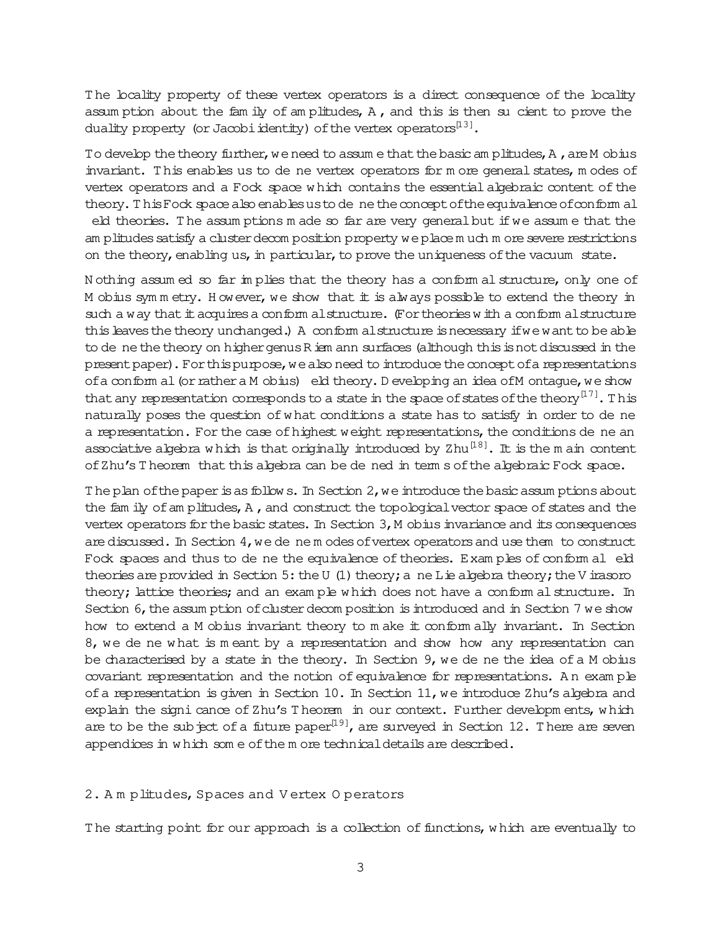The locality property of these vertex operators is a direct consequence of the locality assum ption about the fam ily of am plitudes, A , and this is then sucient to prove the duality property (or Jacobi identity) of the vertex operators $[13]$ .

To develop the theory further, we need to assum e that the basic am plitudes, A, are M obius invariant. This enables us to de ne vertex operators for m ore general states, m odes of vertex operators and a Fock space w hich contains the essential algebraic content of the theory. This Fock space also enables us to de ne the concept of the equivalence of conform al eld theories. The assum ptions m ade so far are very general but if we assum e that the am plitudes satisfy a cluster decom position property we place m uch m ore severe restrictions on the theory, enabling us, in particular, to prove the uniqueness of the vacuum state.

N othing assum ed so far im plies that the theory has a conform al structure, only one of M obius symmetry. However, we show that it is always possible to extend the theory in such a way that it acquires a conform alstructure. (For theories w ith a conform alstructure this leaves the theory unchanged.) A conform alstructure is necessary if we want to be able to denethetheory on highergenusR iem ann surfaces(although thisisnotdiscussed in the present paper). For this purpose, we also need to introduce the concept of a representations of a conform al (or rather a M obius) eld theory. D eveloping an idea of M ontague, we show that any representation corresponds to a state in the space of states of the theory<sup>[17]</sup>. This naturally poses the question of what conditions a state has to satisfy in order to de ne a representation. For the case of highest weight representations, the conditions de ne an associative algebra w hich is that originally introduced by Zhu<sup>[18]</sup>. It is the m ain content of Zhu's Theorem that this algebra can be de ned in term s of the algebraic Fock space.

The plan of the paper is as follow s. In Section 2, we introduce the basic assum ptions about the fam ily of am plitudes, A, and construct the topological vector space of states and the vertex operators for the basic states. In Section 3, M obius invariance and its consequences are discussed. In Section 4, we de nem odes of vertex operators and use them to construct Fock spaces and thus to de ne the equivalence of theories. Examples of conform al eld theories are provided in Section 5: the U (1) theory; a ne Lie algebra theory; the V irasoro theory; lattice theories; and an exam ple w hich does not have a conform alstructure. In Section 6, the assum ption of cluster decom position is introduced and in Section 7 we show how to extend a M obius invariant theory to m ake it conform ally invariant. In Section 8, we de ne what is meant by a representation and show how any representation can be characterised by a state in the theory. In Section 9, we de ne the idea of a M obius covariant representation and the notion of equivalence for representations. A n exam ple of a representation is given in Section 10. In Section 11, we introduce Zhu's algebra and explain the signi cance of Zhu's T heorem in our context. Further developm ents, which are to be the subject of a future paper<sup>[19]</sup>, are surveyed in Section 12. There are seven appendices in w hich som e of the m ore technical details are described.

## 2. A m plitudes, Spaces and V ertex O perators

The starting point for our approach is a collection of functions, which are eventually to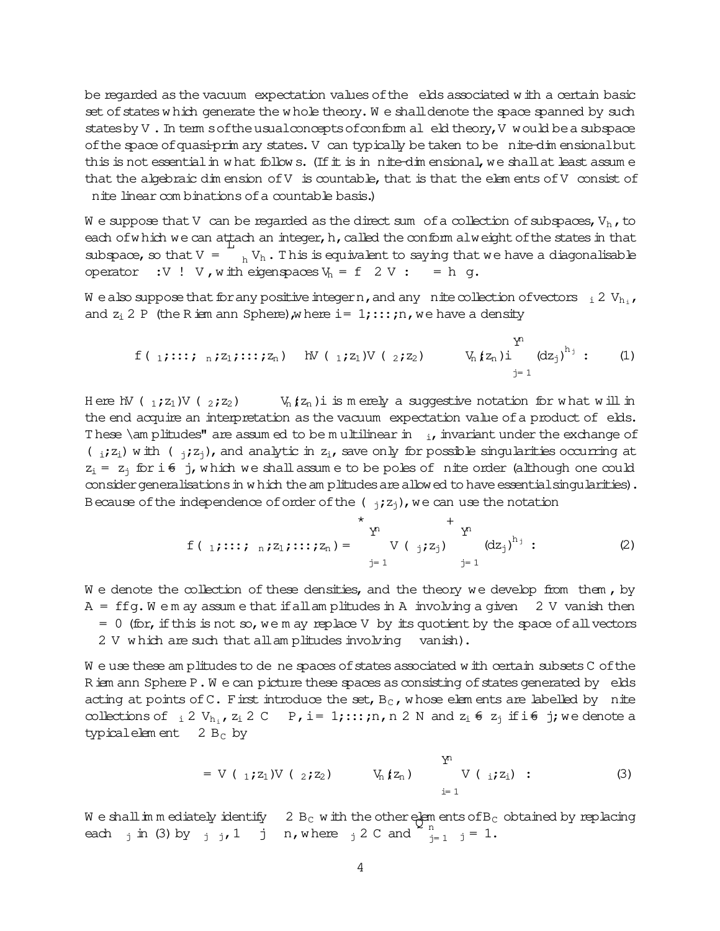be regarded as the vacuum expectation values of the elds associated with a certain basic set of states which generate the whole theory. We shall denote the space spanned by such states by V. In term softhe usual concepts of conform al eld theory, V would be a subspace of the space of quasi-prim ary states. V can typically be taken to be nite-dim ensional but this is not essential in what follows. (If it is in nite-dim ensional, we shall at least assume that the algebraic dimension of V is countable, that is that the elements of V consist of nite linear combinations of a countable basis.)

We suppose that V can be regarded as the direct sum of a collection of subspaces,  $V_{h}$ , to each of which we can attach an integer, h, called the conform alweight of the states in that subspace, so that  $V = \bigcup_{h} V_h$ . This is equivalent to saying that we have a diagonalisable operator :  $V$  !  $V$ , with eigenspaces  $V_h = f$  2  $V$  : = h g.

We also suppose that for any positive integer n, and any nite collection of vectors  $_1$  2  $V_{h_1}$ , and  $z_i$  2 P (the R ism ann Sphere), where  $i = 1, \ldots, n$ , we have a density

$$
f(\ _1;\ldots;\ _{n};z_1;\ldots;z_n)
$$
 \n $\begin{array}{ccc}\n& (z_1;z_1) \vee (z_2;z_2) & & (z_1;z_1) \vee (z_2;z_2) \\
& \downarrow & (dz_1)^{h_1} \\
& \downarrow & (1)\n\end{array}$ 

Here  $hV$  (  $_1; z_1)V$  (  $_2; z_2$  )  $V_n(z_n)$  i is merely a suggestive notation for what will in the end acquire an interpretation as the vacuum expectation value of a product of elds. These \am plitudes" are assumed to be multilinear in  $\mu$  invariant under the exchange of  $(j_1; z_1)$  with  $(j_1; z_1)$ , and analytic in  $z_1$ , save only for possible singularities occurring at  $z_i = z_i$  for  $i \in j$ , which we shall assume to be poles of nite order (although one could consider generalisations in which the am plitudes are allowed to have essential singularities). Because of the independence of order of the  $(\cdot_1; z_1)$ , we can use the notation

$$
f\left(\begin{array}{c}1;\ldots;\quad n; z_1;\ldots;z_n\end{array}\right)=\begin{array}{c}*\begin{array}{ccc}*\ & +\ & +\ & +\ & +\end{array} \\y_1\ & (dz_j)^{h_j}:\quad (2)
$$

We denote the collection of these densities, and the theory we develop from them, by  $A = ffg.$  We m ay assume that if all amplitudes in A involving a given 2 V vanish then  $= 0$  (for, if this is not so, we m ay replace V by its quotient by the space of all vectors 2 V which are such that all am plitudes involving vanish).

We use these amplitudes to de ne spaces of states associated with certain subsets C of the R iem ann Sphere P. W e can picture these spaces as consisting of states generated by elds acting at points of C. First introduce the set,  $B_C$ , whose elements are labelled by nite collections of  $_i$  2  $V_{h_i}$ ,  $z_i$  2 C P, i = 1;:::; n, n 2 N and  $z_i$   $\neq z_j$  if i  $\neq j$ ; we denote a typicalelement  $2 B<sub>c</sub>$  by

$$
= V (i_1; z_1) V (i_2; z_2) \t V_n (z_n) \t Y^n
$$
\n
$$
= V (i_1; z_1) \t (3)
$$

We shall in mediately identify 2  $B_C$  with the other elements of  $B_C$  obtained by replacing each j in (3) by  $j_{j}$ , 1 j n, where  $j_{j}$  2 C and  $\begin{bmatrix} 0 & 1 \\ 1 & 1 \end{bmatrix}$  i = 1.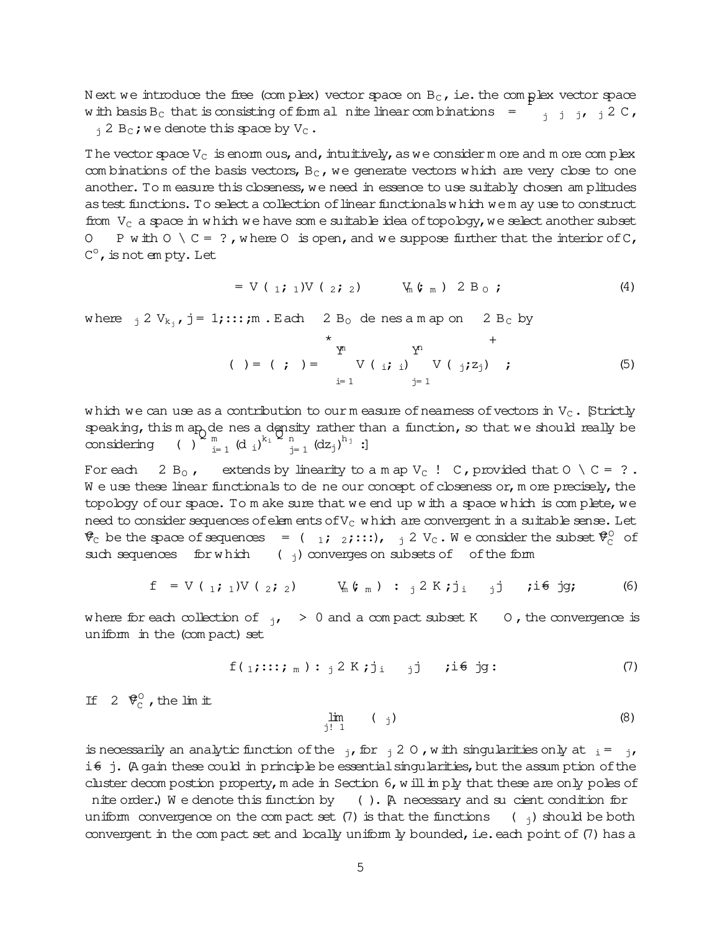N ext we introduce the free (com plex) vector space on  $B_C$  , i.e. the com plex vector space w ith basis  $B_C$  that is consisting of form al nite linear com binations =  $j$  j,  $j$  2 C,  $_1$  2 B<sub>C</sub>; we denote this space by V<sub>C</sub>.

The vector space  $V_C$  is enorm ous, and, intuitively, as we consider m ore and m ore com plex com binations of the basis vectors,  $B_C$ , we generate vectors which are very close to one another. To m easure this closeness, we need in essence to use suitably chosen am plitudes as test functions. To select a collection of linear functionals which we m ay use to construct from  $V_c$  a space in w hich we have some suitable idea of topology, we select another subset P w ith  $O \setminus C = ?$ , where  $O$  is open, and we suppose further that the interior of  $C$ ,  $C^{\circ}$ , is not em pty. Let

$$
= V (i \; i \; 1) V (i \; 2 \; i \; 2) \qquad V_m (t \; m) \; 2 B_0 \; i \qquad (4)
$$

where  $j \in \{1, \ldots, m\}$ . Each  $2 B_0$  de nes a m ap on  $2 B_c$  by

$$
(*) = (*;*) = \sum_{i=1}^{*} W (i, i) \qquad V (j, z_j) ;
$$
 (5)

w hich we can use as a contribution to our m easure of neamess of vectors in  $V_c$ . [Strictly speaking, this m ap de nes a density rather than a function, so that we should really be speaking, this map do<br>considering ( )  $\frac{m}{n}$ de nes a dens<br>  $\sum_{i=1}^{m}$  (d<sub>i</sub>)<sup>k<sub>i</sub>  $\sum_{j=1}^{n}$ </sup>  $\int_{j=1}^{n} (dz_j)^{h_j}$  :]

For each 2 B<sub>0</sub>, extends by linearity to a m ap  $V_C$  ! C, provided that  $O \setminus C = ?$ . We use these linear functionals to de ne our concept of closeness or, m ore precisely, the topology of our space. To m ake sure that we end up with a space which is complete, we need to consider sequences of elem ents of  $V_C$  w hich are convergent in a suitable sense. Let  $\mathcal{F}_C$  be the space of sequences = (  $_1; 2; \ldots$ ),  $_1$  2  $V_C$ . We consider the subset  $\mathcal{F}_C^0$  of such sequences for which  $\left(\begin{array}{cc} 1 \end{array}\right)$  converges on subsets of of the form

$$
f = V(1; 1)V(2; 2)
$$
  $V_n(r_m) : j2K; j_1 j_1 j \neq j_2;$  (6)

where for each collection of  $_{i}$ ,  $> 0$  and a compact subset K  $\sim$  0, the convergence is uniform in the (com pact) set

$$
f(\,1\text{)}::;\;;\;n\,): \;j\,2\,K\,;\;j\,i\quad j\,j\quad;\;j\,4\,\text{ is}\;j\,g:\qquad \qquad (7)
$$

If  $2 \mathcal{P}_C^0$ , the lim it

 $\lim_{j! \, 1} (j)$  (8)

is necessarily an analytic function of the  $_{j}$ , for  $_{j}$  2 O, w ith singularities only at  $_{i}$  =  $_{j}$ , i $6$  j. (A gain these could in principle be essential singularities, but the assum ption of the cluster decom postion property, m ade in Section  $6$ , w ill im ply that these are only poles of

nite order.) W e denote this function by ( ). A necessary and sucient condition for uniform convergence on the compact set  $(7)$  is that the functions  $(1)$  should be both convergent in the com pact set and locally uniform ly bounded, i.e. each point of (7) has a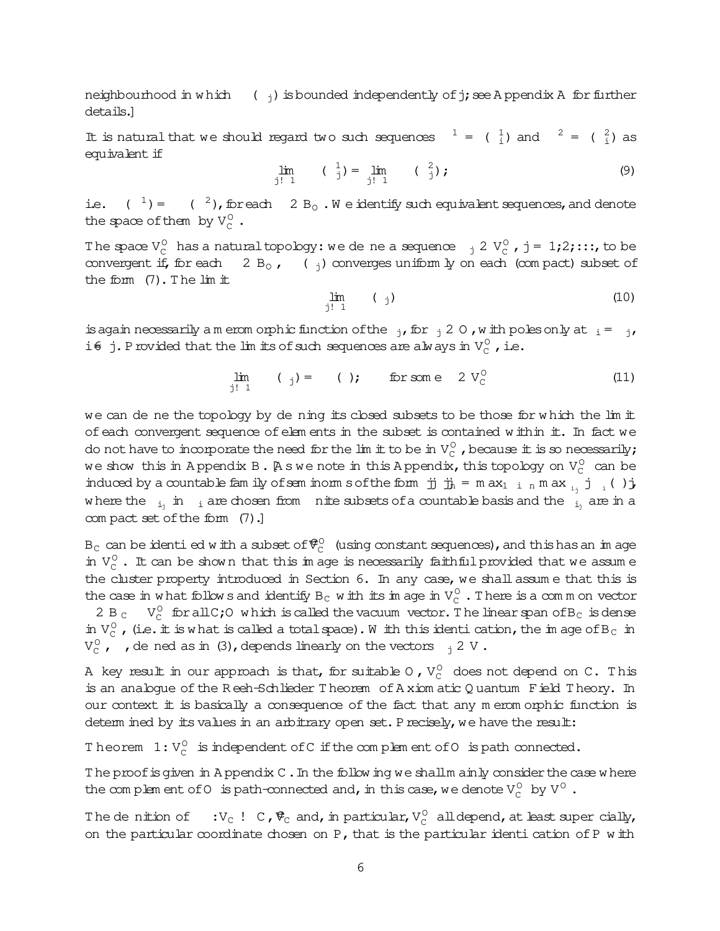neighbourhood in w hich  $\left(\begin{array}{c}1\end{array}\right)$  is bounded independently of j; see A ppendix A for further details.]

It is natural that we should regard two such sequences  $1 = {1 \choose 1}$  and  $2 = {2 \choose 1}$  as equivalent if

$$
\lim_{j! \ 1} \qquad (\frac{1}{j}) = \lim_{j! \ 1} \qquad (\frac{2}{j}) ; \qquad (9)
$$

i.e.  $(1) = (2)$ , for each  $2 B_0$ . We identify such equivalent sequences, and denote the space of them by  $V_C^0$ .

The space  $V^0_C$  has a naturaltopology: we de ne a sequence  $\frac{1}{2}$  2  $V^0_C$  , j = 1;2;::;, to be convergent if, for each 2 B<sub>0</sub>,  $($ <sub>j</sub>) converges uniform ly on each (com pact) subset of the form  $(7)$ . The lim it

$$
\lim_{j! \ 1} \qquad (-j) \qquad (10)
$$

is again necessarily amerom or phic function of the  $_{j}$ , for  $_{j}$  2 O, w ith poles only at  $_{i}$  =  $_{j}$ , i $6$  j. Provided that the lim its of such sequences are always in  $V^0_C$  , i.e.

$$
\lim_{j! \ 1} \ (j) = \ (j); \quad \text{for some} \ 2 \ V_C^{\circ} \tag{11}
$$

we can de ne the topology by de ning its closed subsets to be those for which the lim it of each convergent sequence of elem ents in the subset is contained w ithin it. In fact we do not have to incorporate the need for the lim it to be in  $\rm V_{C}^{O}$  , because it is so necessarily; we show this in Appendix B . As we note in this Appendix, this topology on  $\rm V_{C}^{O}$  can be induced by a countable family of seminorm s of the form  $j$   $j$   $j$  =  $m$  ax<sub>1</sub>  $j$   $n$   $m$  ax  $_{i_j}$   $j$   $_{i}$  ( )  $j$ where the  $i_1$  in i are chosen from nite subsets of a countable basis and the  $i_1$  are in a com pact set of the form  $(7)$ .]

B $_{\rm C}$  can be identi ed w ith a subset of  $\mathfrak{F}^{\rm O}_{\rm C}$  (using constant sequences), and this has an im age in  $V_C^O$  . It can be shown that this image is necessarily faithful provided that we assume the cluster property introduced in Section 6. In any case, we shall assume that this is the case in what follows and identify  $B_C$  with its image in  $V_C^O$  . There is a common vector 2 B  $_{\rm C}$   $\rm V_{C}^{\rm O}$  for all C;O w hich is called the vacuum vector. The linear span of B<sub>C</sub> is dense in  $V_C^O$  , (i.e. it is what is called a total space). W ith this identi cation, the im age of B<sub>C</sub> in  $V_C^0$  , , de ned as in (3), depends linearly on the vectors  $\frac{1}{12}$  2 V .

A key result in our approach is that, for suitable 0 ,  $\rm V_C^{\rm O}$  does not depend on C. This is an analogue of the Reeh-Schlieder T heorem of A xiom atic Q uantum Field T heory. In our context it is basically a consequence of the fact that any m erom orphic function is determ ined by its values in an arbitrary open set. Precisely, we have the result:

Theorem  $1: V_C^0$  is independent of C if the complem ent of O is path connected.

The proof is given in A ppendix C. In the follow ing we shall m ainly consider the case where the complem ent of 0 is path-connected and, in this case, we denote  $\rm V^O_C$  by  $\rm V^O$  .

The de nition of  $\;\;\; : \mathrm{V_C}$  ! C,  $\mathfrak{F}_\mathrm{C}$  and, in particular,  $\mathrm{V_C^\mathrm{O}}$  alldepend, at least super cially, on the particular coordinate chosen on  $P$ , that is the particular identi cation of  $P$  w ith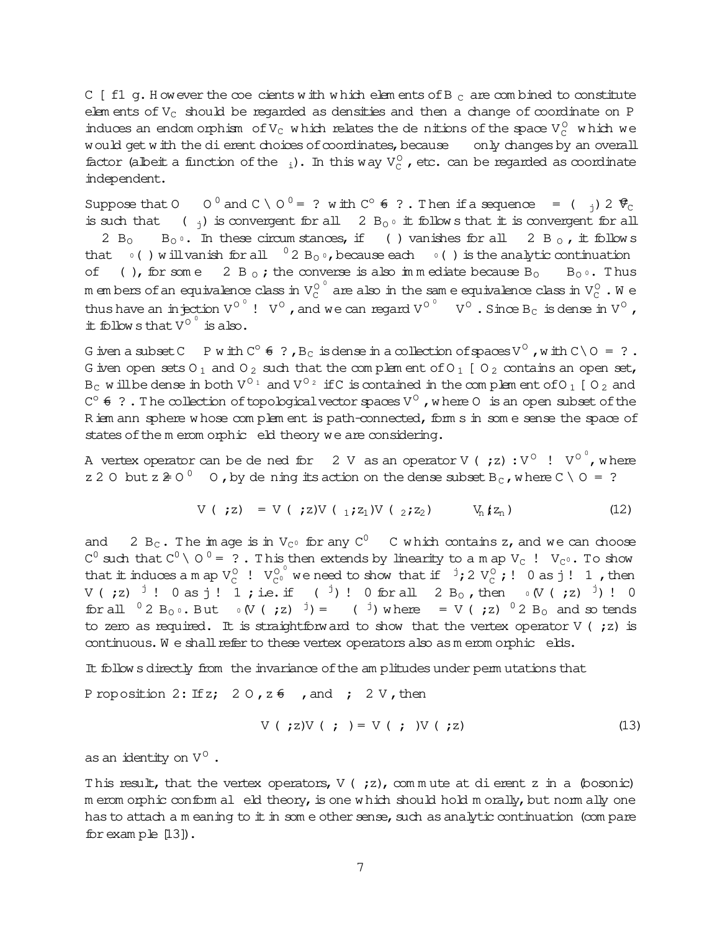C [f1 g. However the coe cients with which elements of B  $_{\rm C}$  are combined to constitute elements of  $V_C$  should be regarded as densities and then a change of coordinate on P induces an endomorphism of  $V_c$  which relates the denitions of the space  $V_c^0$  which we would get with the dierent choices of coordinates, because only changes by an overall factor (albeit a function of the  $\frac{1}{1}$ ). In this way  $V_c^0$ , etc. can be regarded as coordinate independent.

Suppose that 0 0  $^0$  and C \ 0  $^0$  = ? w ith C  $^{\circ}$   $\theta$  ? Then if a sequence = (  $_{\rm i}$ ) 2  $\mathcal{F}_{\rm C}$ is such that  $\left(\begin{array}{cc} 1 \end{array}\right)$  is convergent for all 2 B<sub>0</sub>  $\circ$  it follows that it is convergent for all 2  $B_0$  $B_0$ . In these circum stances, if () vanishes for all 2 B<sub>0</sub>, it follows that  $\circ$  () will vanish for all  $\circ$  2 B<sub>0</sub> $\circ$ , because each  $\circ$  () is the analytic continuation of (), for some 2 B<sub>0</sub>; the converse is also immediate because B<sub>0</sub> B<sub>0</sub><sup>0</sup>. Thus m embers of an equivalence class in  $V_C^{0}$  are also in the same equivalence class in  $V_C^0$ . We thus have an injection  $V^0$  '!  $V^0$ , and we can regard  $V^0$   $V^0$ . Since B<sub>c</sub> is dense in  $V^0$ , it follows that  $V^{\circ}$  is also.

G iven a subset C P with  $C^{\circ}$   $\theta$  ?,  $B_C$  is dense in a collection of spaces  $V^{\circ}$ , with  $C \setminus O = ?$ . G iven open sets  $0_1$  and  $0_2$  such that the complement of  $0_1$  [  $0_2$  contains an open set,  $B_C$  will be dense in both  $V^{0_1}$  and  $V^{0_2}$  if C is contained in the complement of  $0_1$  [O<sub>2</sub> and  $C^{\circ}$   $\epsilon$  ? . The collection of topological vector spaces V<sup>o</sup>, where 0 is an open subset of the Riem ann sphere whose complement is path-connected, form s in some sense the space of states of the merom orphic eld theory we are considering.

A vertex operator can be de ned for 2 V as an operator V (;z):  $V^0$  !  $V^0$ , where z 2 0 but z  $\geq 0^0$  0, by de ning its action on the dense subset B<sub>C</sub>, where C \ 0 = ?

$$
V ( ;z) = V ( ;z) V ( ;z1) V ( ;z1) V ( ;z2) Vn (zn)
$$
 (12)

2 B<sub>C</sub>. The image is in  $V_{C^0}$  for any  $C^0$  C which contains z, and we can choose and C<sup>0</sup> such that C<sup>0</sup> \ O<sup>0</sup> = ?. This then extends by linearity to a m ap V<sub>c</sub> ! V<sub>C</sub><sup>0</sup>. To show that it induces a m ap  $V_C^0$  !  $V_{C^0}^{0}$  we need to show that if  $\vec{J}$ ;  $2 V_C^0$ ; ! 0 as j! 1, then V (;z) <sup>j</sup> ! 0 as j ! 1; i.e. if (<sup>j</sup>) ! 0 for all 2 B<sub>0</sub>, then  $\circ$  (V (;z) <sup>j</sup>) ! 0 for all  ${}^{0}$  2 B<sub>0</sub>  $\cdot$ . But  ${}^{0}$  (V (;z)  ${}^{j}$ ) = ( ${}^{j}$ ) where = V (;z)  ${}^{0}$  2 B<sub>0</sub> and so tends to zero as required. It is straightforward to show that the vertex operator V ( $;z)$  is continuous. We shall refer to these vertex operators also as merom orphic elds.

It follow s directly from the invariance of the am plitudes under permutations that

P roposition 2: If z;  $20, z \in$ , and ;  $2V$ , then

$$
V ( ; z) V ( ; ) = V ( ; ) V ( ; z)
$$
 (13)

as an identity on  $V^0$ .

This result, that the vertex operators,  $V($ ; z), commute at dierent z in a (bosonic) m erom orphic conform al eld theory, is one which should hold m orally, but norm ally one has to attach a m eaning to it in some other sense, such as analytic continuation (com pare for example  $[13]$ ).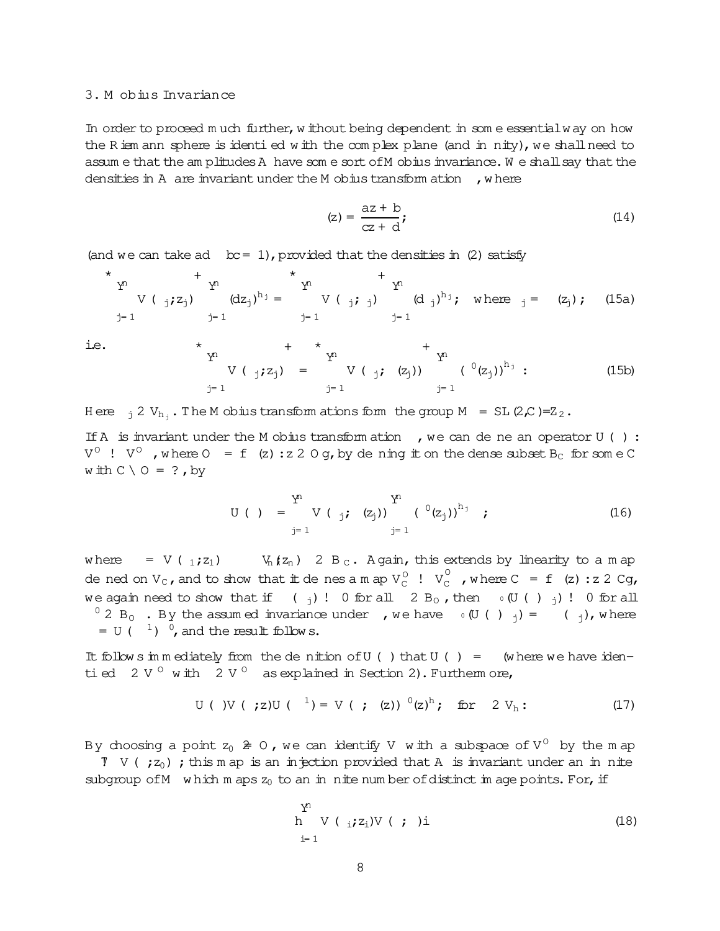#### 3. M obius Invariance

In order to proceed much further, w ithout being dependent in some essentialway on how the R iem ann sphere is identied with the complex plane (and in nity), we shall need to assum e that the am plitudes A have som e sort of M obius invariance. We shall say that the densities in A are invariant under the M obius transform ation  $\,$ , where

$$
\text{(z)} = \frac{\text{az} + \text{b}}{\text{cz} + \text{d}}; \tag{14}
$$

(and we can take ad  $bc = 1$ ), provided that the densities in (2) satisfy

\* nY j= 1 V ( <sup>j</sup>;zj) + nY j= 1 (dzj) <sup>h</sup><sup>j</sup> = \* nY j= 1 V ( <sup>j</sup>;j) + nY j= 1 (dj) <sup>h</sup><sup>j</sup> ; w here <sup>j</sup> = (zj); (15a)

 $i.e.$   $*$ 

nY j= 1 V ( <sup>j</sup>;zj) + = \* nY j= 1 V ( <sup>j</sup>; (zj)) + nY j= 1 ( <sup>0</sup>(zj))<sup>h</sup><sup>j</sup> : (15b)

H ere  $_{\rm i}$  2 V<sub>h<sub>i</sub>. The M obius transform ations form the group M = SL(2,C)=Z<sub>2</sub>.</sub>

If A is invariant under the M obius transform ation  $\,$ , we can de ne an operator U ():  $V^{\circ}$  !  $V^{\circ}$  , where  $\circ$  = f (z): z 2  $\circ$  g, by de ning it on the dense subset B<sub>C</sub> for some C w ith  $C \setminus O = ?$ , by

$$
U ( ) = \sum_{j=1}^{Y^n} V ( _{j} ; (z_j) ) \sum_{j=1}^{Y^n} ( ^{0} (z_j) )^{h_j} ; \qquad (16)
$$

where = V (  $_1$ ;z<sub>1</sub>)  $V_n$  ( $z_n$ ) 2 B  $_c$ . Again, this extends by linearity to a m ap de ned on  $V_c$ , and to show that it de nes a m ap  $V_C^0$  !  $V_C^0$  , where  $C = f$  (z):z 2 Cg, we again need to show that if  $\left(\begin{array}{cc} 1 \end{array}\right)!$  0 for all 2 B<sub>0</sub>, then  $\left(0 \left(1\right) \right)$  of  $\frac{1}{1}$  0 for all  $^{0}$  2 B<sub>0</sub> . By the assumed invariance under , we have  $^{0}$  (U ( )  $^{1}_{j}$ ) = ( $^{1}_{j}$ ), where = U ( $^{-1}$ )  $^{0}$ , and the result follows.

It follows immediately from the denition of U() that U() = (where we have identied  $2 V^0$  with  $2 V^0$  as explained in Section 2). Furtherm ore,

$$
U ( )V ( ; z)U ( ^1 ) = V ( ; (z) ) ^0 (z) ^h ; for 2 V_h : (17)
$$

By choosing a point  $z_0 \geq 0$  , we can identify V with a subspace of  $V^0$  by the map  $7 \quad V$  ( ;  $z_0$ ) ; this m ap is an injection provided that A is invariant under an in nite subgroup of M w hich m aps  $z_0$  to an in nite num ber of distinct im age points. For, if

$$
\sum_{i=1}^{Y^n} V (i \mathbf{i} z_i) V (j \mathbf{i})
$$
 (18)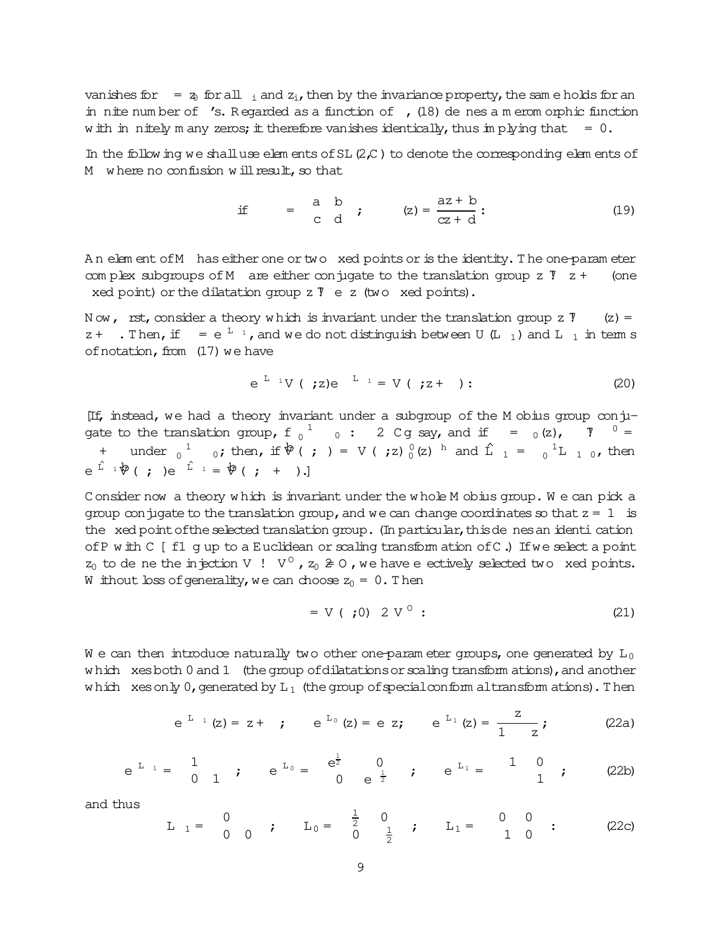vanishes for =  $z_0$  for all  $\tau_1$  and  $z_1$ , then by the invariance property, the same holds for an in nite number of  $\prime$ s. Regarded as a function of , (18) de nes a m erom orphic function w ith in nitely m any zeros; it therefore vanishes identically, thus implying that  $= 0$ .

In the follow ing we shall use elements of SL  $(2,C)$  to denote the corresponding elements of M where no confusion will result, so that

if 
$$
=
$$
  $\begin{pmatrix} a & b \\ c & d \end{pmatrix}$ ;  $(z) = \frac{az + b}{cz + d}$ ; (19)

An element of M has either one or two xed points or is the identity. The one-param eter com plex subgroups of M are either conjugate to the translation group  $z \overline{y} + z +$ (one xed point) or the dilatation group  $z \overline{z}$  e z (two xed points).

Now, rst, consider a theory which is invariant under the translation group  $\mathbb Z$   $\mathbb T$  $(z) =$ z + . Then, if  $= e^{-L}$ , and we do not distinguish between U(L<sub>1</sub>) and L<sub>1</sub> in term s of notation, from (17) we have

$$
e^{L_{1}} V ( ; z)e^{-L_{1}} = V ( ; z + ):
$$
 (20)

[If, instead, we had a theory invariant under a subgroup of the M obius group conjugate to the translation group, f  $_0^1$  0: 2 Cg say, and if =  $_0$ (z),  $\frac{1}{2}$   $\frac{1}{2}$  = + under  $_0^1$  0; then, if  $\oint ($ ;  $) = V ($ ; z)  $_0^0 (z)$  <sup>h</sup> and  $\hat{L}$ <sub>1</sub> =  $_0^1 L$ <sub>10</sub>, then  $e^{ \hat{L} i \hat{\phi}} ( ; )e^{ \hat{L} i = \hat{\phi} ( ; + )}.$ 

Consider now a theory which is invariant under the whole M obius group. We can pick a group conjugate to the translation group, and we can change coordinates so that  $z = 1$  is the xed point of the selected translation group. (In particular, this de nes an identication of P with C [f1 g up to a Euclidean or scaling transform ation of C.) If we select a point  $z_0$  to de ne the injection V !  $V^0$ ,  $z_0 \ge 0$ , we have e ectively selected two xed points. W ithout loss of generality, we can choose  $z_0 = 0$ . Then

$$
= V (.; 0) 2 Vo :
$$
 (21)

We can then introduce naturally two other one-parameter groups, one generated by  $L_0$ which  $x$ es both 0 and 1 (the group of dilatations or scaling transform ations), and another which xesonly 0, generated by  $L_1$  (the group of special conform altransform ations). Then

$$
e^{L_{1}}(z) = z +
$$
;  $e^{L_{0}}(z) = e z$ ;  $e^{L_{1}}(z) = \frac{z}{1 - z}$ ; (22a)

$$
e^{L_{1}} = \begin{pmatrix} 1 \\ 0 & 1 \end{pmatrix}
$$
,  $e^{L_{0}} = \begin{pmatrix} e^{\frac{1}{2}} & 0 \\ 0 & e^{-\frac{1}{2}} \end{pmatrix}$ ,  $e^{L_{1}} = \begin{pmatrix} 1 & 0 \\ 1 & 1 \end{pmatrix}$  (22b)

and thus

$$
L_{1} = \begin{array}{ccccc} 0 & 0 & 0 \\ 0 & 0 & 0 \end{array}
$$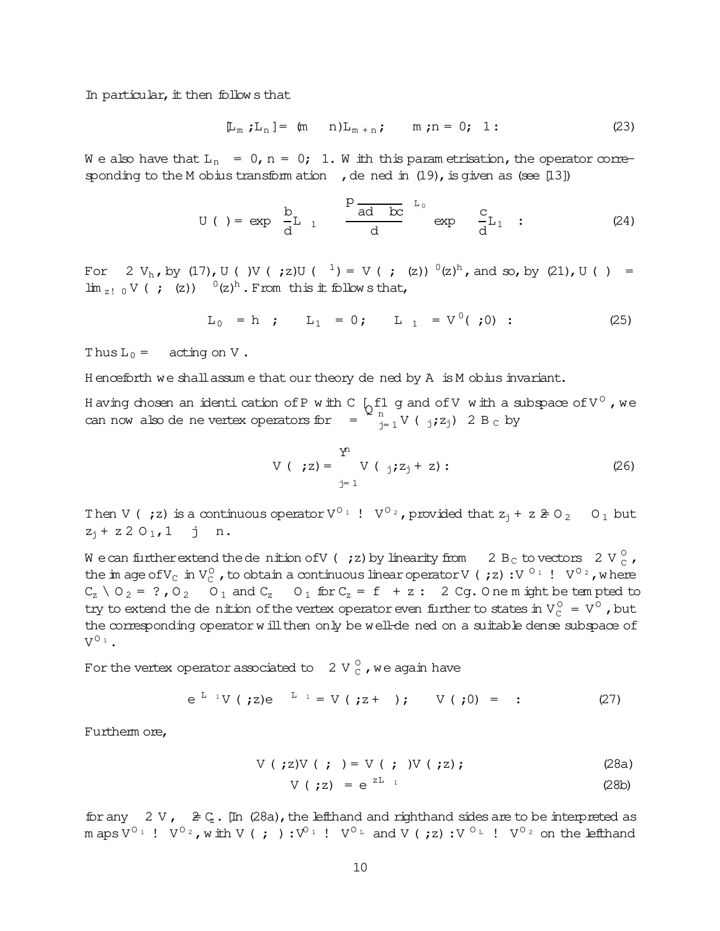In particular, it then follows that

$$
[L_m;L_n] = (m \t n)L_{m+n}; \t m;n = 0; 1: \t (23)
$$

We also have that  $L_n = 0$ ,  $n = 0$ ; 1. W ith this parametrisation, the operator corresponding to the M obius transform ation , de ned in  $(19)$ , is given as (see [13])

$$
U \text{ } (\ ) = \exp \left( \frac{b}{d} L \right) \qquad \frac{P \frac{d}{d} k}{d} \qquad \exp \left( \frac{c}{d} L_1 \right) \qquad (24)
$$

For 2  $V_h$ , by (17), U ( )V (;z)U ( <sup>1</sup>) = V (; (z))  $(2)^h$ , and so, by (21), U ( ) =  $\lim_{z \to 0} V$  (; (z))  $(2)^h$ . From this it follows that,

$$
L_0 = h
$$
;  $L_1 = 0$ ;  $L_1 = V^0$  (0) : (25)

Thus  $L_0 = \arctan \theta$  on V.

Henceforth we shall assume that our theory dened by A is M obius invariant.

H aving chosen an identication of P with C  $\int_{p=1}^{1}$  J and of V with a subspace of V<sup>o</sup>, we can now also de ne vertex operators for  $\int_{p=1}^{1}$ V ( $\int_{p=1}^{1}$ V ( $\int_{p=1}^{1}$ V ( $\int_{p=1}^{1}$ V ( $\int_{p=1}^{1}$ V ( $\int_{p=1}^{1}$ 

$$
V ( ; z) = \begin{cases} Y^{1} & \text{if } z_{j} + z \\ y = 1 & \text{if } z \leq z_{j} + z \end{cases}
$$
 (26)

Then V (; z) is a continuous operator  $V^{0_1}$  !  $V^{0_2}$ , provided that  $z_1 + z \ge 0_2$  0 1 but  $z_1 + z \, 2 \, 0 \, 1, 1 \, j \, n.$ 

We can further extend the denition of V (; z) by linearity from 2 B<sub>c</sub> to vectors 2 V  $_{c}^{0}$ , the in age of  $V_c$  in  $V_c^0$ , to obtain a continuous linear operator V (;z):  $V^{0_1}$  !  $V^{0_2}$ , where  $C_z \setminus O_2 = ?$ ,  $O_2$   $O_1$  and  $C_z$   $O_1$  for  $C_z = f + z$ : 2  $Cg$ . One m ight be tem pted to try to extend the de nition of the vertex operator even further to states in  $V_c^0 = V^0$ , but the corresponding operator will then only be well-de ned on a suitable dense subspace of  $V^{O_1}$ .

For the vertex operator associated to  $2 \text{V}^{\circ}_{c}$ , we again have

$$
e^{-L} V (7Z)e^{-L} = V (7Z + T)
$$
;  $V (70) =$  : (27)

Furthem ore,

$$
V ( ; z) V ( ; ) = V ( ; ) V ( ; z) ; \qquad (28a)
$$

$$
V ( ;z) = e2L 1
$$
 (28b)

for any 2 V,  $\geq \mathbb{C}$ . [In (28a), the lefthand and righthand sides are to be interpreted as m aps  $V^{0_{1}}$  !  $V^{0_{2}}$ , with V (; ): $V^{0_{1}}$  !  $V^{0_{L}}$  and V (; z): $V^{0_{L}}$  !  $V^{0_{2}}$  on the lefthand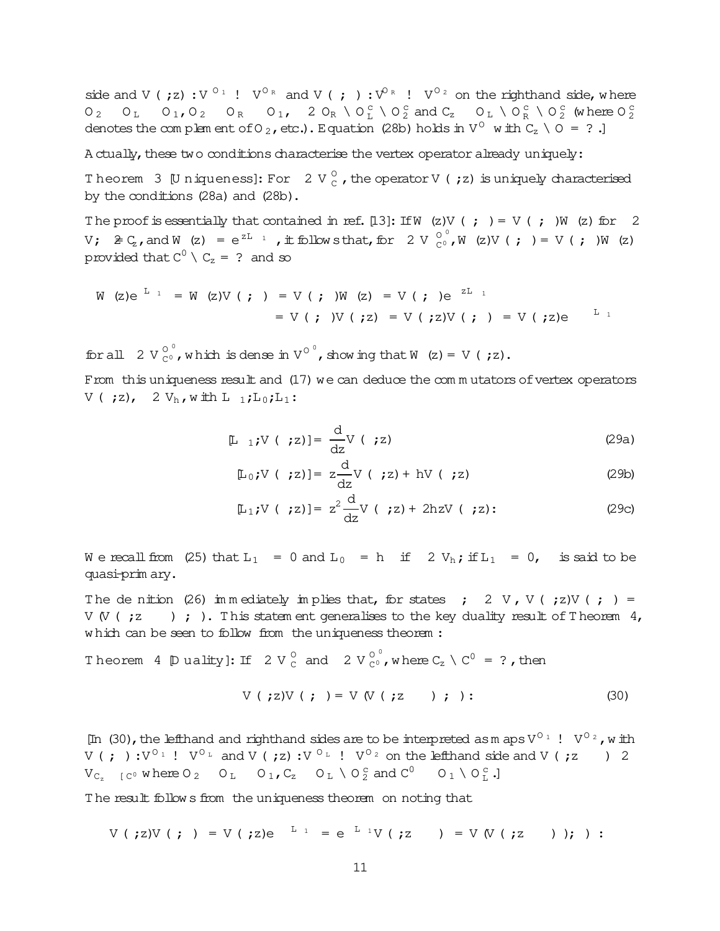side and V (; z) :  $V^{0}$ <sup>1</sup> !  $V^{0}$ <sup>R</sup> and V (; ) :  $V^{0}$ <sup>R</sup> !  $V^{0}$ <sup>2</sup> on the righthand side, where O <sup>2</sup> O <sup>L</sup> O <sup>1</sup>,O <sup>2</sup> O <sup>R</sup> O <sup>1</sup>, 2 O<sup>R</sup> \ O <sup>c</sup> <sup>L</sup> \ O <sup>c</sup> <sup>2</sup> and C<sup>z</sup> O <sup>L</sup> \ O <sup>c</sup> <sup>R</sup> \ O <sup>c</sup> <sup>2</sup> (w here O c 2 denotes the complem ent of O<sub>2</sub>, etc.). Equation (28b) holds in  $V^{\circ}$  with  $C_z \setminus 0 = ?$ .

A ctually, these two conditions characterise the vertex operator already uniquely:

Theorem 3 [U niqueness]: For 2 V  $^{\circ}_{\rm c}$  , the operator V (; z) is uniquely characterised by the conditions (28a) and (28b).

The proof is essentially that contained in ref. [13]: If W (z)V (;) = V (;)W (z) for 2  $V$ ;  $\hat{z} \in C_z$ , and  $W$  (z) =  $e^{zL}$  ,  $\hat{z}$  to  $\hat{z}$  that, for 2 V  $C^0$ ,  $W$  (z)  $V$  (;  $V$  =  $V$  (;  $W$  (z) provided that  $C^0 \setminus C_z = ?$  and so

W (z)e L <sup>1</sup> = W (z)V (;) = V (;)W (z) = V (;)e zL 1 = V (;)V ( ;z) = V ( ;z)V (;) = V ( ;z)e L 1

for all  $2 V_{C^0}^{O^0}$ , which is dense in  $V^{O^0}$ , show ing that W (z) = V (;z).

From this uniqueness result and  $(17)$  we can deduce the commutators of vertex operators V (  $;z$ ), 2  $V_h$ , w ith L  $_1;L_0;L_1$ :

$$
\mathbb{L} \quad \mathbf{1} \mathbf{y} \quad (\mathbf{z}) = \frac{\mathbf{d}}{\mathbf{dz}} \mathbf{V} \quad (\mathbf{z}) \tag{29a}
$$

$$
[\mathbb{L}_0; V \quad (z)] = z \frac{d}{dz} V \quad (z) + hV \quad (z)
$$
 (29b)

$$
[L_1; V \; ( ;z)] = z^2 \frac{d}{dz} V \; ( ;z) + 2hzV \; ( ;z): \tag{29c}
$$

We recall from (25) that  $L_1 = 0$  and  $L_0 = h$  if  $2 V_h$ ; if  $L_1 = 0$ , is said to be quasi-prim ary.

The de nition (26) immediately implies that, for states ; 2 V, V (;z)V (;) = V  $(V ( ; z )$ ; ); This statem ent generalises to the key duality result of T heorem 4, w hich can be seen to follow from the uniqueness theorem :

Theorem 4  $\mathbb D$  uality]: If 2 V  $_{\rm C}^{\rm O}$  and 2 V  $_{\rm C}^{\rm O}$ , where  ${\rm C_z} \setminus$  C $^{\rm O}$  = ?, then

$$
V ( ; z) V ( ; ) = V ( V ( ; z ) ; )
$$
 (30)

[In (30), the lefthand and righthand sides are to be interpreted as m aps  $V^{0}$ <sup>1</sup> !  $V^{0}$ <sup>2</sup>, with V ( ; )  $:V^{\circ}$   $:$   $V^{\circ}$   $\cdot$  and V ( ;z)  $:V^{\circ}$   $\cdot$   $:$   $V^{\circ}$   $\cdot$  on the lefthand side and V ( ;z ) 2  $V_{C_z}$  <sub>[C</sub><sup>o</sup> w here O<sub>2</sub> O<sub>L</sub> O<sub>1</sub>, C<sub>z</sub> O<sub>L</sub> \ O<sub>2</sub><sup>C</sup> and C<sup>0</sup> O<sub>1</sub> \ O<sub>L</sub><sup>C</sup><sub>L</sub></sub>]

T he result follow s from the uniqueness theorem on noting that

 $V ( ; z) V ( ; ) = V ( ; z) e^{-L_1} = e^{-L_1} V ( ; z ) = V ( V ( ; z ) )$ ;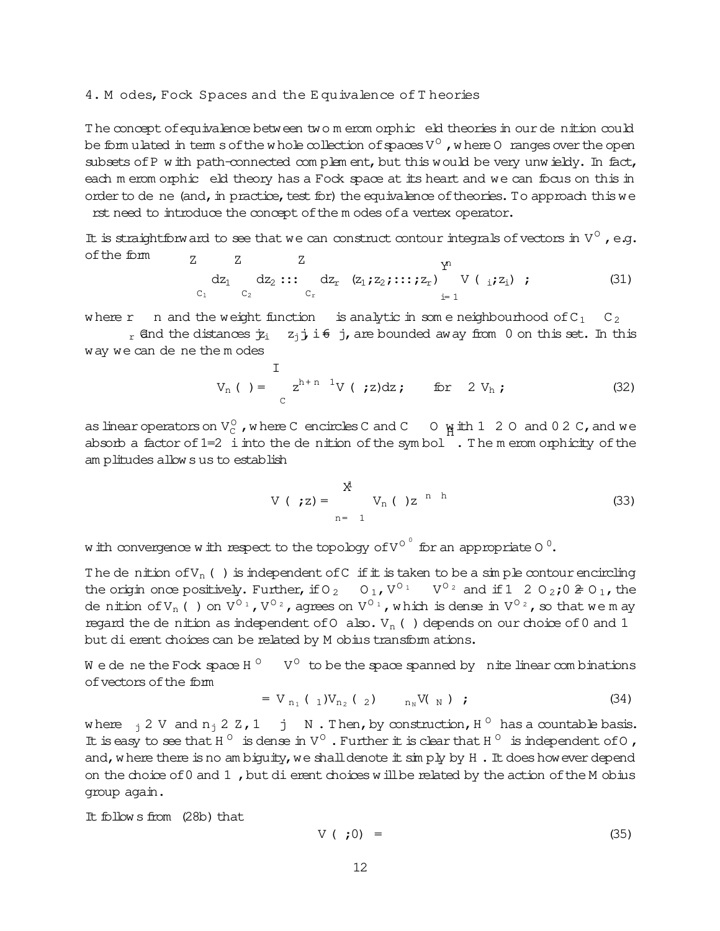## 4. M odes, Fock Spaces and the Equivalence of Theories

The concept of equivalence between two merom orphic eld theories in our de nition could be form ulated in term s of the whole collection of spaces  $V^0$ , where 0 ranges over the open subsets of P with path-connected complement, but this would be very unwieldy. In fact, each meromorphic eld theory has a Fock space at its heart and we can focus on this in order to de ne (and, in practice, test for) the equivalence of theories. To approach this we rst need to introduce the concept of the m odes of a vertex operator.

It is straightforward to see that we can construct contour integrals of vectors in  $V^0$  , e.g. of the form  $\overline{z}$  $\overline{z}$ 

where r n and the weight function is analytic in some neighbourhood of  $C_1$   $C_2$ 

r and the distances  $\dot{\mathcal{F}}_i$   $z_i$   $\dot{\mathcal{F}}_i$  i  $\dot{\mathcal{F}}_i$  are bounded away from 0 on this set. In this way we can de ne the m odes

$$
V_n ( ) = \int_{C}^{L} z^{h+n-1} V ( ;z) dz ; \quad \text{for} \quad 2 V_h ; \tag{32}
$$

as linear operators on  $V_C^0$ , where C encircles C and C  $\quad$  O  $\mu$  ith 1 2 O and 0 2 C, and we absorb a factor of  $1=2$  into the denition of the symbol. The merom or phicity of the am plitudes allow s us to establish

$$
V ( ; z) = \sum_{n = 1}^{x^{\frac{1}{2}}} V_n ( ) z^{n} h
$$
 (33)

w ith convergence w ith respect to the topology of  $V^0$  for an appropriate 0  $^0$ .

The dention of  $V_n$  () is independent of C if it is taken to be a simple contour encircling the origin once positively. Further, if  $0_2$  0,  $V^{0_1}$   $V^{0_2}$  and if 1 2 0,  $0_2$ ; 0  $\geq 0_1$ , the de nition of  $V_n$  () on  $V^{0_1}$ ,  $V^{0_2}$ , agrees on  $V^{0_1}$ , which is dense in  $V^{0_2}$ , so that we may regard the de nition as independent of 0 also.  $V_n$  () depends on our choice of 0 and 1 but di erent choices can be related by M obius transform ations.

We de ne the Fock space H<sup>o</sup>  $V^0$  to be the space spanned by nite linear combinations of vectors of the form

$$
= V_{n_1} (1) V_{n_2} (2) \t n_N V(N) ; \t (34)
$$

where  $\frac{1}{1}$  2 V and  $n_1$  2 Z, 1 j N. Then, by construction, H<sup>o</sup> has a countable basis. It is easy to see that H<sup>o</sup> is dense in  $V^0$ . Further it is clear that H<sup>o</sup> is independent of O, and, where there is no am biquity, we shall denote it  $\sin p$  by  $H$ . It does how ever depend on the choice of 0 and 1, but dierent choices will be related by the action of the M obius group again.

It follows from (28b) that

$$
V(\cdot;0) = (35)
$$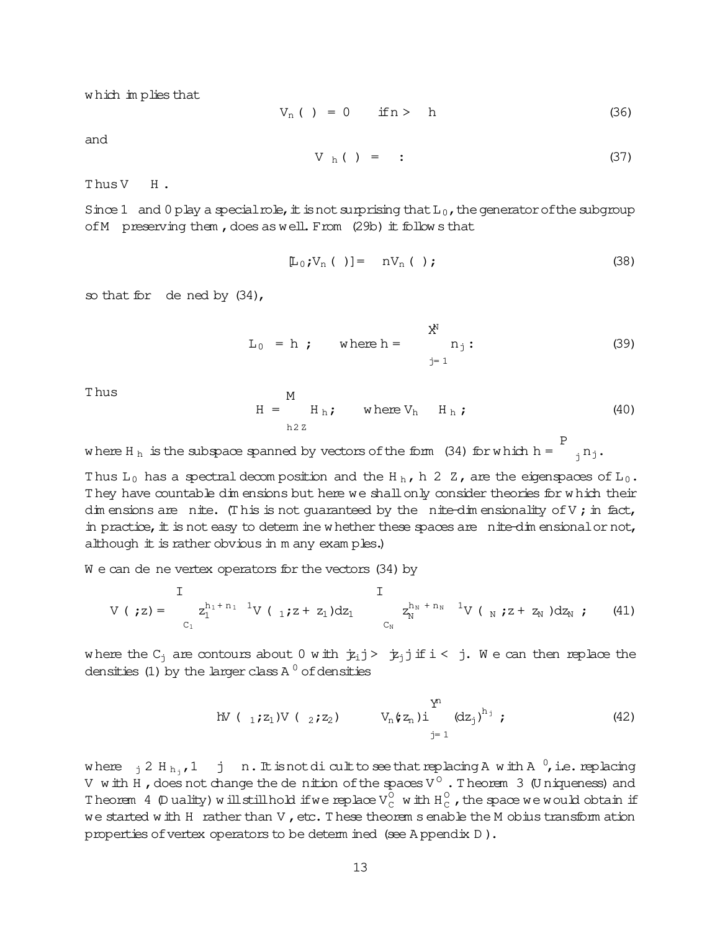which implies that

$$
V_n \t= 0 \tiff n > h \t(36)
$$

and

$$
V_h() = : \t\t(37)
$$

Thus V H .

Since 1 and 0 play a special role, it is not surprising that  $L_0$ , the generator of the subgroup of M preserving them, does as well. From (29b) it follows that

$$
\mathbb{L}_0 \mathbf{y}_n \quad ( ) = nV_n \quad ( ) \tag{38}
$$

so that for dened by  $(34)$ ,

$$
L_0 = h
$$
; where  $h = \begin{cases} x^N \\ n_j : \\ y = 1 \end{cases}$  (39)

Thus

$$
H = \begin{array}{c} M \\ H_h; \\ h2Z \end{array} \quad \text{where } V_h \quad H_h; \tag{40}
$$

where H<sub>h</sub> is the subspace spanned by vectors of the form (34) for which h =  $\frac{P}{i}n_j$ .

Thus  $L_0$  has a spectral decomposition and the H<sub>h</sub>, h 2 Z, are the eigenspaces of  $L_0$ . They have countable dim ensions but here we shall only consider theories for which their dim ensions are nite. (This is not quaranteed by the nite-dim ensionality of V; in fact, in practice, it is not easy to determ ine whether these spaces are nite-dim ensional or not, although it is rather obvious in m any exam ples.)

We can de ne vertex operators for the vectors (34) by

$$
V ( ; z) = \sum_{C_1}^{L_1 + n_1} \frac{1}{2} V ( _1 ; z + z_1) dz_1 \qquad \qquad \frac{1}{2} \sum_{C_N}^{L_N + n_N} \frac{1}{2} V ( _N ; z + z_N) dz_N ; \qquad (41)
$$

where the C<sub>i</sub> are contours about 0 with  $\dot{x}_i$   $\dot{y}_i$  if  $i < j$ . We can then replace the densities (1) by the larger class  $A^0$  of densities

$$
W (i_1; z_1) V (j_2; z_2) \t V_n(z_n) i (dz_j)^{h_j}; \t(42)
$$

where  $\frac{1}{1}$  2 H<sub>h<sub>1</sub></sub>, 1 j n. It is not dieut to see that replacing A with A<sup>0</sup>, i.e. replacing V with H, does not change the de nition of the spaces  $V^{\circ}$ . Theorem 3 (Uniqueness) and Theorem 4  $\emptyset$  uality) will still hold if we replace  $V_C^0$  with  $H_C^0$ , the space we would obtain if we started with H rather than V, etc. These theorem s enable the M obius transform ation properties of vertex operators to be determined (see Appendix D).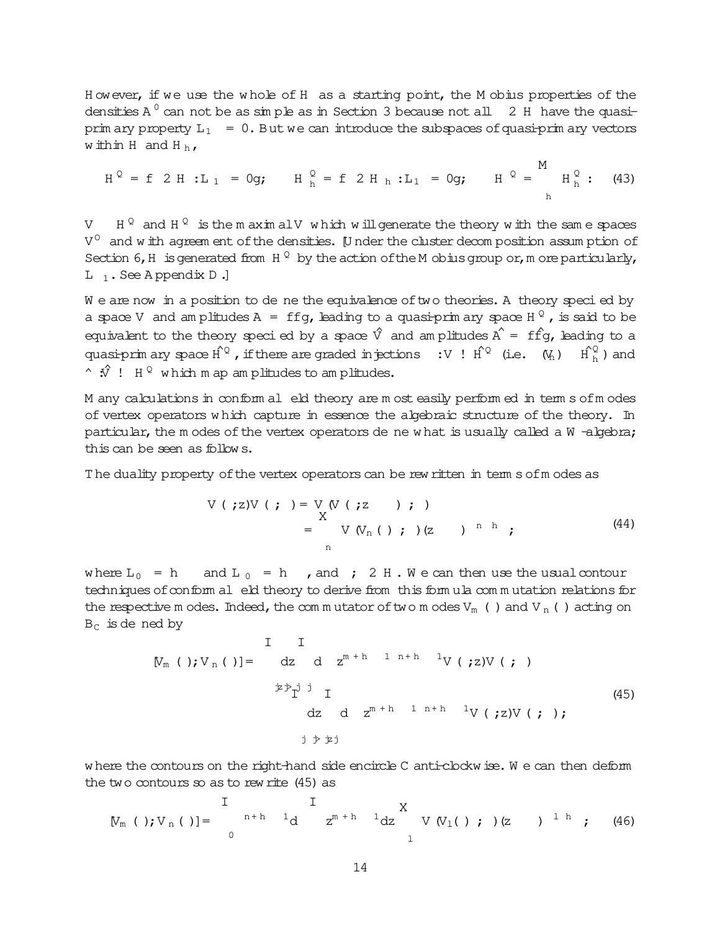H owever, if we use the whole of H as a starting point, the M obius properties of the densities A  $^0$  can not be as simple as in Section 3 because not all  $\;$  2 H have the quasiprim ary property  $L_1 = 0$ . But we can introduce the subspaces of quasi-prim ary vectors w ithin H and  $H_h$ ,

$$
H^Q = f \ 2 H : L_1 = 0
$$
g;  $H_h^Q = f \ 2 H_h : L_1 = 0$ g;  $H^Q = \begin{bmatrix} M \\ H_h^Q \\ h \end{bmatrix}$  (43)

V  $\,$  H  $\,^\circ$  and H  $\,^\circ$  is the m axim alV w hich will generate the theory with the same spaces  $\rm V^{\circ}~$  and w ith agreem ent of the densities. [U nder the cluster decom position assum ption of Section 6, H is generated from H  $^{\circ}$  by the action of the M obius group or, m ore particularly,  $L_1$ . See A ppendix D.]

We are now in a position to de ne the equivalence of two theories. A theory specied by a space V and am plitudes A = ffg, leading to a quasi-primary space H  $^{\circ}$  , is said to be equivalent to the theory specied by a space  $\hat{V}$  and am plitudes  $\hat{A} = f\hat{f}g$ , leading to a quasi-prim ary space  $H^Q$  , if there are graded in jections  $\;$  :V !  $\hat{H}^Q$  (i.e.  $\;$  (V<sub>h</sub>)  $\;$   $\;$  H $^Q$ <sub>h</sub>) and  $\hat{v}$  : H  $\Omega$  w hich m ap am plitudes to am plitudes.

M any calculations in conform al eld theory are m ost easily perform ed in term s of m odes of vertex operators w hich capture in essence the algebraic structure of the theory. In particular, the m odes of the vertex operators de ne w hat is usually called a W -algebra; this can be seen as follow s.

The duality property of the vertex operators can be rew ritten in term s ofm odes as

$$
V ( ; z) V ( ; ) = V ( V ( ; z ) ; )
$$
  
= V (V<sub>n</sub> ( ; ) ; ) (z )<sup>n h</sup> ; (44)

where  $L_0 = h$  and  $L_0 = h$ , and  $\gamma$  2 H. We can then use the usual contour techniques of conform al eld theory to derive from this form ula com mutation relations for the respective m odes. Indeed, the com m utator of two m odes  $V_m$  () and  $V_n$  () acting on  $B<sub>c</sub>$  is dened by

$$
[V_{m} ( ); V_{n} ( )] = \begin{cases} I & I \\ dz & dz^{m+h} \\ dz & dz^{m+h} \\ dz & dz^{m+h} \\ dz & dz^{m+h} \\ dz & dz^{m+h} \\ dz & dz^{m+h} \end{cases} (7.3)
$$
\n(45)

w here the contours on the right-hand side encircle C anti-clockw ise. We can then deform the two contours so as to rew rite (45) as

$$
[V_{m} ( ); V_{n} ( )] = \begin{bmatrix} I & I & X \\ n+h & 1 d & Z^{m+h} & 1 dZ & V (V_{1} ( ) ; ) (Z & ) & 1 & h \\ 0 & 1 & 1 & 1 & 1 \end{bmatrix}
$$
 (46)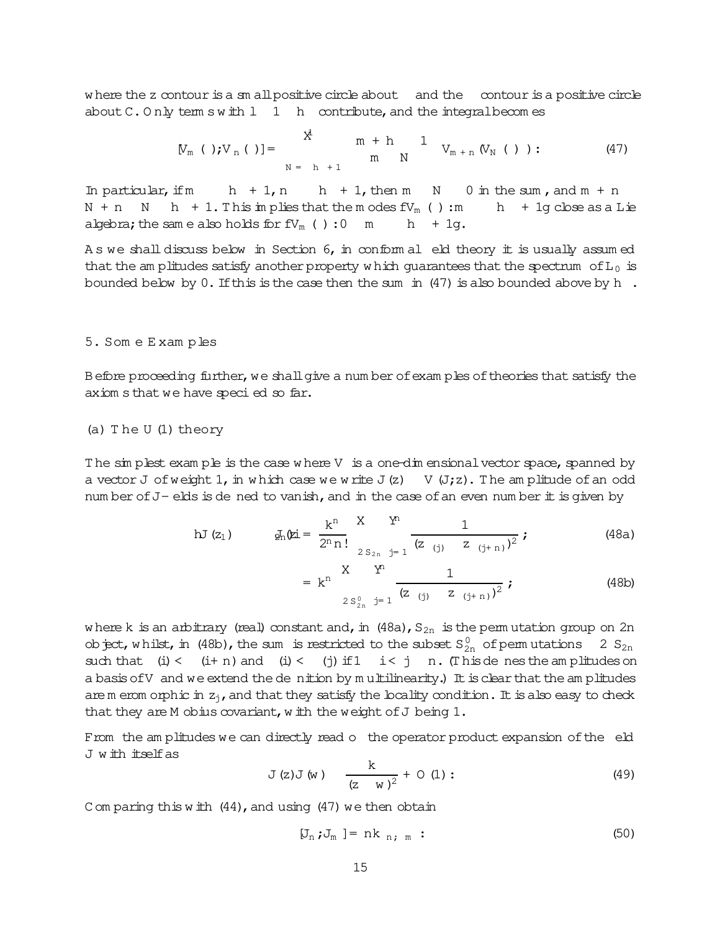w here the z contour is a sm all positive circle about and the contour is a positive circle about  $C$ . O nly term s w ith  $1 \quad 1$  h contribute, and the integral becomes

$$
[V_{m} ( );V_{n} ( )]=\frac{\dot{X}^{i}}{N^{i}} \quad m+h \quad 1 \quad V_{m+n} (V_{N} ( ) ) : \qquad (47)
$$

In particular, if  $m = h + 1$ ,  $n = h + 1$ , then  $m = N$  0 in the sum, and  $m + n$  $N + n$  N  $h + 1$ . This implies that the modes  $fV_m$  ( ): m  $h + 1g$  close as a Lie algebra; the same also holds for  $fV_m$  ( ) : 0 m h + 1g.

A s we shall discuss below in Section 6, in conform al eld theory it is usually assumed that the am plitudes satisfy another property w hich guarantees that the spectrum of  $L_0$  is bounded below by  $0$ . If this is the case then the sum in  $(47)$  is also bounded above by h.

## 5. Som e E xam ples

Before proceeding further, we shall give a num ber of exam ples of theories that satisfy the axiom sthat we have specied so far.

## (a) T he U (1) theory

The sim plest exam ple is the case where  $V$  is a one-dim ensional vector space, spanned by a vector J of weight 1, in w hich case we w rite J (z)  $V (J; z)$ . The am plitude of an odd num ber of  $J$ -elds is de ned to vanish, and in the case of an even num ber it is given by

$$
hJ(z_1) \t\t \t\t \Phi_n(\Sigma) = \frac{k^n}{2^n n!} \frac{X}{2 s_{2n}} \frac{Y^n}{(z_{(j)} - z_{(j+n)})^2};
$$
\n(48a)

$$
= k^{n} \frac{X Y^{n}}{2 S_{2n}^{0} j = 1} \frac{1}{(z_{(j)} - z_{(j+n)})^{2}} ;
$$
 (48b)

w here k is an arbitrary (real) constant and, in  $(48a)$ ,  $S_{2n}$  is the perm utation group on 2n object,whilst, in (48b), the sum is restricted to the subset  $S^0_{2n}$  of permutations  $-2\,S_{2n}$ such that (i) < (i+ n) and (i) < (j) if 1 i < j n. (T his denes the am plitudes on a basis of V and we extend the de nition by multilinearity.) It is clear that the am plitudes are m erom orphic in  $z_1$ , and that they satisfy the locality condition. It is also easy to check that they are M obius covariant, w ith the weight of J being  $1$ .

From the amplitudes we can directly read o the operator product expansion of the eld J w ith itselfas

$$
J(z)J(w)
$$
  $\frac{k}{(z-w)^2} + O(1)$ : (49)

C om paring this with  $(44)$ , and using  $(47)$  we then obtain

$$
[J_n; J_m] = nk_{n; m} : \qquad (50)
$$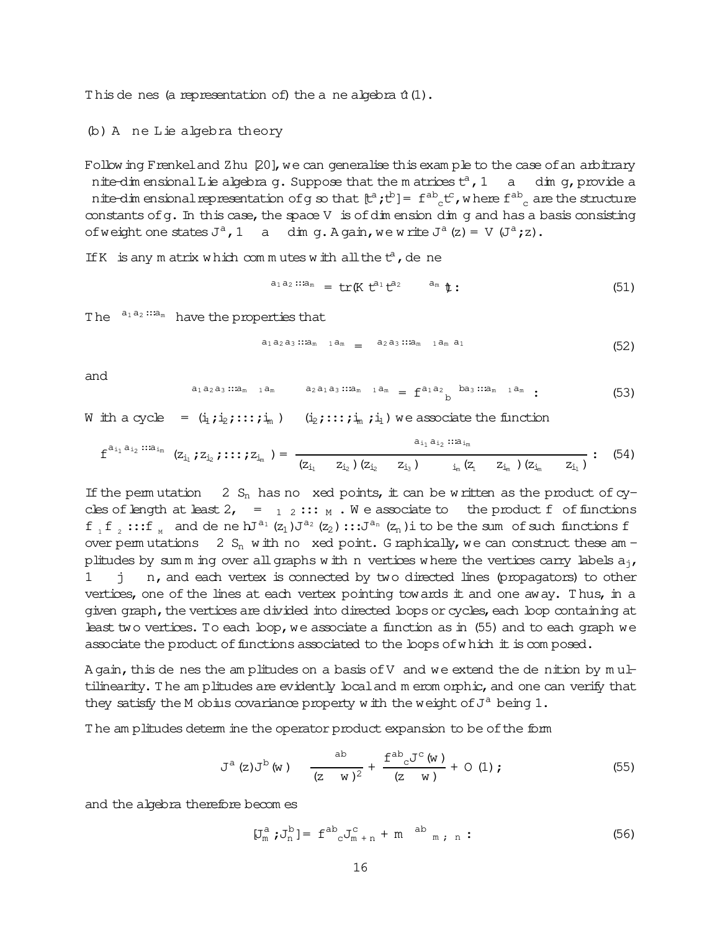This de nes (a representation of) the a ne algebra  $\hat{u}(1)$ .

(b) A ne Lie algebra theory

Follow ing Frenkel and Zhu [20], we can generalise this example to the case of an arbitrary nite-dim ensional Lie algebra q. Suppose that the m atrices  $t^a$ , 1 a dim q, provide a nite-dim ensional representation of g so that  $[t^a, t^b] = f^{ab}_{c} t^c$ , where  $f^{ab}_{c}$  are the structure constants of  $q$ . In this case, the space  $V$  is of dimension dim  $q$  and has a basis consisting of weight one states  $J^a$ , 1 a dim g. Again, we write  $J^a$  (z) = V ( $J^a$ ; z).

If K is any m atrix which commutes with all the  $t^a$ , de ne

$$
a_1 a_2 \cdots a_m = \text{tr}(K \ t^{a_1} \ t^{a_2} \qquad a_m \ t \tag{51}
$$

The  $a_1 a_2 ... a_m$  have the properties that

$$
a_1 a_2 a_3 ... a_m \quad 1 a_m = a_2 a_3 ... a_m \quad 1 a_m a_1 \tag{52}
$$

and

$$
a_1 a_2 a_3 \cdots a_m \quad a_m \quad a_2 a_1 a_3 \cdots a_m \quad a_m \quad = \quad f^{a_1 a_2} \quad b^{a_3 \cdots a_m} \quad a^m \quad : \tag{53}
$$

W ith a cycle =  $(i_1 j_2 j_2 ; \cdots ; j_m)$   $(i_2 j_2 ; \cdots ; j_m j_1)$  we associate the function

$$
f^{a_{i_1}a_{i_2}...a_{i_m}} (z_{i_1}; z_{i_2}; \ldots; z_{i_m}) = \frac{a_{i_1}a_{i_2}...a_{i_m}}{(z_{i_1} \quad z_{i_2})(z_{i_2} \quad z_{i_3}) \quad \frac{a_{i_1}a_{i_2}...a_{i_m}}{z_{i_m}(z_{i_1} \quad z_{i_m})(z_{i_m} \quad z_{i_1})} : (54)
$$

If the permutation 2  $S_n$  has no xed points, it can be written as the product of cycles of length at least 2,  $=$   $\frac{1}{2}$ ::  $\frac{1}{2}$  W e associate to the product f of functions f<sub>1</sub>f<sub>2</sub> ::: f<sub>M</sub> and dene hJ<sup>a<sub>1</sub></sup> (z<sub>1</sub>) J<sup>a<sub>2</sub></sup> (z<sub>2</sub>) ::: J<sup>a<sub>n</sub></sup> (z<sub>n</sub>) i to be the sum of such functions f over permutations 2  $S_n$  with no xed point. G raphically, we can construct these am plitudes by sum m ing over all graphs with n vertices where the vertices carry labels  $a_{1}$ ,  $\mathbf 1$ Ė. n, and each vertex is connected by two directed lines (propagators) to other vertices, one of the lines at each vertex pointing towards it and one away. Thus, in a given graph, the vertices are divided into directed loops or cycles, each loop containing at least two vertices. To each loop, we associate a function as in (55) and to each graph we associate the product of functions associated to the loops of which it is composed.

A gain, this de nes the amplitudes on a basis of V and we extend the de nition by multilinearity. The am plitudes are evidently local and m erom orphic, and one can verify that they satisfy the M obius covariance property with the weight of  $J^a$  being 1.

The am plitudes determ ine the operator product expansion to be of the form

$$
J^{a} (z) J^{b} (w) \qquad \frac{ab}{(z-w)^{2}} + \frac{f^{ab}{}_{c} J^{c} (w)}{(z-w)} + O (1) ; \qquad (55)
$$

and the algebra therefore becomes

$$
[J_m^a; J_n^b] = f^{ab}{}_{c} J_{m+n}^c + m^{ab}{}_{m,n} ; \qquad (56)
$$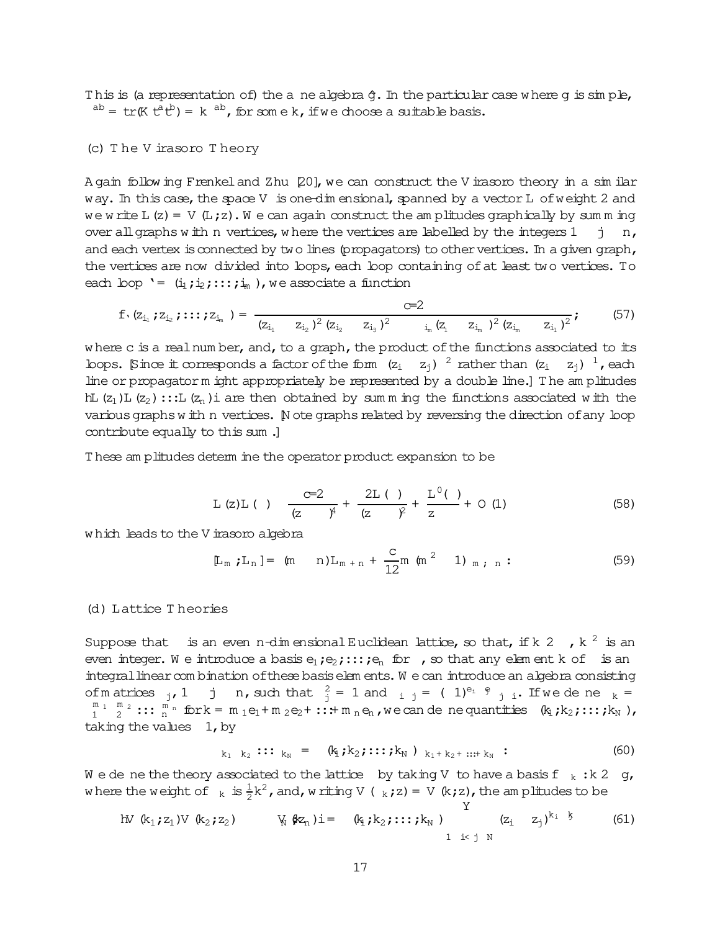This is (a representation of) the a ne algebra  $\hat{q}$ . In the particular case w here g is sim ple,  $a^{ab}$  = tr(K t<sup>a</sup>t<sup>b</sup>) = k  $a^{ab}$ , for som e k, if we choose a suitable basis.

#### (c) T he V irasoro T heory

A gain follow ing Frenkel and Zhu [20], we can construct the V irasoro theory in a similar way. In this case, the space V is one-dim ensional, spanned by a vector L of weight 2 and we w rite L(z) = V (L;z). W e can again construct the am plitudes graphically by sum m ing over all graphs w ith n vertices, w here the vertices are labelled by the integers  $1 \quad j \quad n$ , and each vertex is connected by two lines (propagators) to other vertices. In a given graph, the vertices are now divided into loops, each loop containing of at least two vertices. To each loop '=  $(i_1;i_2;;\ldots;i_m)$ , we associate a function

$$
f \cdot (z_{i_1} ; z_{i_2} ; \cdots ; z_{i_m} ) = \frac{c-2}{(z_{i_1} - z_{i_2})^2 (z_{i_2} - z_{i_3})^2} \frac{1}{(z_{i_1} - z_{i_1})^2 (z_{i_1} - z_{i_1})^2};
$$
(57)

where c is a real number, and, to a graph, the product of the functions associated to its loops. Since it corresponds a factor of the form  $(z_i - z_j)^{-2}$  rather than  $(z_i - z_j)^{-1}$ , each line or propagator m ight appropriately be represented by a double line.] T he am plitudes hL(z<sub>1</sub>)L(z<sub>2</sub>):::L(z<sub>n</sub>)i are then obtained by summing the functions associated with the various graphs w ith n vertices. Note graphs related by reversing the direction of any loop contribute equally to this sum .]

T hese am plitudes determ ine the operator product expansion to be

$$
L(z)L( ) \quad \frac{c=2}{(z-\gamma^{4}}+\frac{2L( )}{(z-\gamma^{2}}+\frac{L^{0}( )}{z}+O(1) \qquad (58)
$$

w hich leads to the V irasoro algebra

$$
[\mathbb{L}_m; \mathbb{L}_n] = (\mathfrak{m} \quad n) \mathbb{L}_{m+n} + \frac{c}{12} \mathfrak{m} (\mathfrak{m}^2 \quad 1) \mathbb{I}_{m+n} : \tag{59}
$$

## (d) Lattice T heories

Suppose that is an even n-dim ensional Euclidean lattice, so that, if k 2 , k  $^2$  is an even integer. We introduce a basis  $e_1$ ; $e_2$ ;:::; $e_n$  for, so that any elem ent k of is an integral linear com bination of these basis elem ents. We can introduce an algebra consisting of matrices  $_{j}$ , 1 j n, such that  $_{j}^{2}$  = 1 and  $_{i}$   $_{j}$  = (1)<sup>e<sub>i</sub>  $_{\circ}$ </sup>  $_{j}$   $_{i}$ . If we de ne  $_{k}$  =  $\frac{m}{1}$   $\frac{m}{2}$  :::  $\frac{m}{n}$  fork =  $m_1e_1 + m_2e_2 + \cdots + m_n e_n$ , we can de ne quantities  $(k_1;k_2;\cdots;k_N)$ , taking the values  $1$ , by

$$
k_1 \quad k_2 \; \cdots \; k_N \; = \; (k_1 \; ; k_2 \; ; \cdots \; ; k_N \; ) \; k_1 + k_2 + \cdots + k_N \; : \tag{60}
$$

We de ne the theory associated to the lattice by taking V to have a basis f  $k : k 2 q$ , where the weight of  $k$  is  $\frac{1}{2}k^2$ , and, w riting V (  $k$ ;z) = V (k;z), the am plitudes to be

$$
W(k_1; z_1) V(k_2; z_2) \tW_k(z_1; z_1) V(k_2; z_2) \tW_k(z_1; z_1; z_2; \ldots; k_N) \tY \t(z_1; z_1)^{k_1 k_2} (61)
$$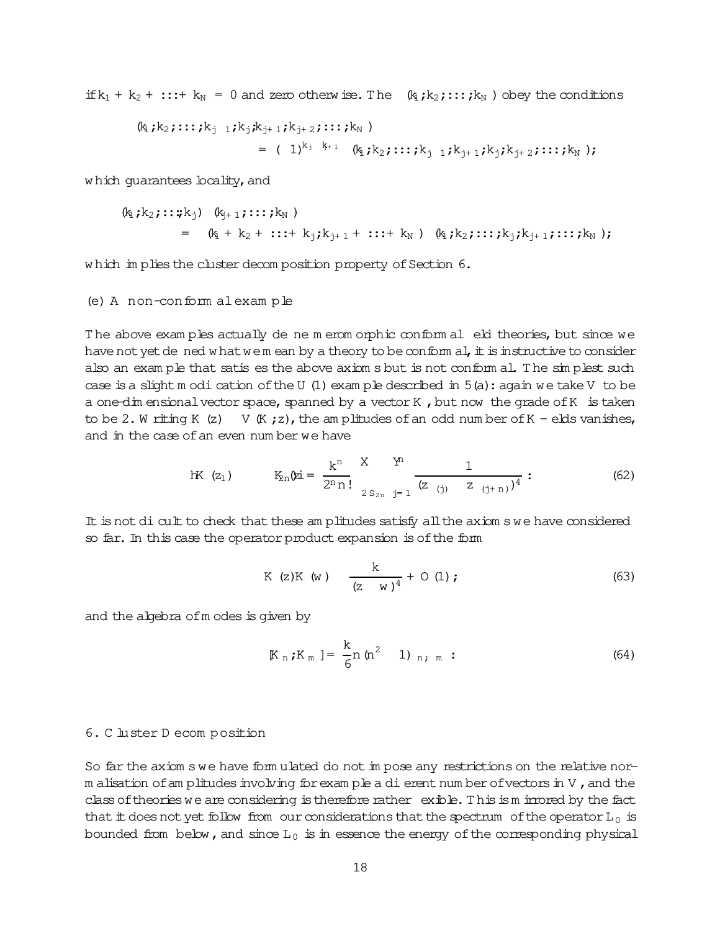if  $k_1 + k_2 + \cdots + k_N = 0$  and zero otherwise. The  $(k_1; k_2; \cdots; k_N)$  obey the conditions

$$
(k_1;k_2; \ldots; k_{j-1}; k_j; k_{j+1}; k_{j+2}; \ldots; k_N) = (1)^{k_j - k_{j+1}} (k_1;k_2; \ldots; k_{j-1}; k_{j+1}; k_j; k_{j+2}; \ldots; k_N);
$$

which quarantees locality, and

$$
(k_1;k_2;::;k_j) (k_{j+1};::;k_N)
$$
  
=  $(k_1 + k_2 + ::;k_{j};k_{j+1} + ::;k_N) (k_1;k_2;::;k_{j};k_{j+1};::;k_N);$ 

which implies the cluster decomposition property of Section 6.

#### (e) A non-conform alexample

The above examples actually de ne m erom orphic conformal eld theories, but since we have not yet de ned what we mean by a theory to be conform al, it is instructive to consider also an example that satis es the above axiom s but is not conform al. The simplest such case is a slight modi cation of the U (1) example described in  $5$  (a): again we take V to be a one-dim ensional vector space, spanned by a vector K, but now the grade of K is taken to be 2. W riting K (z) V (K; z), the am plitudes of an odd number of K - elds vanishes, and in the case of an even number we have

$$
f_{\text{R}}(z_1) \t\t\t f_{\text{R}}(z_1) = \frac{k^n}{2^n n!} \frac{X}{2 s_{2n} j = 1} \frac{Y^n}{(z_{(j)} z_{(j+n)})^4} : \t\t(62)
$$

It is not di cult to check that these am plitudes satisfy all the axiom swe have considered so far. In this case the operator product expansion is of the form

K (z)K (w) 
$$
\frac{k}{(z-w)^4} + O(1)
$$
; (63)

and the algebra of m odes is given by

$$
\mathbb{K}_{n}; \mathbb{K}_{m} \; \mathbb{I} = \frac{k}{6} n \, (n^{2} \quad 1) \; \mathbb{I}_{n; m} \; : \tag{64}
$$

#### 6. C luster D ecom position

So far the axiom swe have formulated do not impose any restrictions on the relative norm alisation of am plitudes involving for exam ple a di erent number of vectors in  $V$ , and the class of theories we are considering is therefore rather exible. This is m irrored by the fact that it does not yet follow from our considerations that the spectrum of the operator  $L_0$  is bounded from below, and since  $L_0$  is in essence the energy of the corresponding physical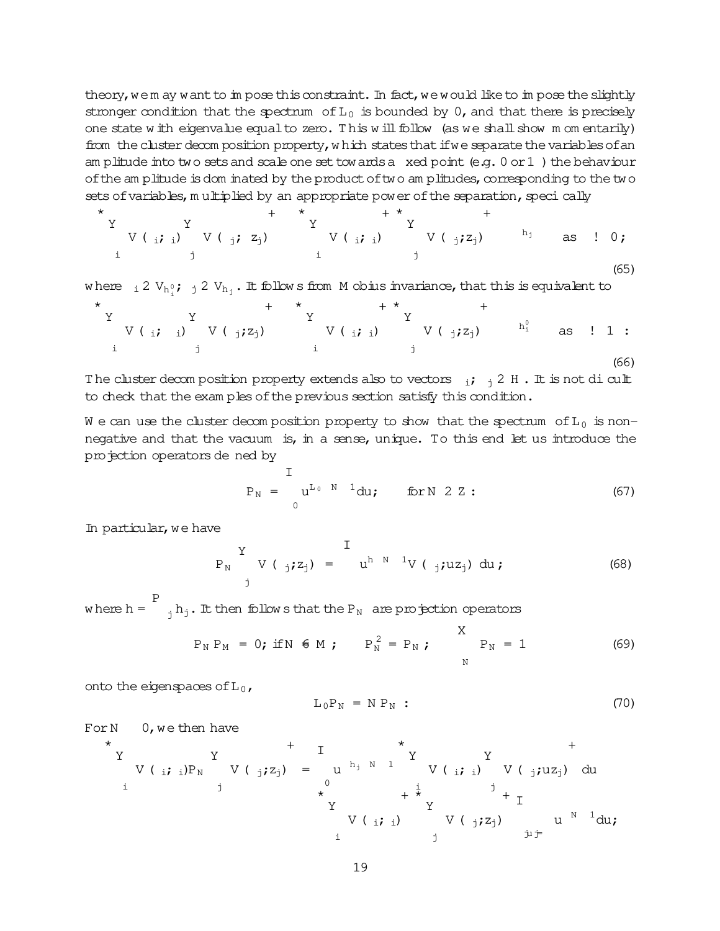theory, we may want to im pose this constraint. In fact, we would like to im pose the slightly stronger condition that the spectrum of  $L_0$  is bounded by 0, and that there is precisely one state w ith eigenvalue equal to zero. This w ill follow (as we shall show m om entarily) from the cluster decom position property, w hich states that if we separate the variables of an am plitude into two sets and scale one set towards a xed point  $(e,q.0 \text{ or } 1)$  the behaviour of the am plitude is dom inated by the product of two am plitudes, corresponding to the two sets of variables, multiplied by an appropriate power of the separation, specically

\* Y i V ( <sup>i</sup>;i) Y j V ( <sup>j</sup>;zj) + \* Y i V ( <sup>i</sup>;i) + \* Y j V ( <sup>j</sup>;zj) + <sup>h</sup><sup>j</sup> as ! 0; (65)

where  $\pm$  2  $V_{h_1^0}$ ;  $\pm$  2  $V_{h_1^+}$ . It follows from M obius invariance, that this is equivalent to

\* Y i V ( <sup>i</sup>;i) Y j V ( <sup>j</sup>;zj) + \* Y i V ( <sup>i</sup>;i) + \* Y j V ( <sup>j</sup>;zj) + h 0 <sup>i</sup> as ! 1 : (66)

The cluster decom position property extends also to vectors  $\frac{1}{2}$ ;  $\frac{1}{2}$  H. It is not dicult to check that the exam ples of the previous section satisfy this condition.

We can use the cluster decomposition property to show that the spectrum of  $L_0$  is nonnegative and that the vacuum is, in a sense, unique. To this end let us introduce the projection operators de ned by

$$
P_{N} = \int_{0}^{L_{0} N} u^{L_{0} N} d\mu; \quad \text{for } N \geq Z : \tag{67}
$$

In particular, we have

$$
P_{N} \t V \t j; z_{j}) = \t U^{h N} \t V \t j; uz_{j}) du ; \t (68)
$$

w here h = P  $j$  h $j$  . It then follow s that the P<sub>N</sub> are projection operators

$$
P_N P_M = 0; \text{ if } N \in M; \quad P_N^2 = P_N; \quad X_{P_N} = 1
$$
 (69)

onto the eigenspaces of  $L_0$ ,

$$
L_0 P_N = N P_N: \qquad (70)
$$

For  $N$  0, we then have

\* Y i V ( <sup>i</sup>;i)P<sup>N</sup> Y j V ( <sup>j</sup>;zj) + = I 0 u h<sup>j</sup> N 1 \* Y i V ( <sup>i</sup>;i) Y j V ( <sup>j</sup>;uzj) + du \* Y i V ( <sup>i</sup>;i) + \* Y j V ( <sup>j</sup>;zj) + I juj= u <sup>N</sup> <sup>1</sup>du;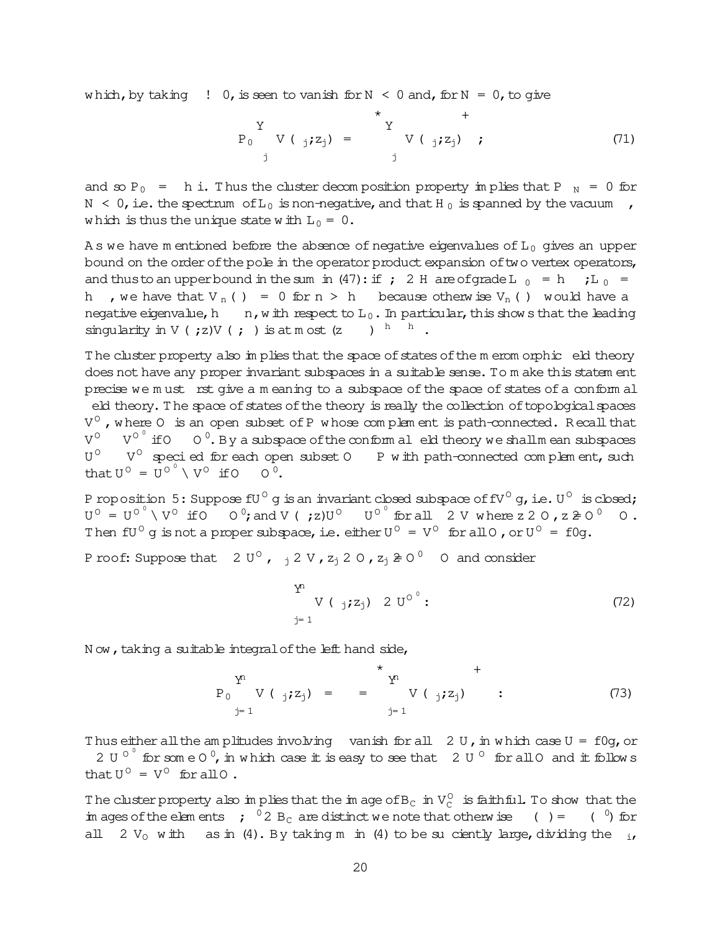which, by taking ! 0, is seen to vanish for  $N < 0$  and, for  $N = 0$ , to give

$$
P_0 \n\begin{array}{ccc}\nY & + \\
Y & \n\end{array}\n\quad \n\begin{array}{ccc}\nY & + \\
Y & \n\end{array}\n\quad (71)
$$

and so P<sub>0</sub> = h i. Thus the cluster decomposition property implies that P<sub>N</sub> = 0 for N < 0, i.e. the spectrum of L<sub>0</sub> is non-negative, and that H<sub>0</sub> is spanned by the vacuum, which is thus the unique state with  $L_0 = 0$ .

As we have m entioned before the absence of negative eigenvalues of  $L_0$  gives an upper bound on the order of the pole in the operator product expansion of two vertex operators, and thus to an upperbound in the sum in (47): if ; 2 H are of grade L  $_0$  = h ; L  $_0$  = h, we have that  $V_n$  ( ) = 0 for n > h because otherwise  $V_n$  ( ) would have a negative eigenvalue, h n, w ith respect to  $L_0$ . In particular, this show s that the leading )  $h$  h singularity in  $V$  (; z) $V$  (; ) is at m ost (z

The cluster property also implies that the space of states of the m erom orphic eld theory does not have any proper invariant subspaces in a suitable sense. To m ake this statem ent precise we must rst give a meaning to a subspace of the space of states of a conformal eld theory. The space of states of the theory is really the collection of topological spaces  $V^0$ , where 0 is an open subset of P whose complement is path-connected. Recall that  $V^0$   $V^0$  if  $0$   $0^0$ . By a subspace of the conform alebral theory we shall mean subspaces  $U^0$   $V^0$  specied for each open subset 0 P with path-connected complement, such that  $U^{\circ} = U^{\circ} \vee V^{\circ}$  if  $\circ$   $\circ^{\circ}$ .

P roposition 5: Suppose  $fU^0$  g is an invariant closed subspace of  $fV^0$  g, i.e.  $U^0$  is closed;  $U^{\circ} = U^{\circ} \setminus V^{\circ}$  if  $O^{\circ}$ ; and  $V$  (; z) $U^{\circ}$   $U^{\circ}$  for all 2 V where z 2 0, z  $\geq 0^{\circ}$  0. Then  $fU^0$  q is not a proper subspace, i.e. either  $U^0 = V^0$  for all 0, or  $U^0 = f0q$ .

P roof: Suppose that 2 U<sup>o</sup>,  $\frac{1}{1}$  2 V,  $z_1$  2 O,  $z_1 \ge 0$ <sup>0</sup> O and consider

 $Y^{n}$ <br>V (  $_{j}$ ; z<sub>j</sub>) 2 U<sup>O</sup> °:<br>j= 1  $(72)$ 

Now, taking a suitable integral of the left hand side,

$$
P_0 \n\begin{array}{ccc}\nY^n & & & + \\
P_0 & V \left( \begin{array}{c}\n\end{array} ; z_j \right) = \n\end{array} = \n\begin{array}{ccc}\nY^n & & + \\
& V \left( \begin{array}{c}\n\end{array} ; z_j \right) & \n\end{array} \n\end{array} \n\tag{73}
$$

Thus either all the am plitudes involving vanish for all  $2 \text{ U}$ , in which case  $U = f \cdot 0$ g, or 2 U<sup>o</sup> for some 0<sup>0</sup>, in which case it is easy to see that 2 U<sup>o</sup> for all 0 and it follows that  $U^0 = V^0$  for all 0.

The cluster property also implies that the image of  $B_c$  in  $V_c^0$  is faithful. To show that the in ages of the elements ;  $0.2 B_C$  are distinct we note that otherwise () = (0) for all  $2 V_0$  with as in (4). By taking m in (4) to be su ciently large, dividing the  $\frac{1}{1}$ ,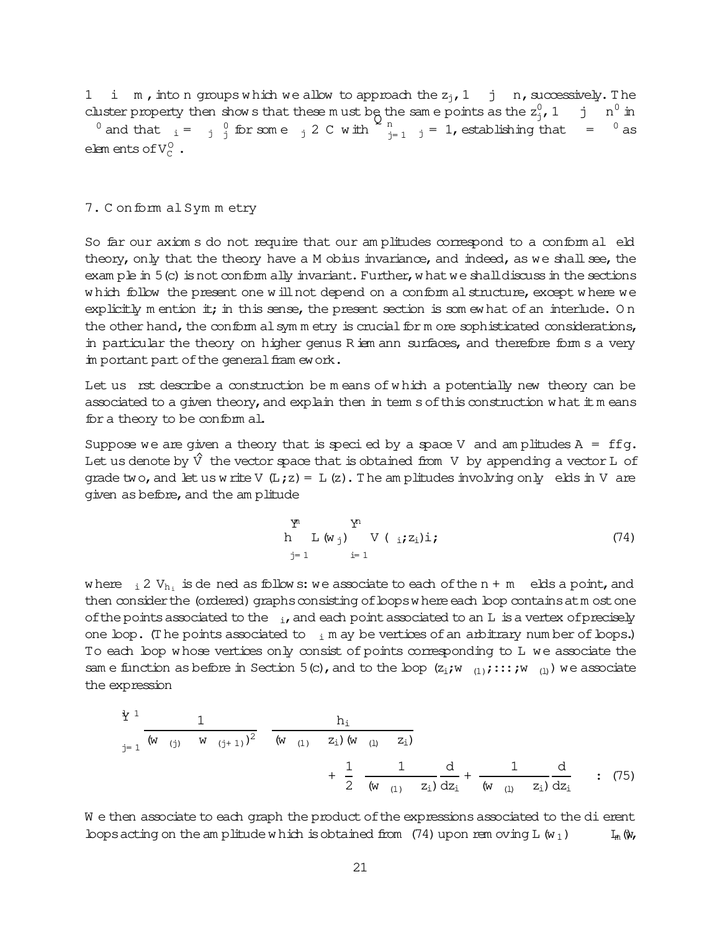1 i m, into n groups which we allow to approach the  $z_j$ , 1 j n, successively. The cluster property then show s that these m ust be the sam e points as the  $z_j^0$  $\mathbf{m}_j^{\mathrm{o}},$  1 j  $\mathbf{n}^{\mathrm{o}}$  in  $^{0}$  and that  $_{i} = \begin{array}{cc} 0 & \text{for some} & \text{if } i \neq j \\ 0 & \text{for some} & \text{if } i \neq j \end{array}$  $j=1$  j = 1, establishing that =  $\int_{0}^{n}$  as elem ents of  $V_C^O$ .

## 7. C onform alSym m etry

So far our axiom s do not require that our am plitudes correspond to a conform al eld theory, only that the theory have a M obius invariance, and indeed, as we shall see, the exam ple in  $5$  (c) is not conform ally invariant. Further, what we shall discuss in the sections w hich follow the present one w ill not depend on a conform al structure, except w here we explicitly m ention it; in this sense, the present section is som ew hat of an interlude. On the other hand, the conform alsymm etry is crucial for m ore sophisticated considerations, in particular the theory on higher genus R iem ann surfaces, and therefore form s a very im portant part of the general fram ework.

Let us rst describe a construction be means of which a potentially new theory can be associated to a given theory, and explain then in term s of this construction w hat  $\pm$  m eans for a theory to be conform al.

Suppose we are given a theory that is specied by a space V and am plitudes  $A = ffg$ . Let us denote by  $\hat{V}$  the vector space that is obtained from V by appending a vector L of grade two, and let us w rite V  $(L; z) = L(z)$ . The am plitudes involving only elds in V are given as before, and the am plitude

$$
\sum_{j=1}^{r} \sum_{i=1}^{r} V(i_{ij}z_{i})i;
$$
 (74)

where  $\frac{1}{1}$  2 V<sub>h</sub>, is de ned as follows: we associate to each of the n + m elds a point, and then consider the (ordered) graphs consisting of loopsw here each loop contains at m ost one of the points associated to the  $\mu$ , and each point associated to an L is a vertex of precisely one loop. (The points associated to  $\frac{1}{1}$  m ay be vertices of an arbitrary num ber of loops.) To each loop w hose vertices only consist of points corresponding to L we associate the sam e function as before in Section 5(c), and to the loop  $(z_i;w_{(1)};...;w_{(l)})$  we associate the expression

$$
\frac{\dot{\Psi}}{j=1} \frac{1}{(w_{(j)} - w_{(j+1)})^2} - \frac{h_i}{(w_{(1)} - z_i)(w_{(1)} - z_i)} + \frac{1}{2} - \frac{1}{(w_{(1)} - z_i)} \frac{d}{dz_i} + \frac{1}{(w_{(1)} - z_i)} \frac{d}{dz_i} \qquad (75)
$$

W e then associate to each graph the product of the expressions associated to the dierent loops acting on the am plitude w hich is obtained from (74) upon rem oving L (w<sub>1</sub>)  $\frac{L_{\text{m}}(w_1)}{L_{\text{m}}(w_1)}$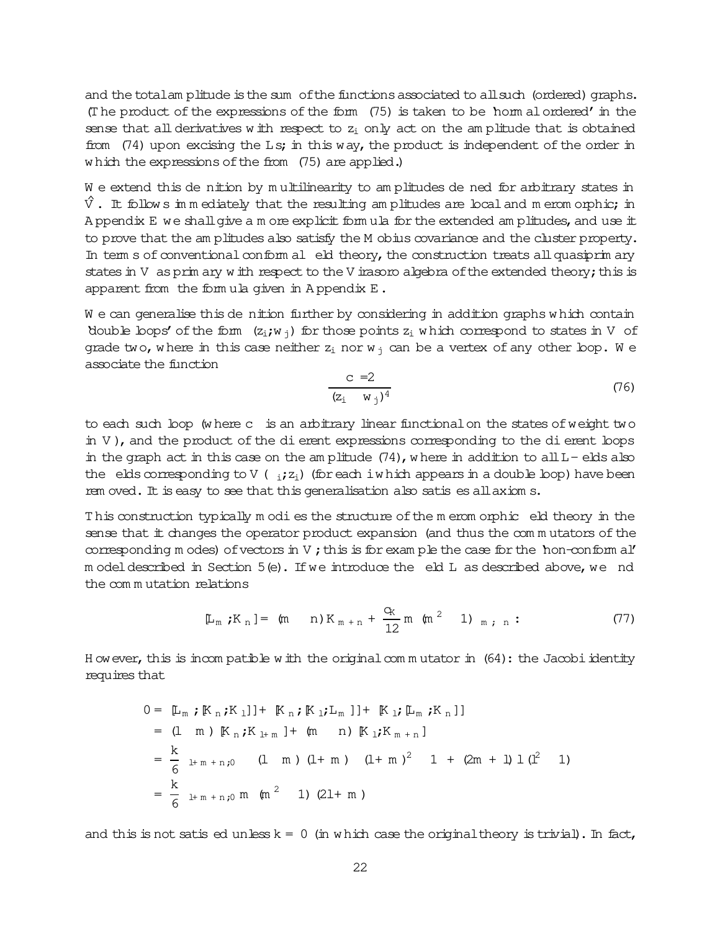and the totalam plitude is the sum of the functions associated to all such (ordered) graphs. (T he product of the expressions of the form  $(75)$  is taken to be 'norm alordered' in the sense that all derivatives w ith respect to  $z_i$  only act on the am plitude that is obtained from  $(74)$  upon excising the Ls; in this way, the product is independent of the order in w hich the expressions of the from  $(75)$  are applied.)

We extend this de nition by multilinearity to amplitudes de ned for arbitrary states in  $\hat{V}$ . It follow s im m ediately that the resulting am plitudes are local and m erom orphic; in A ppendix E we shall give a m ore explicit form ula for the extended am plitudes, and use it to prove that the am plitudes also satisfy the M obius covariance and the cluster property. In term s of conventional conform allel theory, the construction treats all quasiprim ary states in V as prim ary w ith respect to the V irasoro algebra of the extended theory; this is apparent from the formula given in A ppendix  $E$ .

W e can generalise this de nition further by considering in addition graphs w hich contain 'double loops' of the form  $(z_i;w_j)$  for those points  $z_i$  which correspond to states in V of grade two, where in this case neither  $z_i$  nor  $w_j$  can be a vertex of any other loop. We associate the function

$$
\frac{c}{(z_i - w_j)^4} \tag{76}
$$

to each such loop (w here c is an arbitrary linear functional on the states of weight two in  $V$ ), and the product of the dierent expressions corresponding to the dierent loops in the graph act in this case on the am plitude  $(74)$ , where in addition to all L - elds also the elds corresponding to V ( $_i$ ; $z_i$ ) (for each iw hich appears in a double loop) have been rem oved. It is easy to see that this generalisation also satis es all axiom s.

T his construction typically m odies the structure ofthe m erom orphic eld theory in the sense that it changes the operator product expansion (and thus the commutators of the corresponding m odes) of vectors in V ; this is for exam ple the case for the 'hon-conform al' m odeldescribed in Section  $5$  (e). If we introduce the eld L as described above, we nd the com m utation relations

$$
[\mathbb{L}_m \; ; K_n] = [m \; n) K_{m+n} + \frac{c_K}{12} m [m^2 \; 1)_{m,n} : \qquad (77)
$$

H owever, this is incompatible w ith the original commutator in  $(64)$ : the Jacobi identity requires that

$$
0 = [\mathbb{L}_m; [\mathbb{K}_n; \mathbb{K}_1]] + [\mathbb{K}_n; [\mathbb{K}_1; \mathbb{L}_m]] + [\mathbb{K}_1; [\mathbb{L}_m; \mathbb{K}_n]]
$$
  
\n
$$
= (\mathbb{L} \quad m) [\mathbb{K}_n; \mathbb{K}_{\perp+m}] + (m \quad n) [\mathbb{K}_1; \mathbb{K}_{m+n}]
$$
  
\n
$$
= \frac{k}{6} \quad \text{if } m+n; 0 \quad (\mathbb{L} \quad m) (\mathbb{L} + m) \quad (\mathbb{L} + m)^2 \quad 1 + (2m + 1) \mathbb{1} (\mathbb{L}^2 \quad 1)
$$
  
\n
$$
= \frac{k}{6} \quad \text{if } m+n; 0 \quad m \quad (\mathbb{m}^2 \quad 1) (2\mathbb{L} + m)
$$

and this is not satis ed unless  $k = 0$  (in which case the original theory is trivial). In fact,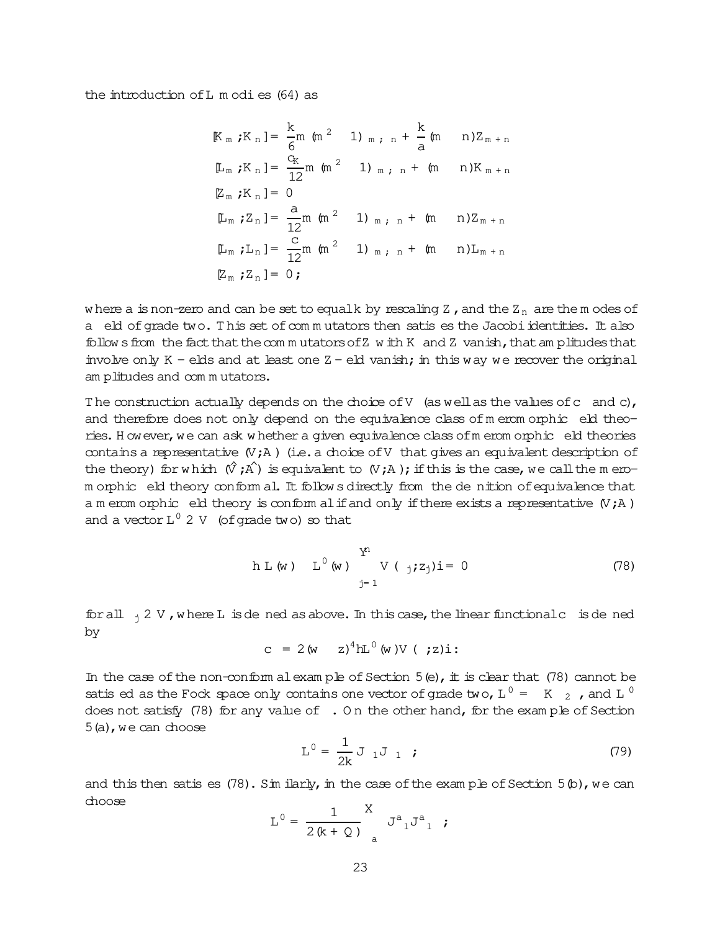the introduction of  $L$  m odi es  $(64)$  as

$$
[\mathbb{K}_{m} ; \mathbb{K}_{n}] = \frac{k}{6} m \text{ (m}^{2} \quad 1)_{m, n} + \frac{k}{a} (m \quad n) Z_{m+n}
$$
\n
$$
[\mathbb{L}_{m} ; \mathbb{K}_{n}] = \frac{c_{k}}{12} m \text{ (m}^{2} \quad 1)_{m, n} + (m \quad n) K_{m+n}
$$
\n
$$
[\mathbb{Z}_{m} ; \mathbb{K}_{n}] = 0
$$
\n
$$
[\mathbb{L}_{m} ; \mathbb{Z}_{n}] = \frac{a}{12} m \text{ (m}^{2} \quad 1)_{m, n} + (m \quad n) Z_{m+n}
$$
\n
$$
[\mathbb{L}_{m} ; \mathbb{L}_{n}] = \frac{c}{12} m \text{ (m}^{2} \quad 1)_{m, n} + (m \quad n) \mathbb{L}_{m+n}
$$
\n
$$
[\mathbb{Z}_{m} ; \mathbb{Z}_{n}] = 0;
$$

w here a is non-zero and can be set to equalk by rescaling  $Z$ , and the  $Z_n$  are the m odes of a eld of grade two. This set of commutators then satis es the Jacobi identities. It also follow sfrom the fact that the commutators of Z w ith K and Z vanish, that am plitudes that involve only  $K$  - elds and at least one  $Z$  - eld vanish; in this way we recover the original am plitudes and com m utators.

The construction actually depends on the choice of V (as well as the values of c and c), and therefore does not only depend on the equivalence class of merom orphic eld theories. H ow ever, we can ask w hether a given equivalence class of m erom orphic eld theories contains a representative  $(V;A)$  (i.e. a choice of V that gives an equivalent description of the theory) for which  $(\hat{V};A^T)$  is equivalent to  $(V;A)$ ; if this is the case, we call the m erom orphic eld theory conform al. It follow s directly from the denition ofequivalence that a m erom orphic eld theory is conform al if and only if there exists a representative  $(V;A)$ and a vector  $L^0$  2 V (of grade two) so that

h L (w) 
$$
L^0(w)
$$
  $Y^n$    
  $V(\frac{1}{2};z_j) = 0$  (78)

for all  $\frac{1}{1}$  2 V, where L is dened as above. In this case, the linear functional c is dened by  $\ddot{\phantom{1}}$ 

$$
c = 2 (w z)4 hL0 (w) V (. ; z) i :
$$

In the case of the non-conform alexam ple of Section  $5(e)$ , it is clear that (78) cannot be satis ed as the Fock space only contains one vector of grade two,  $L^0 = K_{22}$ , and  $L^0$ does not satisfy  $(78)$  for any value of . On the other hand, for the exam ple of Section  $5$ (a), we can choose

$$
L^{0} = \frac{1}{2k} J_{1} J_{1}
$$
 ; (79)

and this then satis es  $(78)$ . Sim ilarly, in the case of the exam ple of Section 5(b), we can choose

$$
L^{0} = \frac{1}{2(k+Q)} \sum_{a}^{X} J^{a}{}_{1} J^{a}{}_{1} ;
$$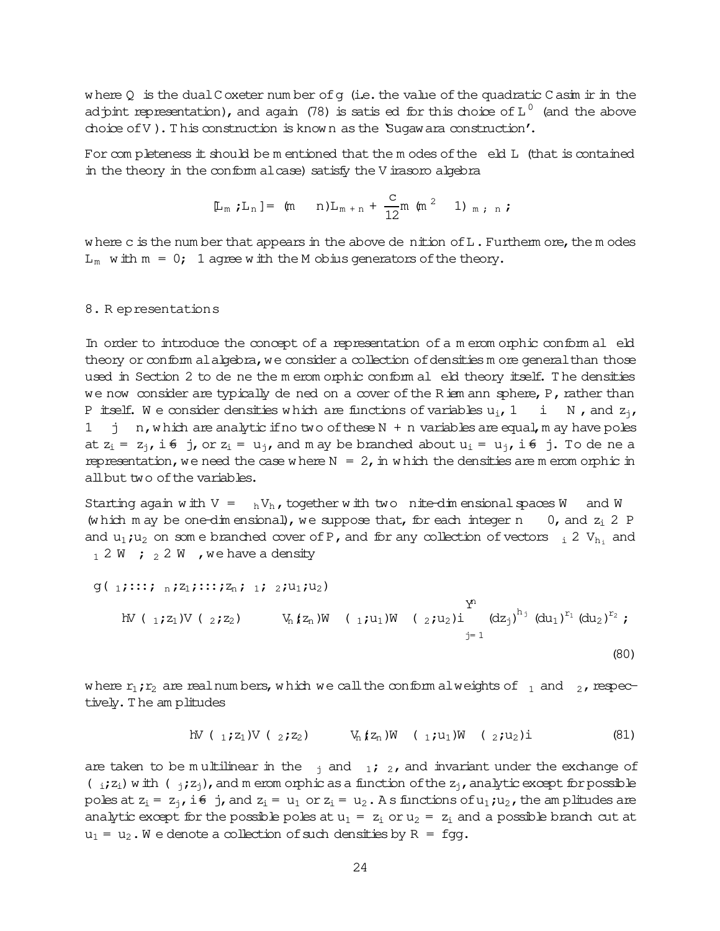where  $Q$  is the dual C oxeter num ber of q (i.e. the value of the quadratic C asim ir in the adjoint representation), and again (78) is satis ed for this choice of  $\tt L^0$  (and the above choice of V). This construction is known as the Sugawara construction'.

For completeness it should be m entioned that the modes of the eld L (that is contained in the theory in the conform alcase) satisfy the V irasoro algebra

$$
[\mathbb{L}_m \; ; \mathbb{L}_n] = (\text{m} \quad n) \mathbb{L}_{m+n} + \frac{c}{12} \text{m} (\text{m}^2 \quad 1) \, \mathbb{m} \; ; \; n \; \mathbf{\dot{r}}
$$

where c is the num ber that appears in the above denition of  $L$ . Furtherm ore, the modes  $L_m$  w ith  $m = 0$ ; 1 agree w ith the M obius generators of the theory.

#### 8. R epresentations

In order to introduce the concept of a representation of a m erom orphic conform al eld theory or conform alalgebra, we consider a collection of densities m ore general than those used in Section 2 to de ne the m erom orphic conform al eld theory itself. The densities we now consider are typically de ned on a cover of the R iem ann sphere,  $P$ , rather than P itself. We consider densities which are functions of variables  $u_{i}$ , 1 i N, and  $z_{i}$ , 1 j n,w hich are analytic ifno two ofthese N + n variablesare equal,m ay have poles at  $z_i = z_j$ , i  $\neq j$ , or  $z_i = u_j$ , and m ay be branched about  $u_i = u_j$ , i  $\neq j$ . To de ne a representation, we need the case w here  $N = 2$ , in w hich the densities are m erom orphic in all but two of the variables.

Starting again with  $V = hV_h$ , together with two nite-dim ensional spaces W and W (w hich m ay be one-dim ensional), we suppose that, for each integer n  $\,0$ , and  $z_i$  2 P and  $u_1$ ;  $u_2$  on some branched cover of P, and for any collection of vectors  $\bar{u}_1$  2 V<sub>hi</sub> and  $_1$  2 W ;  $_2$  2 W , we have a density

$$
g(\ _{1};::;;_{n};z_{1};::;z_{n};_{1};z_{1};u_{1};u_{2})
$$
\n
$$
W(\ _{1};z_{1})V(\ _{2};z_{2}) \qquad V_{n}(z_{n})W(\ _{1};u_{1})W(\ _{2};u_{2})i \qquad (dz_{j})^{h_{j}}(du_{1})^{r_{1}}(du_{2})^{r_{2}};
$$
\n
$$
y^{n}
$$
\n
$$
(80)
$$

where  $r_1$ ;  $r_2$  are realnum bers, which we call the conform alweights of  $r_1$  and  $r_2$ , respectively.T he am plitudes

$$
hV (1; z_1)V (z; z_2) \t V_h (z_n)W (1; u_1)W (z; u_2)i \t (81)
$$

are taken to be multilinear in the  $\frac{1}{1}$  and  $\frac{1}{2}$ , and invariant under the exchange of ( $i, z_i$ ) w ith ( $i, z_i$ ), and m erom orphic as a function of the  $z_i$ , analytic except for possible poles at  $z_i = z_j$ , i  $\neq j$ , and  $z_i = u_1$  or  $z_i = u_2$ . A s functions of  $u_1, u_2$ , the am plitudes are analytic except for the possible poles at  $u_1 = z_i$  or  $u_2 = z_i$  and a possible branch cut at  $u_1 = u_2$ . We denote a collection of such densities by  $R = f$ gg.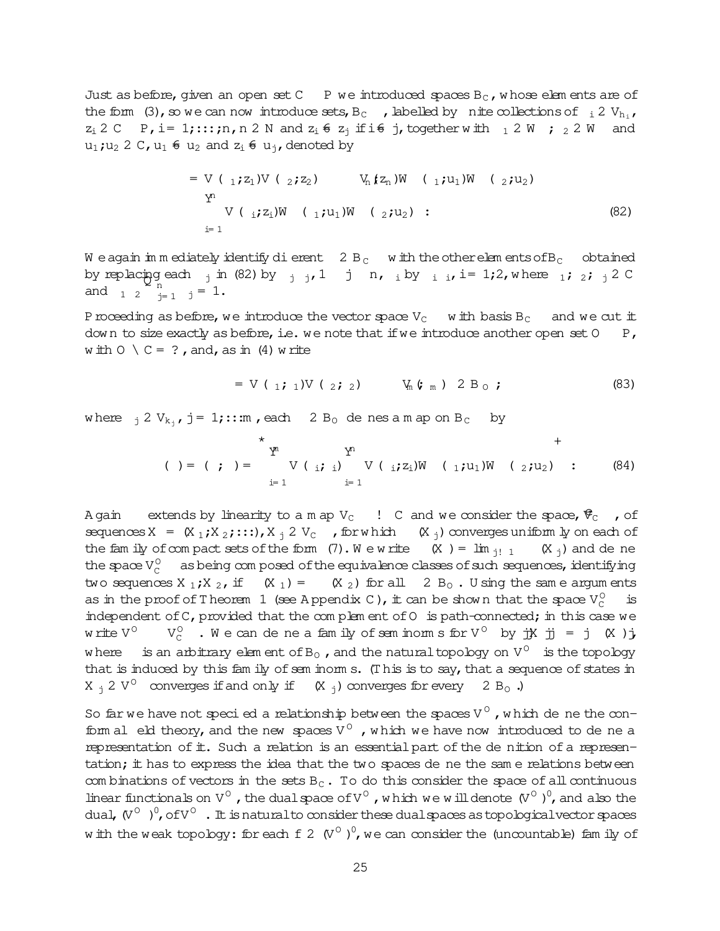Just as before, given an open set C  $P$  we introduced spaces  $B_C$ , whose elem ents are of the form (3), so we can now introduce sets,  $B_C$ , labelled by nite collections of  $i$  2  $V_{h_i}$ ,  $z_i$  2 C P, i= 1;:::;n, n 2 N and  $z_i$   $\neq z_j$  if i $\neq j$ , together w ith  $1$  2 W ; 2 2 W and  $u_1$ ; $u_2$  2 C,  $u_1$   $\neq$   $u_2$  and  $z_i$   $\neq$   $u_j$ , denoted by

$$
= V (i_{1}; z_{1}) V (i_{2}; z_{2}) \t V_{n} (z_{n}) W (i_{1}; u_{1}) W (z_{1}; u_{2})
$$
  
\n
$$
Y^{n}
$$
  
\n
$$
V (i_{1}; z_{1}) W (i_{1}; u_{1}) W (z_{1}; u_{2})
$$
  
\n
$$
i=1
$$
\n(82)

We again immediately identify dierent  $2B_C$  with the other elements of  $B_C$  obtained by replacing each  $\frac{1}{2}$  in (82) by  $\frac{1}{2}$ ,  $1$  j n,  $\frac{1}{2}$  by  $\frac{1}{2}$ ,  $i = 1,2$ , where  $\frac{1}{2}$ ;  $\frac{1}{2}$  C and  $\begin{array}{c} 1 & 2 \end{array}$   $\begin{array}{c} \overline{p} & 1 \end{array}$   $\begin{array}{c} \overline{p} & 1 \end{array}$ 

P roceeding as before, we introduce the vector space  $V_C$  with basis  $B_C$  and we cut it down to size exactly as before, i.e. we note that if we introduce another open set  $0$  P, w ith  $0 \setminus C = ?$ , and, as in (4) write

$$
= V (i \; i \; 1) V (i \; 2 \; i \; 2) \qquad V_m (t \; m) \; 2 B_0 \; i \qquad (83)
$$

where  $j \, 2 \, V_{k,j}$ ,  $j = 1$ ;:::m, each 2 B<sub>0</sub> de nes a m ap on B<sub>c</sub> by

$$
(*) = (*;*) =
$$
  
\n
$$
(*) = (*;*) =
$$
  
\n
$$
V(*)
$$
  
\n
$$
V(*)
$$
  
\n
$$
V(*)
$$
  
\n
$$
V(*)
$$
  
\n
$$
V(*)
$$
  
\n
$$
V(*)
$$
  
\n
$$
V(*)
$$
  
\n
$$
V(*)
$$
  
\n
$$
V(*)
$$
  
\n
$$
V(*)
$$
  
\n
$$
V(*)
$$
  
\n
$$
V(*)
$$
  
\n
$$
V(*)
$$
  
\n
$$
V(*)
$$
  
\n
$$
V(*)
$$
  
\n
$$
V(*)
$$
  
\n
$$
V(*)
$$
  
\n
$$
V(*)
$$
  
\n
$$
V(*)
$$
  
\n
$$
V(*)
$$
  
\n
$$
V(*)
$$
  
\n
$$
V(*)
$$
  
\n
$$
V(*)
$$
  
\n
$$
V(*)
$$
  
\n
$$
V(*)
$$
  
\n
$$
V(*)
$$
  
\n
$$
V(*)
$$
  
\n
$$
V(*)
$$
  
\n
$$
V(*)
$$
  
\n
$$
V(*)
$$
  
\n
$$
V(*)
$$
  
\n
$$
V(*)
$$
  
\n
$$
V(*)
$$
  
\n
$$
V(*)
$$
  
\n
$$
V(*)
$$
  
\n
$$
V(*)
$$
  
\n
$$
V(*)
$$
  
\n
$$
V(*)
$$
  
\n
$$
V(*)
$$
  
\n
$$
V(*)
$$
  
\n
$$
V(*)
$$
  
\n
$$
V(*)
$$
  
\n
$$
V(*)
$$
  
\n
$$
V(*)
$$
  
\n
$$
V(*)
$$
  
\n
$$
V(*)
$$
  
\n
$$
V(*)
$$
  
\n
$$
V(*)
$$
  
\n
$$
V(*)
$$

A gain extends by linearity to a m ap  $V_c$  ! C and we consider the space,  $\mathcal{P}_c$ , of sequences X =  $(X_1;X_2;...), X_1 \, 2 \, V_C$ , for which  $(X_1)$  converges uniform ly on each of the fam ily of compact sets of the form (7). We write  $(X) = \lim_{i \to \infty} (X_i)$  and de ne the space  $V_{\rm C}^0$  as being com posed of the equivalence classes of such sequences, identifying two sequences X<sub>1</sub>;X<sub>2</sub>, if (X<sub>1</sub>) = (X<sub>2</sub>) for all 2 B<sub>0</sub>. U sing the same argum ents as in the proof of Theorem 1 (see A ppendix C), it can be show n that the space  $V_c^0$  $is$ independent of C, provided that the complem ent of O is path-connected; in this case we write  $V^0$   $V^0_C$  . We can de ne a family of seminorms for  $V^0$  by  $jX$   $jj = j$  (X) $j$ where is an arbitrary element of  $\texttt{B}_0$  , and the natural topology on  $\texttt{V}^\texttt{O}$  is the topology that is induced by this fam ily of sem inorm s. (This is to say, that a sequence of states in  $X_j$  2  $V^0$  converges if and only if  $(X_j)$  converges for every 2 B<sub>0</sub>.)

So far we have not speci ed a relationship between the spaces V  $^{\circ}$  , which de ne the conform al eld theory, and the new spaces  $V^{\circ}$  , which we have now introduced to de ne a representation of  $\pm$ . Such a relation is an essential part of the de nition of a represen $tation;$  it has to express the idea that the two spaces de ne the same relations between com binations of vectors in the sets  $B_C$ . To do this consider the space of all continuous linear functionals on  $\mathrm{V}^\circ$  , the dual space of  $\mathrm{V}^\circ$  , which we will denote  $(\mathrm{V}^\circ$  ) $^0$ , and also the dual,  $\mathcal{N}^\circ$  )<sup>0</sup>, of  $\mathcal{N}^\circ$  . It is natural to consider these dual spaces as topological vector spaces w ith the weak topology: for each <code>f 2 (V $^{\circ}$ ) $^{\circ}$ , we can consider the (uncountable) fam ily of</code>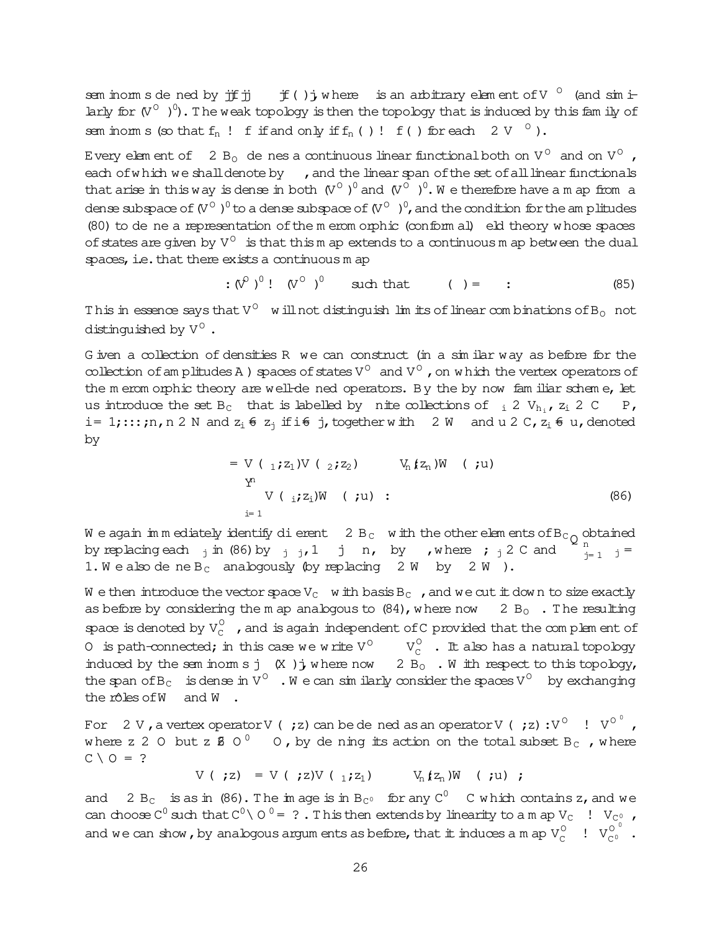sem inoms de ned by  $\sharp f$   $\sharp$   $\sharp$  (); where is an arbitrary element of V  $\circ$  (and similarly for  $(V^0)$ ). The weak topology is then the topology that is induced by this fam ily of sem inom s (so that  $f_n$  ! f if and only if  $f_n$  ( ) ! f ( ) for each 2 V  $\circ$  ).

Every element of 2 B<sub>0</sub> de nes a continuous linear functional both on  $V^0$  and on  $V^0$ , each of which we shall denote by , and the linear span of the set of all linear functionals that arise in this way is dense in both  $(V^{\circ})^0$  and  $(V^{\circ})^0$ . We therefore have a m ap from a dense subspace of  $N^0$  )<sup>0</sup> to a dense subspace of  $N^0$  )<sup>0</sup>, and the condition for the am plitudes (80) to de ne a representation of the m erom orphic (conform al) eld theory whose spaces of states are given by  $V^0$  is that this m ap extends to a continuous m ap between the dual spaces, i.e. that there exists a continuous m ap

$$
(\sqrt{2})^0
$$
  $(\sqrt{2})^0$  such that  $( ) = :$  (85)

This in essence says that  $V^0$  will not distinguish limits of linear combinations of  $B_0$  not distinguished by  $V^0$ .

G iven a collection of densities R we can construct (in a similar way as before for the collection of am plitudes A ) spaces of states  $V^0$  and  $V^0$ , on which the vertex operators of the m erom orphic theory are well-de ned operators. By the by now fam iliar scheme, let us introduce the set B<sub>c</sub> that is labelled by nite collections of  $\frac{1}{2}$  V<sub>h</sub>, z<sub>i</sub> 2 C P, i= 1;:::;n, n 2 N and  $z_i \notin z_i$  if i $\iff j$ , together with 2 W and u 2 C,  $z_i \notin u$ , denoted by

$$
= V (i \thinspace j \thinspace z_{1}) V (i \thinspace z \thinspace j \thinspace z_{2}) \qquad V_{n} (z_{n}) W (i \thinspace u)
$$
\n
$$
Y^{n}
$$
\n
$$
V (i \thinspace j \thinspace z_{1}) W (i \thinspace u) : \qquad (86)
$$

We again immediately identify dierent 2 B<sub>c</sub> with the other elements of B<sub>c</sub> obtained by replacing each  $\frac{1}{1}$  in (86) by  $\frac{1}{1}$  j n, by , where ;  $\frac{1}{1}$  2 C and  $\frac{1}{1}$  =  $\frac{1}{1}$  = 1. We also dene B<sub>c</sub> analogously (by replacing  $2W$  by  $2W$ ).

We then introduce the vector space  $V_c$  with basis  $B_c$ , and we cut it down to size exactly as before by considering the m ap analogous to  $(84)$ , where now 2 B<sub>0</sub>. The resulting space is denoted by  $V_c^0$ , and is again independent of C provided that the complement of 0 is path-connected; in this case we write  $V^0$   $V^0_C$ . It also has a natural topology induced by the sem inoms j  $(X)$  j where now  $2B_0$ . W ith respect to this topology, the span of B<sub>c</sub> is dense in  $V^0$ . We can similarly consider the spaces  $V^0$  by exchanging the rôles of  $W$  and  $W$ .

For 2 V, a vertex operator V (; z) can be de ned as an operator V (; z):  $V^0$  !  $V^0$ , where z 2 0 but z  $\beta$  0<sup>0</sup> 0, by de ning its action on the total subset B<sub>c</sub>, where  $C \setminus O = ?$ 

and 2 B<sub>c</sub> is as in (86). The image is in B<sub>c</sub><sup>0</sup> for any C<sup>0</sup> C which contains z, and we can choose C<sup>0</sup> such that C<sup>0</sup> \ O <sup>0</sup> = ? . This then extends by linearity to a m ap V<sub>c</sub> ! V<sub>C</sub><sup>0</sup>, and we can show, by analogous argum ents as before, that it induces a m ap  $V_c^0$  !  $V_{c0}^0$ .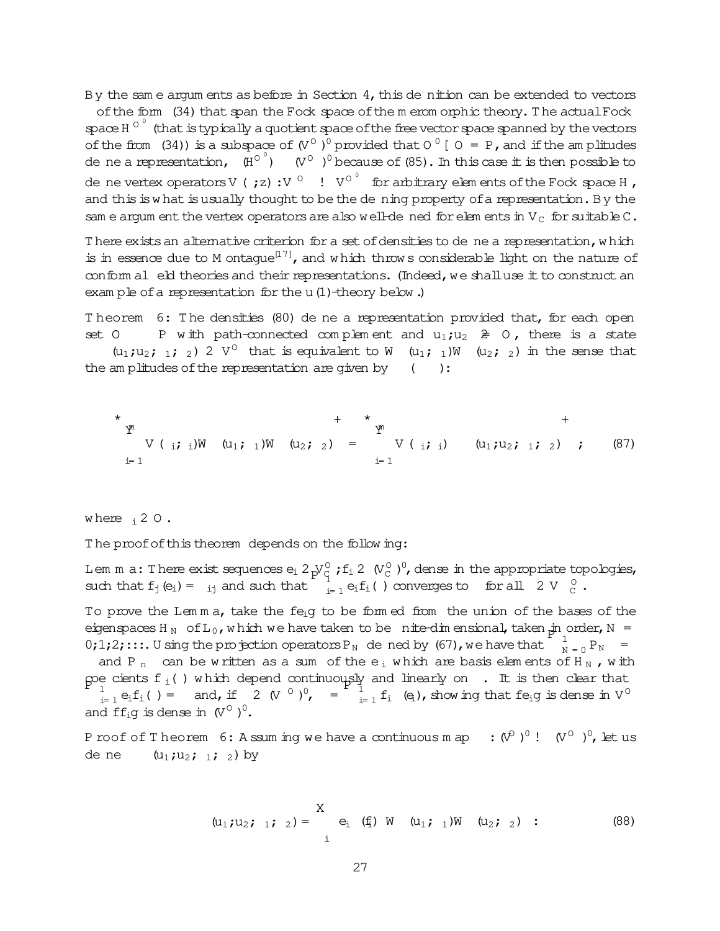By the same argum ents as before in Section  $4$ , this de nition can be extended to vectors

of the form (34) that span the Fock space of the m erom orphic theory. The actual Fock space H  $^{\circ}$   $^{\circ}$  (that is typically a quotient space of the free vector space spanned by the vectors of the from (34)) is a subspace of  $(V^{\circ})^0$  provided that  $O^{\circ}$  [  $O = P$ , and if the am plitudes de ne a representation,  $(H^{0})$   $(V^{0})^{0}$  because of (85). In this case it is then possible to de ne vertex operators V (; z): V  $^{\circ}$  ! V  $^{\circ}$  for arbitrary elements of the Fock space H, and this is what is usually thought to be the de ning property of a representation. By the sam e argum ent the vertex operators are also well-de ned for elements in  $V_C$  for suitable C.

There exists an alternative criterion for a set of densities to de ne a representation, which is in essence due to M ontague<sup>[17]</sup>, and which throws considerable light on the nature of conform al eld theories and their representations. (Indeed, we shall use it to construct an example of a representation for the  $u(1)$ -theory below.)

Theorem 6: The densities (80) de ne a representation provided that, for each open set 0 P with path-connected complement and  $u_1, u_2 \ge 0$ , there is a state  $(u_1, u_2, u_1, u_2)$  2 V<sup>o</sup> that is equivalent to W  $(u_1, u_1)$ W  $(u_2, u_2)$  in the sense that the am plitudes of the representation are given by  $($   $)$  :

\*   
\n
$$
\uparrow
$$
 \*   
\n $\uparrow$  \*   
\n $\uparrow$  \*   
\n $\uparrow$  \*   
\n $\uparrow$  \*   
\n $\uparrow$  \*   
\n $\uparrow$  \*   
\n $\uparrow$  \*   
\n $\uparrow$  \*   
\n $\uparrow$  \*   
\n $\uparrow$  \*   
\n $\uparrow$  \*   
\n $\uparrow$  \*   
\n $\uparrow$  \*   
\n $\uparrow$  \*   
\n $\uparrow$  \*   
\n $\downarrow$  \*   
\n $\downarrow$  \*   
\n $\downarrow$  \*   
\n $\downarrow$  \*   
\n $\downarrow$  \*   
\n $\downarrow$  \*   
\n $\downarrow$  \*   
\n $\downarrow$  \*   
\n $\downarrow$  \*   
\n $\downarrow$  \*   
\n $\downarrow$  \*   
\n $\downarrow$  \*   
\n $\downarrow$  \*   
\n $\downarrow$  \*   
\n $\downarrow$  \*   
\n $\downarrow$  \*   
\n $\downarrow$  \*   
\n $\downarrow$  \*   
\n $\downarrow$  \*   
\n $\downarrow$  \*   
\n $\downarrow$  \*   
\n $\downarrow$  \*   
\n $\downarrow$  \*   
\n $\downarrow$  \*   
\n $\downarrow$  \*   
\n $\downarrow$  \*   
\n $\downarrow$  \*   
\n $\downarrow$  \*   
\n $\downarrow$  \*   
\n $\downarrow$  \*   
\n $\downarrow$  \*   
\n $\downarrow$  \*   
\n $\downarrow$  \*   
\n $\downarrow$  \*   
\n $\downarrow$  \*   
\n $\downarrow$  \*   
\n $\downarrow$  \*   
\n $\downarrow$  \*   
\n $\downarrow$  \*   
\n $\downarrow$  \*   
\n $\downarrow$  \*   
\n $\downarrow$  \*   
\n $\downarrow$ 

where  $\frac{1}{2}$  20.

The proof of this theorem depends on the following:

Lem m a: There exist sequences  $e_i 2 p_0^0$ ;  $f_i 2 (V_C^0)^0$ , dense in the appropriate topologies, such that  $f_j(e_i) = i_j$  and such that  $\frac{1}{i} = 1 e_i f_i$  () converges to for all 2V  $C$ .

To prove the Lemma, take the feig to be formed from the union of the bases of the eigenspaces H<sub>N</sub> of L<sub>0</sub>, which we have taken to be nite-dim ensional, taken in order, N =  $0;1;2;...$  U sing the projection operators  $P_N$  de ned by (67), we have that  $\frac{1}{N} = 0$   $\frac{P_N}{N}$ and P<sub>n</sub> can be written as a sum of the e<sub>i</sub> which are basis elements of H<sub>N</sub>, with poe cients f<sub>i</sub>( ) which depend continuously and linearly on . It is then clear that  $\int_{i=1}^{1} e_i f_i$  ( ) = and, if 2 (V <sup>0</sup>)<sup>0</sup>, =  $\int_{i=1}^{1} f_i$  (e), show ing that fe<sub>i</sub>g is dense in V<sup>0</sup> and  $\text{ff}_{i}$ g is dense in  $(V^{\circ})^0$ .

P roof of T heorem 6: A ssum ing we have a continuous m ap :  $(N^0)^0$  !  $(N^0)^0$ , let us de ne  $(u_1; u_2; 1; 2)$  by

$$
(u_1; u_2; 1; 2) =
$$

$$
\begin{array}{ccccccccc}\n & X & & \\
 & e_i & (f_i) & W & (u_1; 1)W & (u_2; 2) & \n\end{array}
$$
 (88)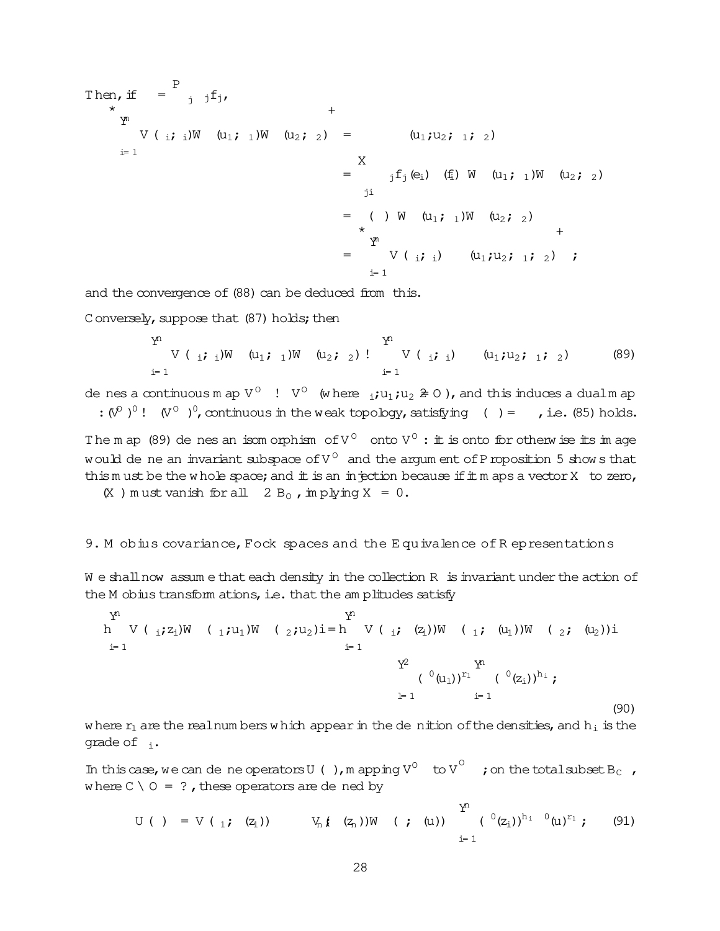Then, if 
$$
=
$$
 $\begin{array}{ccc}\n+ & & & \\
\uparrow \mathbf{m} & & & \\
\downarrow \mathbf{m} & & & \\
\downarrow \mathbf{m} & & & \\
\downarrow \mathbf{m} & & & \\
\downarrow \mathbf{m} & & & \\
\downarrow \mathbf{m} & & & \\
\downarrow \mathbf{m} & & & \\
\downarrow \mathbf{m} & & & \\
\downarrow \mathbf{m} & & & \\
\downarrow \mathbf{m} & & & \\
\downarrow \mathbf{m} & & & \\
\downarrow \mathbf{m} & & & \\
\downarrow \mathbf{m} & & & \\
\downarrow \mathbf{m} & & & \\
\downarrow \mathbf{m} & & & \\
\downarrow \mathbf{m} & & & \\
\downarrow \mathbf{m} & & & \\
\downarrow \mathbf{m} & & & \\
\downarrow \mathbf{m} & & & \\
\downarrow \mathbf{m} & & & \\
\downarrow \mathbf{m} & & & \\
\downarrow \mathbf{m} & & & & \\
\downarrow \mathbf{m} & & & & \\
\downarrow \mathbf{m} & & & & \\
\downarrow \mathbf{m} & & & & \\
\downarrow \mathbf{m} & & & & \\
\downarrow \mathbf{m} & & & & \\
\downarrow \mathbf{m} & & & & \\
\downarrow \mathbf{m} & & & & \\
\downarrow \mathbf{m} & & & & \\
\downarrow \mathbf{m} & & & & \\
\downarrow \mathbf{m} & & & & \\
\downarrow \mathbf{m} & & & & \\
\downarrow \mathbf{m} & & & & \\
\downarrow \mathbf{m} & & & & \\
\downarrow \mathbf{m} & & & & \\
\downarrow \mathbf{m} & & & & \\
\downarrow \mathbf{m} & & & & \\
\downarrow \mathbf{m} & & & & \\
\downarrow \mathbf{m} & & & & \\
\downarrow \mathbf{m} & & & & \\
\downarrow \mathbf{m} & & & & \\
\downarrow \mathbf{m} & & & & & \\
\downarrow \mathbf{m} & & & & & \\
\downarrow \mathbf{m} & & & & & \\
\downarrow \mathbf{m} & & & & & \\
\downarrow \mathbf{m} & & & & & \\
\downarrow \mathbf{m} & & & & & \\
\downarrow \mathbf{m} & & & & & \\
\downarrow \mathbf{m} & & & & & \\
\downarrow \mathbf{m} & & & & & \\
\downarrow \mathbf{m} & & & & & \\
\downarrow \mathbf{m} & & & & & \\
\downarrow \mathbf{m} &$ 

and the convergence of (88) can be deduced from this.

Conversely, suppose that (87) holds; then

$$
Y^{n} \t V \t (i, i)W \t (u_{1}, i)W \t (u_{2}, 2) ! \t Y^{n} \t V \t (i, i) \t (u_{1}, u_{2}, 1, 2) \t (89)
$$

de nes a continuous m ap  $V^0$  !  $V^0$  (where  $i \cdot i u_1 \cdot u_2 \ncong 0$ ), and this induces a dualm ap :  $({\mathcal V}^{\partial})^0$ !  $({\mathcal V}^{\partial})^0$ , continuous in the weak topology, satisfying () = , i.e. (85) holds.

The m ap (89) de nes an isomorphism of  $V^0$  onto  $V^0$ : it is onto for otherw ise its image would de ne an invariant subspace of  $V^0$  and the argum ent of P roposition 5 shows that this must be the whole space; and  $\pm$  is an injection because if  $\pm$  m aps a vector X to zero,

(X) must vanish for all  $2 B_0$ , implying  $X = 0$ .

## 9. M obius covariance, Fock spaces and the Equivalence of R epresentations

We shall now assume that each density in the collection R is invariant under the action of the M obius transform ations, i.e. that the am plitudes satisfy

$$
\begin{array}{llll}\nY^n & & \text{if } V \text{ ( } i \text{ is } z_1 \text{)} \text{ with } V \text{ ( } i \text{ is } z_1 \text{)} \text{ with } V \text{ ( } i \text{ is } z_1 \text{)} \text{ with } V \text{ ( } i \text{ is } z_1 \text{)} \text{ with } V \text{ ( } i \text{ is } z_1 \text{)} \text{ with } V \text{ ( } i \text{ is } z_1 \text{)} \text{ with } V \text{ ( } i \text{ is } z_1 \text{)} \text{ with } V \text{ ( } i \text{ is } z_1 \text{)} \text{ with } V \text{ ( } i \text{ is } z_1 \text{)} \text{ with } V \text{ ( } i \text{ is } z_1 \text{)} \text{ with } V \text{ ( } i \text{ is } z_1 \text{)} \text{ with } V \text{ ( } i \text{ is } z_1 \text{)} \text{ with } V \text{ ( } i \text{ is } z_1 \text{)} \text{ with } V \text{ ( } i \text{ is } z_1 \text{)} \text{ with } V \text{ ( } i \text{ is } z_1 \text{)} \text{ with } V \text{ ( } i \text{ is } z_1 \text{)} \text{ with } V \text{ ( } i \text{ is } z_1 \text{)} \text{ with } V \text{ ( } i \text{ is } z_1 \text{)} \text{ with } V \text{ ( } i \text{ is } z_1 \text{)} \text{ with } V \text{ ( } i \text{ is } z_1 \text{)} \text{ with } V \text{ ( } i \text{ is } z_1 \text{)} \text{ with } V \text{ ( } i \text{ is } z_1 \text{)} \text{ with } V \text{ ( } i \text{ is } z_1 \text{)} \text{ with } V \text{ ( } i \text{ is } z_1 \text{)} \text{ with } V \text{ ( } i \text{ is } z_1 \text{)} \text{ with } V \text{ ( } i \text{ is } z_1 \text{)} \text{ with } V \text{ ( } i \text{ is } z_1 \text{)} \text{ with } V \text{ ( } i \text{ is } z_1 \text{)} \text{ with } V \text{ ( } i \text{ is } z_1 \text{)} \text{ with } V \text{ ( } i \text{ is } z_1 \text{)} \text{ with } V \text{ ( } i \text{ is } z_1 \text{)} \text{
$$

where  $r_1$  are the real numbers which appear in the dention of the densities, and  $h_i$  is the grade of  $\,$ <sub>i</sub>.

In this case, we can de ne operators U(), m apping  $V^0$  to  $V^0$ ; on the total subset B<sub>C</sub>, where  $C \setminus 0 = ?$ , these operators are dened by

$$
U ( ) = V ( _{1}; (z_{1}) ) \qquad V_{n} ( (z_{n}) ) W ( ; (u) ) \qquad V^{n} (z_{1}) )^{h_{1} \ 0} (u)^{r_{1}} ; (91)
$$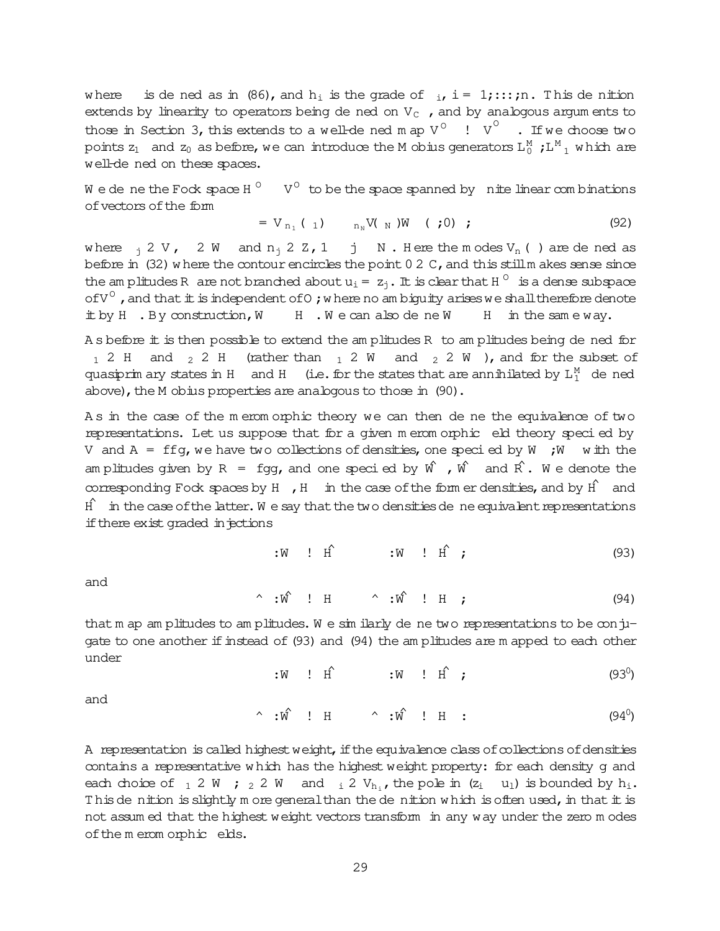where is de ned as in (86), and h<sub>i</sub> is the grade of  $i, i = 1; \ldots; n$ . This de nition extends by linearity to operators being de ned on  $V_c$ , and by analogous argum ents to those in Section 3, this extends to a well-de ned map V  $^{\circ}$   $\,$  !  $\,$  V  $^{\circ}$   $\,$  . If we choose two points  $z_1$  and  $z_0$  as before, we can introduce the M obius generators  $L^M_{\hskip 0.5pt 0}$  ; $L^M_{\hskip 0.5pt 1}$  which are well-dened on these spaces.

We denethe Fock space H  $^{\circ}$  v  $^{\circ}$  to be the space spanned by inite linear combinations ofvectors ofthe form

$$
= V_{n_1} (1) \t n_N V(N) W (i0); \t(92)
$$

where  $\frac{1}{1}$  2 V, 2 W and  $n_1$  2 Z, 1 j N. Here the m odes V<sub>n</sub> () are de ned as before in (32) w here the contour encircles the point  $0\ 2\ C$ , and this still m akes sense since the amplitudes R are not branched about  $u_i = z_j$ . It is clear that H  $^{\circ}$  is a dense subspace of  $V^{\circ}$  , and that it is independent of O ; w here no am biguity arises we shall therefore denote it by H. By construction, W. H. We can also dene W. H. in the same way.

A s before it is then possible to extend the am plitudes R to am plitudes being dened for  $_1$  2 H and  $_2$  2 H (rather than  $_1$  2 W and  $_2$  2 W), and for the subset of quasiprimary states in H and H (i.e. for the states that are annihilated by  $L_1^M$  de ned above), the M obius properties are analogous to those in  $(90)$ .

As in the case of the merom orphic theory we can then de ne the equivalence of two representations. Let us suppose that for a given merom orphic eld theory specied by V and  $A = ffg$ , we have two collections of densities, one specied by  $W$ ;  $W$  with the am plitudes given by R = fgg, and one specied by  $\hat{W}$ ,  $\hat{W}$  and  $\hat{R}$ . We denote the corresponding Fock spaces by H,  $\mu$  in the case of the form er densities, and by  $\hat{H}$  and  $\hat{H}$  in the case of the latter. We say that the two densities de ne equivalent representations if there exist graded in jections

$$
:W \quad \text{!} \quad \text{if} \quad \text{:}W \quad \text{!} \quad \text{if} \quad \text{;} \tag{93}
$$

and

$$
\hat{\mathbf{w}} : \hat{\mathbf{w}} \quad \text{if} \quad \mathbf{w} \quad \hat{\mathbf{w}} : \hat{\mathbf{w}} \quad \text{if} \quad \mathbf{w} \quad \text{if} \quad \mathbf{w} \tag{94}
$$

that m ap am plitudes to am plitudes. We similarly denie two representations to be conjugate to one another if instead of (93) and (94) the am plitudes are m apped to each other under

$$
:\mathbf{W} \quad \vdots \quad \hat{H} \qquad \qquad : \mathbf{W} \quad \vdots \quad \hat{H} \quad \mathbf{F} \tag{93}^0
$$

and

 $\hat{W}$  :  $\hat{W}$  ! H  $\hat{W}$  :  $\hat{W}$  ! H : (94<sup>0</sup>)

A representation is called highest weight, if the equivalence class of collections of densities contains a representative w hich has the highest weight property: for each density g and each choice of  $_1$  2 W ;  $_2$  2 W and  $_1$  2 V<sub>h</sub>, the pole in (z<sub>i</sub> u<sub>1</sub>) is bounded by h<sub>i</sub>. This de nition is slightly m ore general than the denition which is often used, in that it is not assum ed that the highest weight vectors transform in any way under the zero m odes of the m erom orphic elds.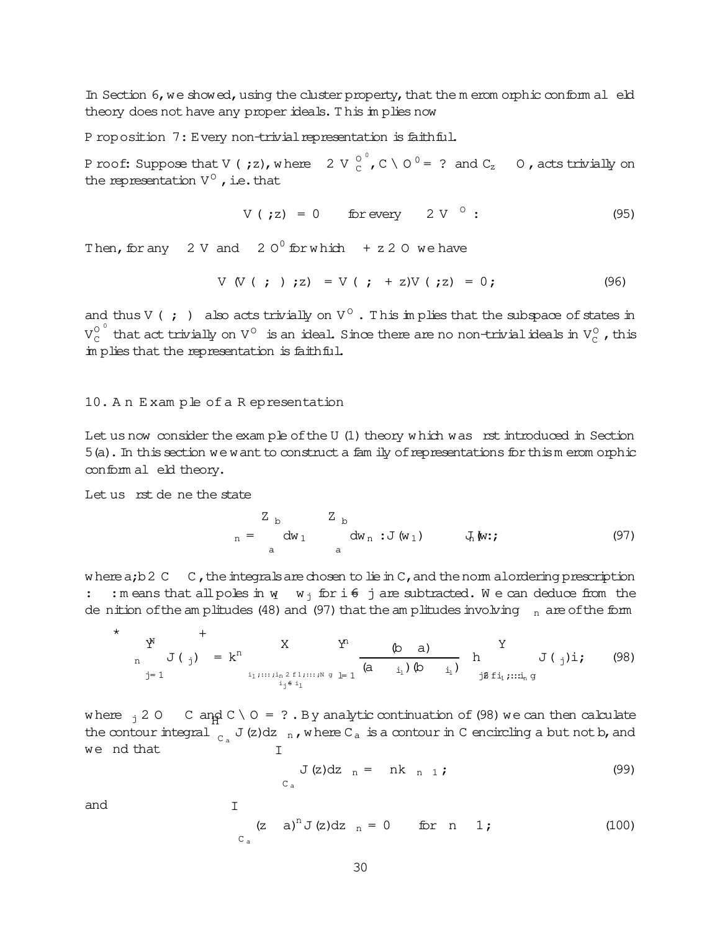In Section  $6$ , we showed, using the cluster property, that the m erom orphic conform al eld theory does not have any proper ideals. T his im plies now

P roposition 7: Every non-trivial representation is faithful.

P roof: Suppose that V ( ;z), where  $-$  2 V  $_{\rm C}^{\rm O}$  , C \ O  $^{\rm O}$  =  $\,$  ?  $\,$  and C $_{\rm z}$   $-$  O , acts trivially on the representation  $V^{\circ}$  , i.e. that

$$
V ( ; z) = 0 \tfor every 2 V0 : \t(95)
$$

Then, for any 2 V and 2  $0^0$  for which  $+ z 2 0$  we have

$$
V (V ( ; ) ; z) = V ( ; + z) V ( ; z) = 0 ; \qquad (96)
$$

and thus V ( ; ) also acts trivially on  $V^{\circ}$  . This implies that the subspace of states in  $\rm{V_C^0}$  that act trivially on  $\rm{V^O}\;$  is an ideal. Since there are no non-trivial ideals in  $\rm{V_C^O}$  , this im plies that the representation is faithful.

10. A n E xam ple of a R epresentation

Let us now consider the exam ple of the U (1) theory w hich was rst introduced in Section 5(a). In this section we want to construct a fam ily of representations for thism erom orphic conform al eld theory.

Let us rst de ne the state

$$
T_{n} = \begin{pmatrix} Z_{b} & Z_{b} \\ dw_{1} & dw_{n} : J(w_{1}) & J_{n}w; \end{pmatrix}
$$
 (97)

w here  $a$ ;b 2 C  $C$ , the integrals are chosen to lie in C, and the norm alordering prescription : : means that all poles in  $w_i$  w<sub>i</sub> for i $\theta$  j are subtracted. We can deduce from the de nition of the am plitudes (48) and (97) that the am plitudes involving  $n$  are of the form

\* 
$$
\Psi
$$
 +  
\n $\Psi$   $J(\ )$  =  $k^{n}$   $\Psi$   $\Phi$   $a)$   $Y$   
\n $j=1$   $J(\ )$  =  $k^{n}$   $\frac{1}{i_{1} \cdots i_{n} 2 f 1, \cdots, N g} \Big|_{i=1}^{n} \frac{1}{i_{1} \cdots i_{n} g} \Big|_{i=1}^{n} \frac{1}{i_{1} \cdots i_{n} g} \Big|_{i=1}^{n} \cdots \Big|_{i=1}^{n} \frac{1}{j_{1} \cdots j_{n} g} \Big|_{i=1}^{n} \cdots \Big|_{i=1}^{n} \Big|_{i=1}^{n} \Big|_{i=1}^{n} \Big|_{i=1}^{n} \Big|_{i=1}^{n} \Big|_{i=1}^{n} \Big|_{i=1}^{n} \Big|_{i=1}^{n} \Big|_{i=1}^{n} \Big|_{i=1}^{n} \Big|_{i=1}^{n} \Big|_{i=1}^{n} \Big|_{i=1}^{n} \Big|_{i=1}^{n} \Big|_{i=1}^{n} \Big|_{i=1}^{n} \Big|_{i=1}^{n} \Big|_{i=1}^{n} \Big|_{i=1}^{n} \Big|_{i=1}^{n} \Big|_{i=1}^{n} \Big|_{i=1}^{n} \Big|_{i=1}^{n} \Big|_{i=1}^{n} \Big|_{i=1}^{n} \Big|_{i=1}^{n} \Big|_{i=1}^{n} \Big|_{i=1}^{n} \Big|_{i=1}^{n} \Big|_{i=1}^{n} \Big|_{i=1}^{n} \Big|_{i=1}^{n} \Big|_{i=1}^{n} \Big|_{i=1}^{n} \Big|_{i=1}^{n} \Big|_{i=1}^{n} \Big|_{i=1}^{n} \Big|_{i=1}^{n} \Big|_{i=1}^{n} \Big|_{i=1}^{n} \Big|_{i=1}^{n} \Big|_{i=1}^{n} \Big|_{i=1}^{n} \Big|_{i=1}^{n} \Big|_{i=1}^{n} \Big|_{i=1}^{n} \Big|_{i=1}^{n} \Big|_{i=1}^{n$ 

where  $j \, 2 \, 0$  C and  $C \setminus 0 = ?$  . By analytic continuation of (98) we can then calculate the contour integral  $\frac{1}{C_a}$  J (z)dz  $\frac{1}{n}$ , w here  $C_a$  is a contour in C encircling a but not b, and we nd that  $\qquad \qquad$   $\qquad \qquad$   $\qquad$   $\qquad$   $\qquad$   $\qquad$   $\qquad$   $\qquad$   $\qquad$   $\qquad$   $\qquad$   $\qquad$   $\qquad$   $\qquad$   $\qquad$   $\qquad$   $\qquad$   $\qquad$   $\qquad$   $\qquad$   $\qquad$   $\qquad$   $\qquad$   $\qquad$   $\qquad$   $\qquad$   $\qquad$   $\qquad$   $\qquad$   $\qquad$   $\qquad$   $\qquad$   $\qquad$   $\qquad$ 

$$
J(z)dz_n = nk_{n-1};
$$
 (99)

and I

$$
\begin{array}{cccc}\n (z & a)^n J (z) dz & n = 0 & \text{for } n = 1; \\
 c_a & (100)\n \end{array}
$$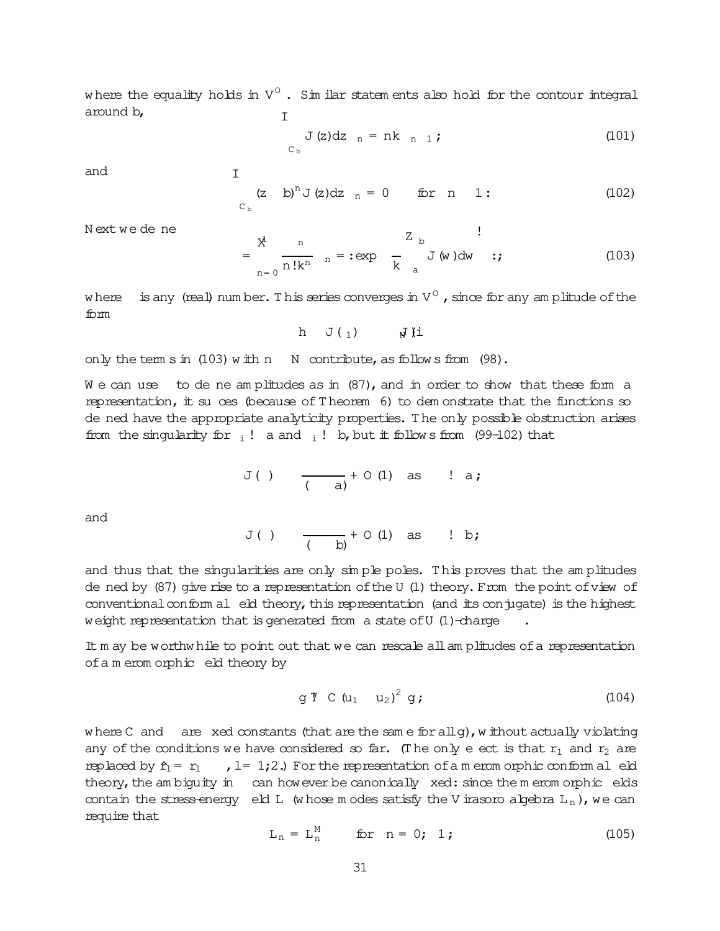where the equality holds in  $\texttt{V}^\texttt{O}$  . Sim ilar statem ents also hold for the contour integral around b, I

$$
J(z)dz_n = nk_{n-1}; \qquad (101)
$$

!

and I

C <sup>b</sup> (z b)<sup>n</sup> J(z)dz <sub>n</sub> = 0 for n 1: (102)

Next we de ne

$$
= \frac{\dot{x}^{1}}{n!k^{n}} \Big|_{n=0}^{n=1} = :\exp \frac{Z_{b}}{k} \frac{1}{a} J(w)dw ; \qquad (103)
$$

where  $\;$  is any (real) number. This series converges in V  $^{\circ}$  , since for any am plitude of the form

h  $J(1)$   $J(1)$ 

only the term s in  $(103)$  with n N contribute, as follow s from  $(98)$ .

 $W$  e can use to de ne am plitudes as in  $(87)$ , and in order to show that these form a representation, it su ces (because of T heorem 6) to dem onstrate that the functions so de ned have the appropriate analyticity properties. The only possible obstruction arises from the singularity for  $_i$ ! a and  $_i$ ! b, but it follow s from (99-102) that

$$
J()
$$
  $\frac{}{(-a)} + O(1)$  as ! a;

and

J( ) ( b)  $+ O (1)$  as  $! b;$ 

and thus that the singularities are only simple poles. This proves that the amplitudes de ned by  $(87)$  give rise to a representation of the U  $(1)$  theory. From the point of view of conventional conform al eld theory, this representation (and its conjugate) is the highest weight representation that is generated from a state of U (1)-charge

It m ay be worthw hile to point out that we can rescale all am plitudes of a representation ofa m erom orphic eld theory by

$$
g \mathbf{T} \quad C \left( u_1 \quad u_2 \right)^2 \mathbf{g} \tag{104}
$$

where  $C$  and are xed constants (that are the same for allg), w ithout actually violating any of the conditions we have considered so far. (The only e ect is that  $r_1$  and  $r_2$  are replaced by  $f_1 = r_1$ ,  $l = 1;2$ .) For the representation of a m erom orphic conform al eld theory, the am biguity in can how ever be canonically xed: since the m erom orphic elds contain the stress-energy eld L (w hose m odes satisfy the V irasoro algebra  $L_n$ ), we can require that

$$
L_n = L_n^M
$$
 for  $n = 0; 1;$  (105)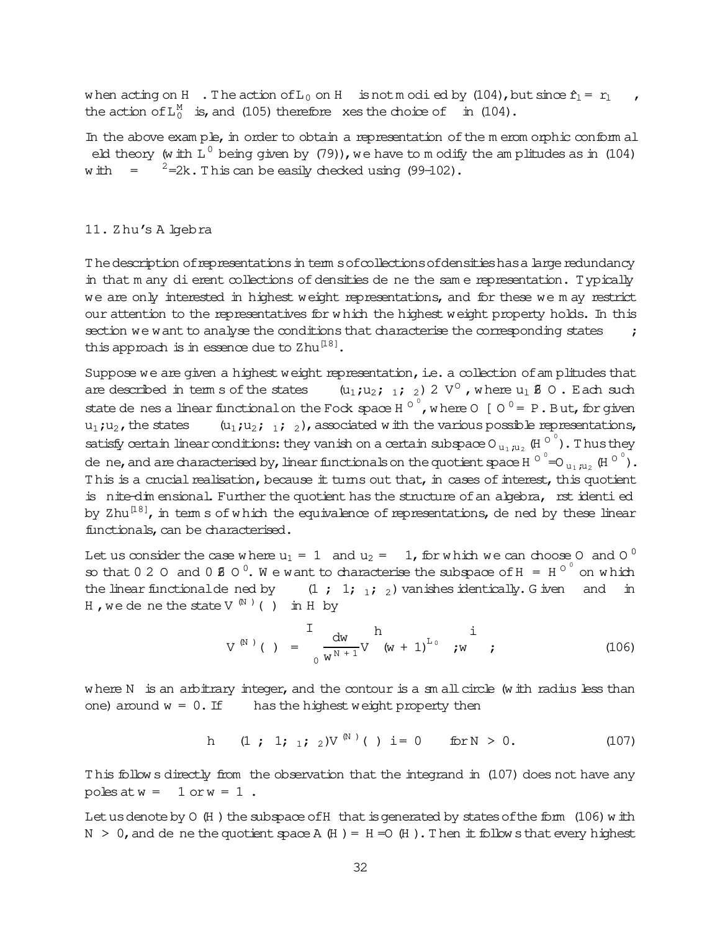when acting on H  $\cdot$  The action of L<sub>0</sub> on H is not m odied by (104), but since  $\hat{r}_1 = r_1$ the action of  $L_0^M$  is, and (105) therefore xes the choice of in (104).

In the above exam ple, in order to obtain a representation of the m erom orphic conform al eld theory (with  $L^0$  being given by (79)), we have to modify the amplitudes as in (104) with  $=$   $2=2k$ . This can be easily checked using (99-102).

## 11. Zhu's A lgebra

T he description of representations in term sofcollections of densities has a large redundancy in that m any dierent collections of densities de ne the same representation. Typically we are only interested in highest weight representations, and for these we m ay restrict our attention to the representatives for w hich the highest weight property holds. In this  $\epsilon$  section we want to analyse the conditions that characterise the corresponding states  $\epsilon$ ; this approach is in essence due to  $Zhu^{[18]}$ .

Suppose we are given a highest weight representation, i.e. a collection of am plitudes that are described in term s of the states  $(u_1; u_2; 1; 2)$  2 V<sup>o</sup>, where  $u_1$   $\beta$  0. Each such state de nes a linear functional on the Fock space H  $^\circ$  , where O [O  $^\circ$  = P. But, for given  $u_1; u_2$ , the states  $(u_1; u_2; 1; 2)$ , associated w ith the various possible representations, satisfy certain linear conditions: they vanish on a certain subspace O  $_{\sf u_1,\mu_2}$  (H  $^\circ$  ) . Thus they de ne, and are characterised by, linear functionals on the quotient space H  $^\circ$   $^\circ$   $=$ O  $_{\rm u_{1},u_{2}}$  (H  $^\circ$   $^\circ$  )  $.$ This is a crucial realisation, because it turns out that, in cases of interest, this quotient is nite-dim ensional. Further the quotient has the structure of an algebra, rst identi ed by Zhu<sup>[18]</sup>, in term s of which the equivalence of representations, de ned by these linear functionals, can be characterised.

Let us consider the case where  $u_1 = 1$  and  $u_2 = -1$ , for which we can choose 0 and 0  $^0$ so that  $0.2$  O and  $0.8$  O<sup>0</sup>. We want to characterise the subspace of H = H<sup>o</sup><sup>o</sup> on which the linear functional de ned by  $(1 ; 1; 1; 2)$  vanishes identically. G iven and in H , we de ne the state V  $^{(\text{N}^{-})}$  ( ) in H by

$$
V^{(N)}( ) = \frac{I}{\omega W} \frac{dw}{W^{N+1}} V h u + 1)^{L_0} jw \qquad (106)
$$

w here N is an arbitrary integer, and the contour is a sm all circle (with radius less than one) around  $w = 0$ . If has the highest weight property then

h (1 ; 1; 
$$
_{1}
$$
;  $_{2}$ )V <sup>(N )</sup> ( ) i = 0 for N > 0. (107)

T his follow s directly from the observation that the integrand in (107) does not have any poles at  $w = 1$  or  $w = 1$ .

Let us denote by  $O$  (H ) the subspace of H that is generated by states of the form (106) w ith  $N > 0$ , and de ne the quotient space A (H ) = H = O (H ). Then it follow s that every highest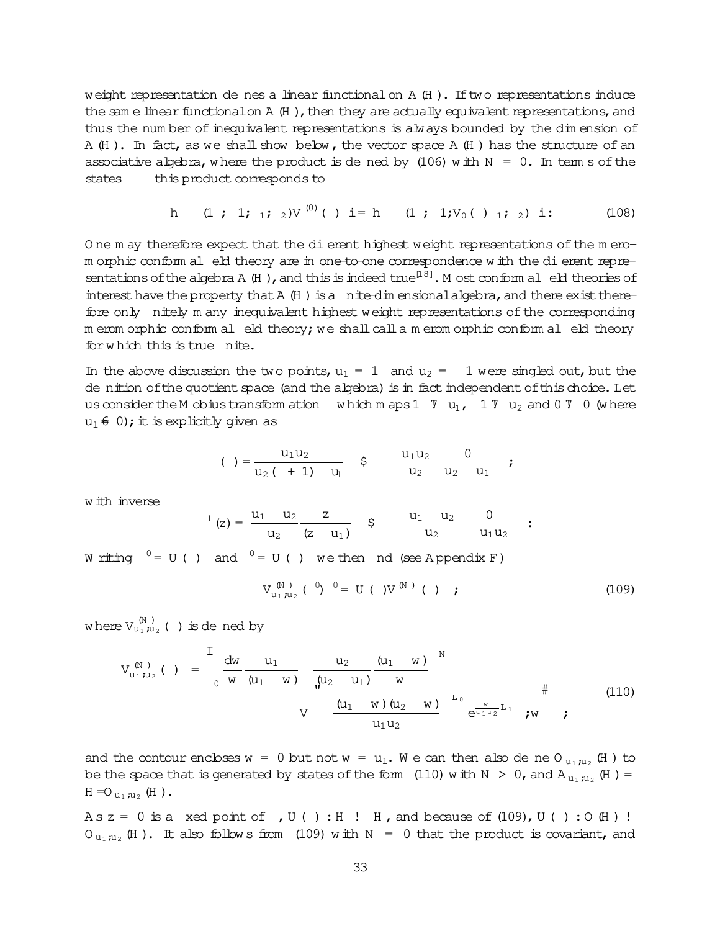weight representation de nes a linear functional on  $A(H)$ . If two representations induce the same linear functional on  $A$  (H), then they are actually equivalent representations, and thus the number of inequivalent representations is always bounded by the dimension of A (H). In fact, as we shall show below, the vector space A (H) has the structure of an associative algebra, where the product is de ned by (106) with  $N = 0$ . In term s of the states this product corresponds to

h (1 ; 1; 
$$
_{1}
$$
;  $_{2}$ )V <sup>(0)</sup> ( ) i = h (1 ; 1;V<sub>0</sub>( )  $_{1}$ ;  $_{2}$ ) i: (108)

One m ay therefore expect that the di erent highest weight representations of the m erom orphic conform al eld theory are in one-to-one correspondence with the di erent representations of the algebra A  $(H)$ , and this is indeed true<sup>[18]</sup>. M ost conform al eld theories of interest have the property that A (H) is a nite-dim ensional algebra, and there exist therefore only nitely m any inequivalent highest weight representations of the corresponding merom orphic conform al eld theory; we shall call a merom orphic conform al eld theory for which this is true nite.

In the above discussion the two points,  $u_1 = 1$  and  $u_2 = 1$  were singled out, but the de nition of the quotient space (and the algebra) is in fact independent of this choice. Let us consider the M obius transform ation which maps 1 7  $u_1$ , 17  $u_2$  and 0 7 0 (where  $u_1 \n\in 0$ ); it is explicitly given as

$$
( ) = \frac{u_1 u_2}{u_2 ( + 1)} \quad \text{and} \quad u_1 u_2 \quad \text{and} \quad u_2 u_1 \quad \text{and} \quad u_3 u_2 \quad \text{and} \quad u_4 u_3 \quad \text{and} \quad u_5 u_2 \quad \text{and} \quad u_6 u_3 \quad \text{and} \quad u_7 u_4 \quad \text{and} \quad u_8 u_5 \quad \text{and} \quad u_9 u_1 \quad \text{and} \quad u_1 u_2 \quad \text{and} \quad u_1 u_2 \quad \text{and} \quad u_2 u_3 \quad \text{and} \quad u_3 u_4 \quad \text{and} \quad u_3 u_4 \quad \text{and} \quad u_4 u_5 \quad \text{and} \quad u_4 u_5 \quad \text{and} \quad u_5 u_6 \quad \text{and} \quad u_6 u_7 \quad \text{and} \quad u_7 u_8 \quad \text{and} \quad u_8 u_9 \quad \text{and} \quad u_9 u_9 \quad \text{and} \quad u_9 u_9 \quad \text{and} \quad u_9 u_9 \quad \text{and} \quad u_9 u_9 \quad \text{and} \quad u_9 u_9 \quad \text{and} \quad u_9 u_9 \quad \text{and} \quad u_9 u_9 \quad \text{and} \quad u_9 u_9 \quad \text{and} \quad u_9 u_9 \quad \text{and} \quad u_9 u_9 \quad \text{and} \quad u_9 u_9 \quad \text{and} \quad u_9 u_9 \quad \text{and} \quad u_9 u_9 \quad \text{and} \quad u_9 u_9 \quad \text{and} \quad u_9 u_9 \quad \text{and} \quad u_9 u_9 \quad \text{and} \quad u_9 u_9 \quad \text{and} \quad u_9 u_9 \quad \text{and} \quad u_9 u_9 \quad \text{and} \quad u_9 u_9 \quad \text{and} \quad u_9 u_9 \quad \text{and} \quad u_9 u_9 \quad \text{and} \quad u_9 u_9 \quad \text{and} \quad u_9 u_9 \quad \text{and} \quad u_9 u_9 \quad \text{and} \quad u_9 u_9 \quad \text{and} \quad u_9 u_9 \quad \text{and} \quad u_9 u_9 \quad \text{and} \quad u_9 u_9 \quad \text
$$

w ith inverse

$$
1(z) = \frac{u_1}{u_2} \frac{u_2}{(z - u_1)} \quad \text{§} \qquad \begin{array}{ccc} u_1 & u_2 & 0 \\ u_2 & u_1 u_2 & \end{array} \quad \text{?}
$$

W riting  $0 = U($ ) and  $0 = U($ ) we then nd (see Appendix F)

$$
V_{u_1, u_2}^{(N)} \left( \begin{array}{c} 0 \end{array} \right) \quad 0 = U \quad (\gamma V^{(N)}) \quad (\gamma) \quad ; \tag{109}
$$

where  $V_{u_1,u_2}^{(N)}$  ( ) is dened by

$$
V_{u_1, u_2}^{(N)}( ) = \frac{1}{\omega} \frac{dw}{w} \frac{u_1}{(u_1 - w)} \frac{u_2}{\omega} \frac{(u_1 - w)}{u_2} \frac{w}{w} + \frac{w}{u_1 u_2} \frac{u_2}{(u_1 - w)} \frac{u_2}{u_1 u_2} \frac{w}{w} + \frac{w}{u_1 u_2} \frac{w}{w} + \frac{w}{w} \tag{110}
$$

and the contour encloses  $w = 0$  but not  $w = u_1$ . We can then also de ne O<sub>u,  $u_2$ </sub> (H) to be the space that is generated by states of the form (110) with N > 0, and A<sub>u<sub>1</sub>,u<sub>2</sub> (H) =</sub>  $H = O_{u_1, u_2}$  (H).

 $\text{As } z = 0 \text{ is a } x \in \text{point of } U() : H : H, \text{ and because of } (109), U() : O(H) !$  $O_{u_1, u_2}$  (H). It also follows from (109) with  $N = 0$  that the product is covariant, and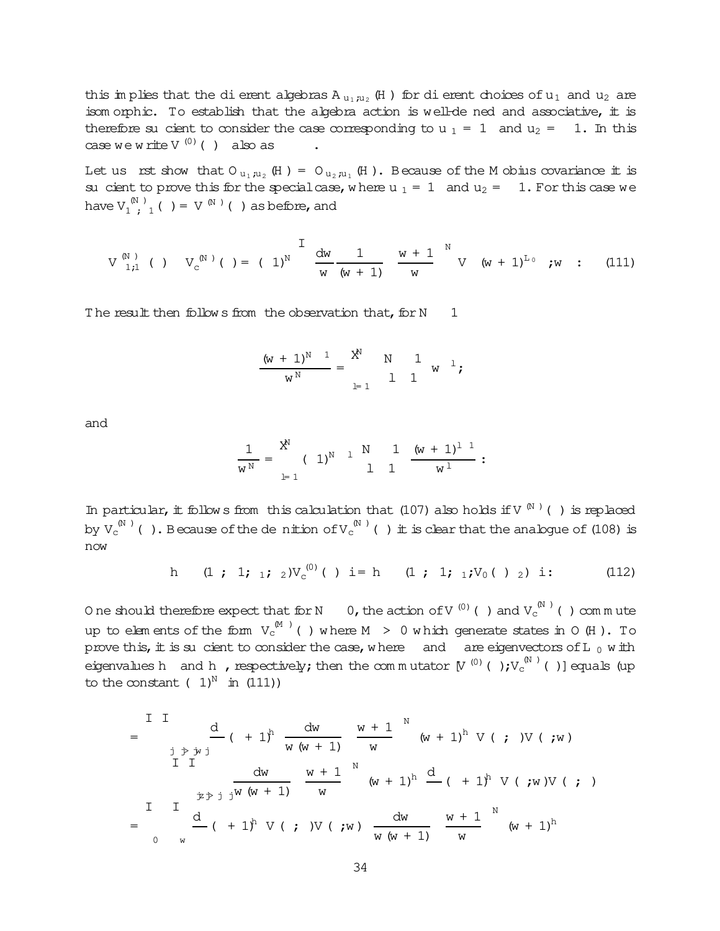this im plies that the dierent algebras A<sub>u1</sub>,<sub>u2</sub> (H) for dierent choices of u<sub>1</sub> and u<sub>2</sub> are isom orphic. To establish that the algebra action is well-de ned and associative, it is therefore sucient to consider the case corresponding to u  $_1 = 1$  and u<sub>2</sub> = 1. In this  $case we write V<sup>(0)</sup>$  ( ) also as  $.$ 

Let us rst show that  $O_{u_1,u_2}$  (H ) =  $O_{u_2,u_1}$  (H ). Because of the M obius covariance it is sucient to prove this for the special case, w here  $u_1 = 1$  and  $u_2 = 1$ . For this case we have V $_1^{(\mathbb{N}^{-})}$   $_1$  (  $\ )$  = V  $^{(\mathbb{N}^{-})}$  ( ) as before, and

$$
V_{1,1}^{(N)}( )\qquad V_C^{(N)}( ) = ( 1 )^N \left[\begin{array}{cc} 1 & \frac{1}{(W+1)} & \frac{N+1}{W} \end{array}\right]^N \quad V (W+1)^{L_0} \quad W ; \qquad (111)
$$

The result then follow s from the observation that, for  $N = 1$ 

$$
\frac{(w + 1)^{N-1}}{w^N} = \sum_{l=1}^{X^N} \begin{array}{ccc} N & 1 & w^{-1} \\ 1 & 1 & \end{array}
$$

and

$$
\frac{1}{w^N} = \frac{X^N}{1} (1)^N 1 N 1 \frac{1}{1} \frac{(w+1)^{1}}{w^1}:
$$

In particular, it follows from this calculation that (107) also holds if V  $(N)$  () is replaced by Vc $^{\text{\tiny{(N)}}}$  ( ). Because of the de nition of Vc $^{\text{\tiny{(N)}}}$  ( ) it is clear that the analogue of (108) is now

h (1; 1; 1; 2)V<sub>c</sub><sup>(0)</sup>( ) i= h (1; 1; 1;V<sub>0</sub>( ) 2) i: (112)

O ne should therefore expect that for N  $=0$ , the action of V  $^{(0)}$  () and V<sub>c</sub><sup>(N)</sup> () commute up to elements of the form  $V_c^{(M)}$  ( ) where M  $>$  0 w hich generate states in 0 (H ). To prove this, it is sucient to consider the case, where and are eigenvectors of L<sub>0</sub> w ith eigenvalues h and h , respectively; then the commutator  $\text{N}^{^{(0)}}$  ( ); $\text{V_c}^{^{(\mathbb{N}^+)}}$  ( )] equals (up to the constant  $(1)^N$  in  $(111)$ )

$$
= \frac{I I}{\int_{\substack{j \to jw \ j}}^{j \to jw \ j}} \frac{d}{w (w + 1)} \left( 1 + \frac{1}{w} \frac{1}{w} \frac{1}{w} \frac{1}{w} \frac{1}{w} \frac{1}{w} \frac{1}{w} \frac{1}{w} \frac{1}{w} \frac{1}{w} \frac{1}{w} \frac{1}{w} \frac{1}{w} \frac{1}{w} \frac{1}{w} \frac{1}{w} \frac{1}{w} \frac{1}{w} \frac{1}{w} \frac{1}{w} \frac{1}{w} \frac{1}{w} \frac{1}{w} \frac{1}{w} \frac{1}{w} \frac{1}{w} \frac{1}{w} \frac{1}{w} \frac{1}{w} \frac{1}{w} \frac{1}{w} \frac{1}{w} \frac{1}{w} \frac{1}{w} \frac{1}{w} \frac{1}{w} \frac{1}{w} \frac{1}{w} \frac{1}{w} \frac{1}{w} \frac{1}{w} \frac{1}{w} \frac{1}{w} \frac{1}{w} \frac{1}{w} \frac{1}{w} \frac{1}{w} \frac{1}{w} \frac{1}{w} \frac{1}{w} \frac{1}{w} \frac{1}{w} \frac{1}{w} \frac{1}{w} \frac{1}{w} \frac{1}{w} \frac{1}{w} \frac{1}{w} \frac{1}{w} \frac{1}{w} \frac{1}{w} \frac{1}{w} \frac{1}{w} \frac{1}{w} \frac{1}{w} \frac{1}{w} \frac{1}{w} \frac{1}{w} \frac{1}{w} \frac{1}{w} \frac{1}{w} \frac{1}{w} \frac{1}{w} \frac{1}{w} \frac{1}{w} \frac{1}{w} \frac{1}{w} \frac{1}{w} \frac{1}{w} \frac{1}{w} \frac{1}{w} \frac{1}{w} \frac{1}{w} \frac{1}{w} \frac{1}{w} \frac{1}{w} \frac{1}{w} \frac{1}{w} \frac{1}{w} \frac{1}{w} \frac{1}{w} \frac{1}{w} \frac{1}{w} \frac{1}{w} \frac{1}{w} \frac{1}{w} \frac{1}{w} \frac{1}{w} \frac{1}{w} \frac{1}{w} \frac{1}{w} \frac{1
$$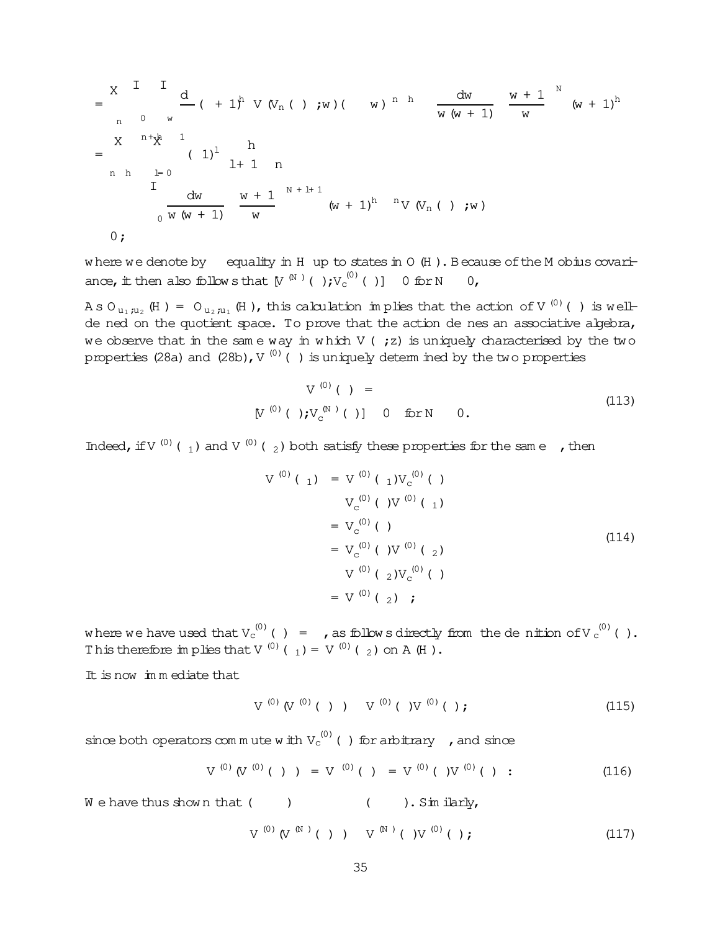$$
= \sum_{n=0}^{N} \frac{1}{w} \frac{1}{(w+1)^{n}} \frac{1}{(w+1)^{n}} \left( \frac{1}{w} \right)^{n} \frac{1}{w} \frac{1}{(w+1)^{n}}
$$
\n
$$
= \sum_{n=0}^{N} \frac{n + k}{(w+1)^{n}} \frac{1}{w+1} \frac{1}{(w+1)^{n}} \frac{1}{(w+1)^{n}} \frac{1}{(w+1)^{n}} \frac{1}{(w+1)^{n}} \frac{1}{(w+1)^{n}} \frac{1}{(w+1)^{n}} \frac{1}{(w+1)^{n}} \frac{1}{(w+1)^{n}} \frac{1}{(w+1)^{n}} \frac{1}{(w+1)^{n}} \frac{1}{(w+1)^{n}} \frac{1}{(w+1)^{n}} \frac{1}{(w+1)^{n}} \frac{1}{(w+1)^{n}} \frac{1}{(w+1)^{n}} \frac{1}{(w+1)^{n}} \frac{1}{(w+1)^{n}} \frac{1}{(w+1)^{n}} \frac{1}{(w+1)^{n}} \frac{1}{(w+1)^{n}} \frac{1}{(w+1)^{n}} \frac{1}{(w+1)^{n}} \frac{1}{(w+1)^{n}} \frac{1}{(w+1)^{n}} \frac{1}{(w+1)^{n}} \frac{1}{(w+1)^{n}} \frac{1}{(w+1)^{n}} \frac{1}{(w+1)^{n}} \frac{1}{(w+1)^{n}} \frac{1}{(w+1)^{n}} \frac{1}{(w+1)^{n}} \frac{1}{(w+1)^{n}} \frac{1}{(w+1)^{n}} \frac{1}{(w+1)^{n}} \frac{1}{(w+1)^{n}} \frac{1}{(w+1)^{n}} \frac{1}{(w+1)^{n}} \frac{1}{(w+1)^{n}} \frac{1}{(w+1)^{n}} \frac{1}{(w+1)^{n}} \frac{1}{(w+1)^{n}} \frac{1}{(w+1)^{n}} \frac{1}{(w+1)^{n}} \frac{1}{(w+1)^{n}} \frac{1}{(w+1)^{n}} \frac{1}{(w+1)^{n}} \frac{1}{(w+1)^{n}} \frac{1}{(w+1)^{n}} \frac{1}{(w+1)^{n
$$

where we denote by equality in H up to states in  $O(H)$ . Because of the M obius covariance, it then also follows that  $N^{(N)}$  (e); $V_c^{(0)}$  (e)] 0 for N = 0,

As O  $_{\sf u_1,\frak u_2}$  (H ) = O  $_{\sf u_2,\frak u_1}$  (H ), this calculation implies that the action of V  $^{(0)}$  ( ) is wellde ned on the quotient space. To prove that the action de nes an associative algebra, we observe that in the same way in which  $V$  ( ; z) is uniquely characterised by the two properties (28a) and (28b), V  $^{(0)}$  ( ) is uniquely determ ined by the two properties

$$
V^{(0)}( ) =
$$
  
\n
$$
[V^{(0)}( );V_c^{(N)}( )] =
$$
 for N 0. (113)

Indeed, if V<sup>(0)</sup>( $_1$ ) and V<sup>(0)</sup>( $_2$ ) both satisfy these properties for the same, then

$$
V^{(0)}(1) = V^{(0)}(1)V_c^{(0)}(1)
$$
  
\n
$$
V_c^{(0)}(1)V^{(0)}(1)
$$
  
\n
$$
= V_c^{(0)}(1)
$$
  
\n
$$
= V_c^{(0)}(1)V^{(0)}(2)
$$
  
\n
$$
= V_c^{(0)}(114)
$$
  
\n
$$
= V_c^{(0)}(2)V_c^{(0)}(1)
$$
  
\n
$$
= V_c^{(0)}(2);
$$
  
\n(114)

where we have used that V $_{\rm c}^{(0)}$  ( )  $\,$  =  $\,$  , as follow s directly from the de nition of V  $_{\rm c}^{(0)}$  ( ). This therefore implies that V<sup>(0)</sup> ( $_1$ ) = V<sup>(0)</sup>( $_2$ ) on A(H).

It is now im m ediate that

$$
V^{(0)} (V^{(0)}(1)) V^{(0)}(1) V^{(0)}(1); \qquad (115)
$$

since both operators commute with  $V_c^{(0)}$  () for arbitrary , and since

$$
V^{(0)}(V^{(0)}(1)) = V^{(0)}(1) = V^{(0)}(1) V^{(0)}(1); \qquad (116)
$$

 $W$  e have thus shown that  $($   $)$   $($   $)$ . Sim ilarly,

 $V^{(0)}(V^{(N)}(t)) = V^{(N)}(V^{(0)}(t));$  (117)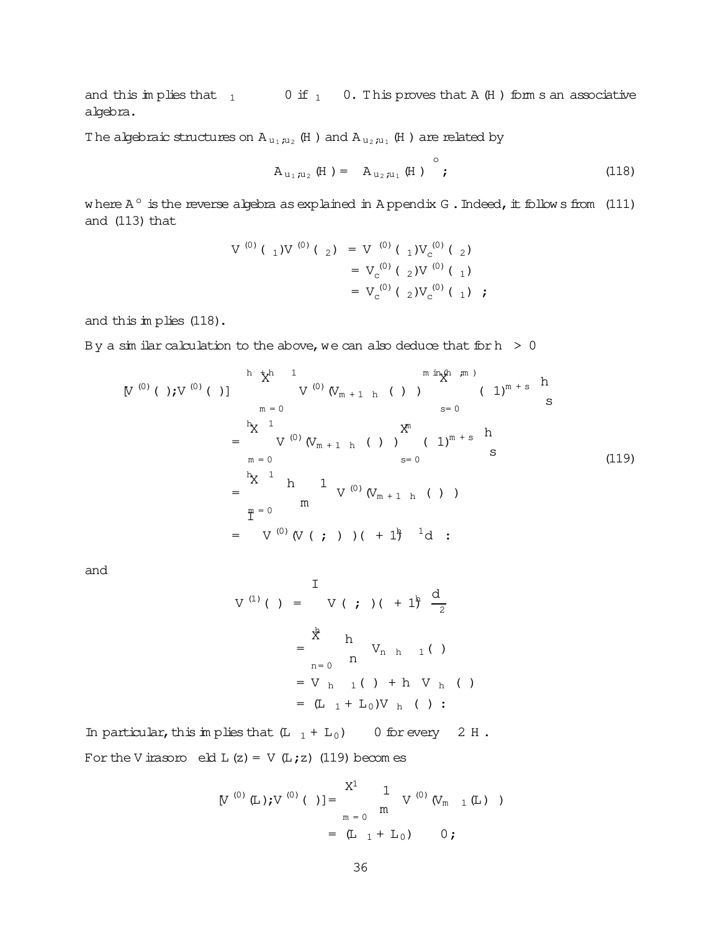and this im plies that  $1 \t 0$  if  $1 \t 0$ . This proves that A (H) form s an associative algebra.

The algebraic structures on  $A_{u_1;u_2}$  (H ) and  $A_{u_2;u_1}$  (H ) are related by

$$
A_{u_1, u_2} (H) = A_{u_2, u_1} (H) \bigg|_F^{\circ}
$$
 (118)

where  $A^{\circ}$  is the reverse algebra as explained in Appendix G. Indeed, it follow s from (111) and  $(113)$  that

$$
V^{(0)}(1)V^{(0)}(2) = V^{(0)}(1)V_c^{(0)}(2)
$$
  
=  $V_c^{(0)}(2)V_c^{(0)}(1)$   
=  $V_c^{(0)}(2)V_c^{(0)}(1)$  ;

and this im plies (118).

By a simular calculation to the above, we can also deduce that for  $h > 0$ 

$$
N^{(0)}( );V^{(0)}( )]
$$
\n
$$
N^{(0)}( );V^{(0)}( )]
$$
\n
$$
N^{(0)}( W_{m+1 h} ( ) )
$$
\n
$$
N^{(0)}( W_{m+1 h} ( ) )
$$
\n
$$
N^{(0)}( W_{m+1 h} ( ) )
$$
\n
$$
N^{(0)}( W_{m+1 h} ( ) )
$$
\n
$$
N^{(0)}( W_{m+1 h} ( ) )
$$
\n
$$
N^{(0)}( W_{m+1 h} ( ) )
$$
\n
$$
N^{(0)}( W_{m+1 h} ( ) )
$$
\n
$$
N^{(0)}( W_{m+1 h} ( ) )
$$
\n
$$
N^{(0)}( W_{m+1 h} ( ) )
$$
\n
$$
N^{(0)}( W_{m+1 h} ( ) )
$$
\n
$$
N^{(0)}( W_{m+1 h} ( ) )
$$
\n
$$
N^{(0)}( W_{m+1 h} ( ) )
$$
\n
$$
N^{(0)}( W_{m+1 h} ( ) )
$$
\n
$$
N^{(0)}( W_{m+1 h} ( ) )
$$
\n
$$
N^{(0)}( W_{m+1 h} ( ) )
$$
\n
$$
N^{(0)}( W_{m+1 h} ( ) )
$$
\n
$$
N^{(0)}( W_{m+1 h} ( ) )
$$
\n
$$
N^{(0)}( W_{m+1 h} ( ) )
$$
\n
$$
N^{(0)}( W_{m+1 h} ( ) )
$$
\n
$$
N^{(0)}( W_{m+1 h} ( ) )
$$
\n
$$
N^{(0)}( W_{m+1 h} ( ) )
$$
\n
$$
N^{(0)}( W_{m+1 h} ( ) )
$$
\n
$$
N^{(0)}( W_{m+1 h} ( ) )
$$
\n
$$
N^{(0)}( W_{m+1 h} ( ) )
$$
\n
$$
N^{(0)}( W_{m+1 h} ( ) )
$$
\n
$$
N^{(0)}( W_{m+1 h} ( ) )
$$
\n
$$
N^{(0)}( W_{m+1 h} ( ) )
$$
\n
$$
N^{(0)}( W
$$

and

$$
V^{(1)}( ) = \begin{array}{c} I \\ V( ; ) \end{array} ( + 1)^{\frac{1}{2}} \frac{d}{2}
$$
  

$$
= \begin{array}{c} \frac{1}{2} \\ h \\ n = 0 \\ m = 0 \end{array} V_{n h} 1( )
$$
  

$$
= V_{h} 1( ) + h V_{h} ( )
$$
  

$$
= (L_1 + L_0)V_{h} ( ) :
$$

In particular, this im plies that  $(L_1 + L_0)$  0 for every 2 H. For the V irasoro eld L(z) = V  $(L; z)$  (119) becomes

$$
[V^{(0)} (L);\nabla^{(0)} (L)] = \sum_{m=0}^{X^1} \frac{1}{m} V^{(0)} (V_{m-1} (L))
$$
  
=  $(L_{1} + L_0) \qquad 0;$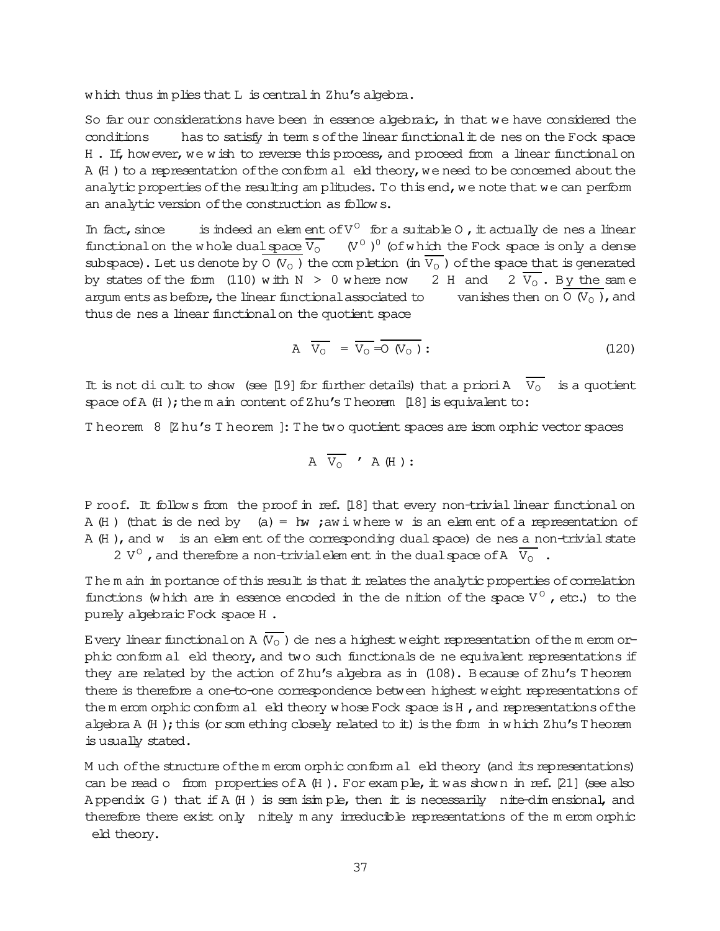which thus im plies that  $L$  is central in Zhu's algebra.

So far our considerations have been in essence algebraic, in that we have considered the conditions has to satisfy in term s of the linear functional  $\pm$  denes on the Fock space H. If, however, we w ish to reverse this process, and proceed from a linear functional on A (H) to a representation of the conform alleld theory, we need to be concerned about the analytic properties of the resulting am plitudes. To this end, we note that we can perform an analytic version of the construction as follow s.

In fact, since is indeed an element of  $V^0$  for a suitable 0, it actually de nes a linear functional on the whole dual space  $\overline{V_0}$   $\qquad$   $(V^0)^0$  (of which the Fock space is only a dense subspace). Let us denote by  $\overline{O(N_0)}$  the completion (in  $\overline{V_0}$ ) of the space that is generated by states of the form (110) with N > 0 w here now 2 H and 2  $\overline{V_0}$ . By the same argum ents as before, the linear functional associated to vanishes then on  $O$  (V<sub>O</sub>), and thus de nes a linear functional on the quotient space

$$
A \quad \overline{V_0} = \overline{V_0} = 0 \quad (V_0)
$$

It is not dicult to show (see [19] for further details) that a prioriA  $\overline{V_0}$  is a quotient space of A  $(H)$ ; the m ain content of Zhu's T heorem [18] is equivalent to:

T heorem 8 [Zhu's T heorem ]:T he two quotient spaces are isom orphic vector spaces

$$
\mathtt{A} \ \overline{\mathtt{V}_\mathtt{O}} \ \cdot \mathtt{A} \ (\mathtt{H}) : \quad
$$

P roof. It follow s from the proof in ref. [18] that every non-trivial linear functional on A (H) (that is de ned by (a) =  $\hbar w$ ; aw i w here w is an element of a representation of  $A(H)$ , and w is an elem ent of the corresponding dual space) de nes a non-trivial state 2  $V^0$  , and therefore a non-trivialelem ent in the dualspace of A  $V_0$ .

The m ain im portance of this result is that it relates the analytic properties of correlation functions (which are in essence encoded in the de nition of the space  $V^0$ , etc.) to the purely algebraic Fock space H .

Every linear functional on A  $\overline{(V_{\Omega})}$  de nes a highest weight representation of the m erom orphic conform al eld theory, and two such functionals de ne equivalent representations if they are related by the action of Zhu's algebra as in (108). Because of Zhu's T heorem there is therefore a one-to-one correspondence between highest weight representations of the m erom orphic conform alleld theory whose Fock space is  $H$ , and representations of the algebra A  $(H)$ ; this (or som ething closely related to it) is the form in w hich Zhu's Theorem is usually stated.

M uch of the structure of the m erom orphic conform al eld theory (and its representations) can be read o from properties of  $A(H)$ . For example, it was shown in ref. [21] (see also A ppendix  $G$ ) that if A  $(H)$  is sem isimple, then it is necessarily nite-dim ensional, and therefore there exist only nitely m any irreducible representations of the m erom orphic eld theory.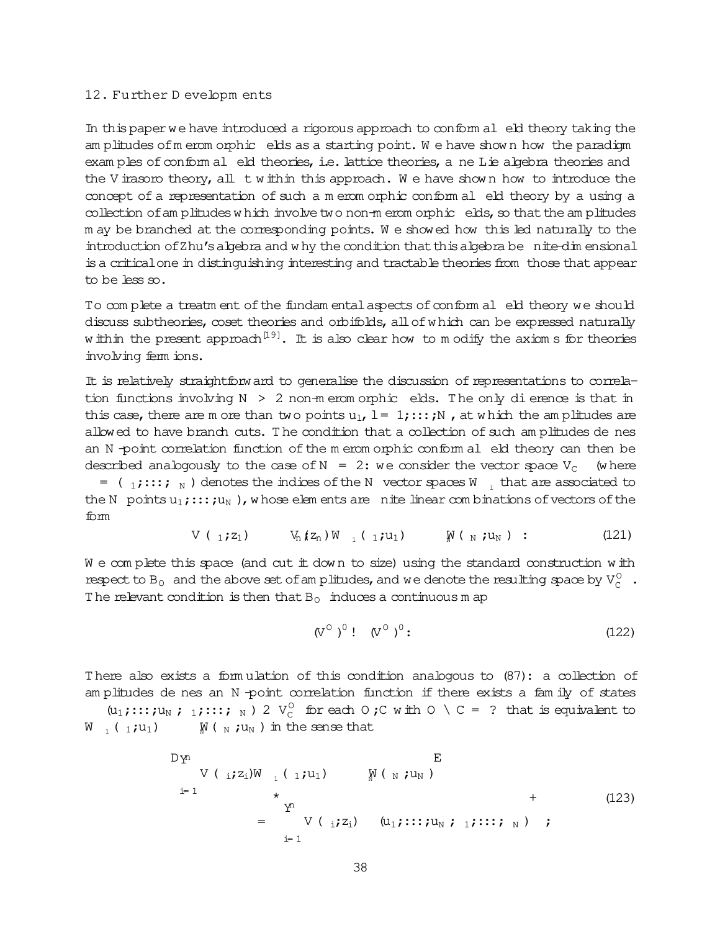### 12. Further D evelopm ents

In this paper we have introduced a rigorous approach to conform al eld theory taking the am plitudes ofm erom orphic elds as a starting point. W e have show n how the paradigm exam ples of conform al eld theories, i.e. lattice theories, a ne Lie algebra theories and the V irasoro theory, all twithin this approach. We have shown how to introduce the concept of a representation of such a m erom orphic conform al eld theory by a using a collection of am plitudes w hich involve two non-m erom orphic  $eks$ , so that the am plitudes m ay be branched at the corresponding points. W e showed how this led naturally to the introduction of Zhu's algebra and why the condition that this algebra benite-dim ensional is a criticalone in distinguishing interesting and tractable theories from those that appear to be less so.

To complete a treatm ent of the fundam ental aspects of conform al eld theory we should discuss subtheories, coset theories and orbifolds, all of which can be expressed naturally w ithin the present approach  $[19]$ . It is also clear how to m odify the axiom s for theories involving ferm ions.

It is relatively straightforward to generalise the discussion of representations to correlation functions involving  $N > 2$  non-merom or phic elds. The only dierence is that in this case, there are m ore than two points  $u_1$ ,  $l= 1$ ;::;N, at which the am plitudes are allowed to have branch cuts. The condition that a collection of such am plitudes de nes an N -point correlation function of the m erom orphic conform alleld theory can then be described analogously to the case of  $N = 2$ : we consider the vector space  $V_C$  (where

 $=$  ( 1;:::; N ) denotes the indices of the N vector spaces W i that are associated to the N points  $u_1$ ;::; $u_N$ ), whose elem ents are nite linear combinations of vectors of the form

$$
V (1; z_1) \t V_n (z_n) W_1 (1; u_1) \t W (N; u_N) : \t (121)
$$

We complete this space (and cut it down to size) using the standard construction with respect to B<sub>0</sub> and the above set of am plitudes, and we denote the resulting space by  $V_C^O$  . The relevant condition is then that  $B_0$  induces a continuous m ap

$$
(V^{\circ})^0: (V^{\circ})^0: (122)
$$

There also exists a formulation of this condition analogous to  $(87)$ : a collection of am plitudes de nes an N -point correlation function if there exists a fam ily of states

(u<sub>1</sub>;:::;u<sub>N</sub>; 1;:::; <sub>N</sub>) 2 V<sub>C</sub> for each 0;C with 0 \ C = ? that is equivalent to  $W_{1}$  ( 1;u<sub>1</sub>)  $W_{N}$  (  $_{N}$  ;u<sub>N</sub> ) in the sense that

$$
D_{Y^{n}} \nabla (\cdot_{i}; z_{i}) W_{1} (\cdot_{i}; u_{1}) \nabla \wedge (\cdot_{i}; z_{i}) W_{2} (\cdot_{i}; u_{1}) \nabla \wedge (\cdot_{i}; z_{i}) \nabla \wedge (\cdot_{i}; z_{i}) (\cdot_{i}; z_{i}; u_{N}; \cdot_{i}; \dots; \cdot_{N}) ;
$$
\n
$$
= \nabla (\cdot_{i}; z_{i}) (\cdot_{i}; z_{i}; u_{N}; \cdot_{i}; \dots; \cdot_{N}) ;
$$
\n
$$
= 1 \nabla \cdot (\cdot_{i}; z_{i}) (\cdot_{i}; z_{i}; u_{N}; \cdot_{i}; \dots; \cdot_{N}) ;
$$
\n
$$
(123)
$$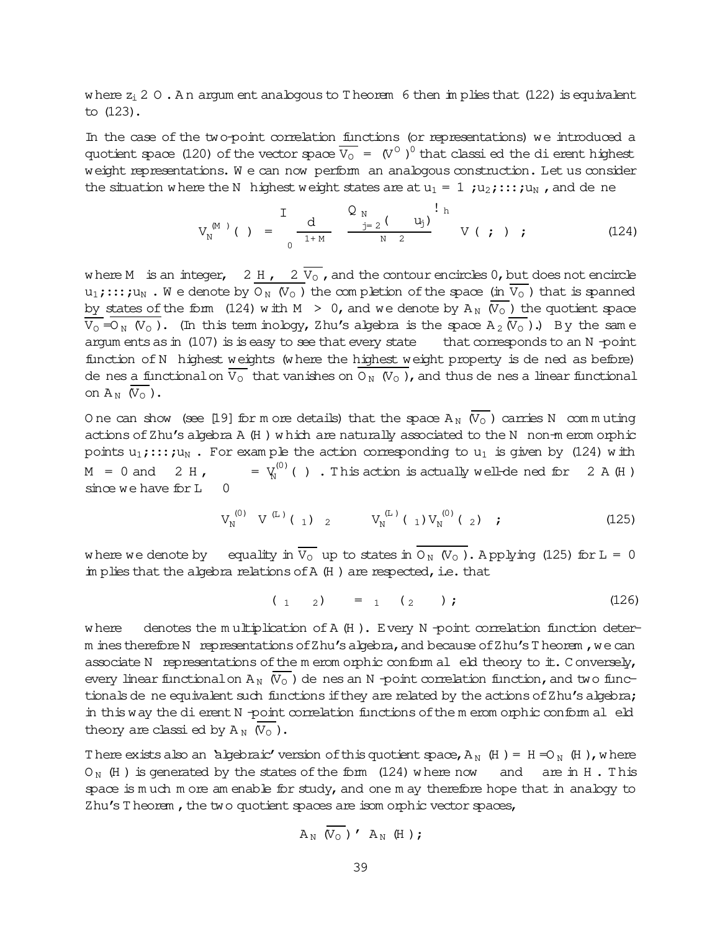w here  $z_i$  2 O. A n argum entanalogous to T heorem 6 then im plies that (122) is equivalent to (123).

In the case of the two-point correlation functions (or representations) we introduced a quotient space (120) of the vector space  $\overline{V_0} = (V^0)^0$  that classi ed the dierent highest weight representations. We can now perform an analogous construction. Let us consider the situation where the N highest weight states are at  $u_1 = 1$ ;u<sub>2</sub>;:::;u<sub>N</sub>, and de ne

$$
V_{N}^{(M)}( ) = \frac{I}{0} \frac{d}{1+M} \frac{Q_{N}}{\frac{j=2}{N} \frac{j}{2}} \frac{1}{N} N \quad ( ; ) \qquad (124)
$$

where M is an integer, 2 H, 2  $\overline{V_0}$ , and the contour encircles 0, but does not encircle  $u_1$ ;::; $u_N$ . We denote by  $\overline{O_N (V_O)}$  the completion of the space (in  $\overline{V_O}$ ) that is spanned by states of the form (124) with M  $>$  0, and we denote by  $A_N$   $\overline{(V_O)}$  the quotient space  $V_0 = O_N$  (V<sub>O</sub>). (In this term inology, Zhu's algebra is the space A<sub>2</sub>(V<sub>O</sub>).) By the same argum ents as in  $(107)$  is is easy to see that every state that corresponds to an N -point function of N highest weights (where the highest weight property is de ned as before) de nes a functional on  $\overline{V_0}$  that vanishes on O<sub>N</sub> ( $V_0$ ), and thus de nes a linear functional on  $A_N$  ( $V_Q$ ).

O ne can show (see [19] for m ore details) that the space  $A_N$  ( $\overline{V_0}$ ) carries N commuting actions of Zhu's algebra A  $(H)$  w hich are naturally associated to the N non-m erom orphic points  $u_1$ ;::; $u_N$ . For exam ple the action corresponding to  $u_1$  is given by (124) with  $M = 0$  and  $2 H$ ,  $\chi^{(0)}_{\textrm{N}}$  ( ) . This action is actually well-de ned for  $\,$  2 A (H )  $since we have for L  $0$$ 

$$
V_N^{(0)}
$$
 V<sup>(L)</sup> (1) 2  $V_N^{(L)}$  (1)  $V_N^{(0)}$  (2) ; (125)

where we denote by equality in  $\overline{V_0}$  up to states in  $\overline{O_N$  ( $V_0$ ). A pplying (125) for L = 0 im plies that the algebra relations of  $A$  (H) are respected, i.e. that

$$
\begin{pmatrix} 1 & 2 \end{pmatrix} = 1 \begin{pmatrix} 2 & 1 \end{pmatrix}; \tag{126}
$$

w here denotes the m ultiplication of A (H). Every N -point correlation function determ ines therefore N representations of Zhu's algebra, and because of Zhu's Theorem, we can associate N representations of the m erom orphic conform aller theory to  $\pm$ . C onversely, every linear functional on  $A_N$  (V<sub>O</sub>) de nes an N -point correlation function, and two functionals de ne equivalent such functions if they are related by the actions of Zhu's algebra; in this way the dierent  $N$  -point correlation functions of the  $m$  erom orphic conform aleld theory are classi ed by  $A_N$  (V<sub>O</sub>).

There exists also an 'algebraic' version of this quotient space,  $A_N$  (H ) = H =O <sub>N</sub> (H), w here  $O_N$  (H) is generated by the states of the form (124) where now and are in H. This space is much m ore am enable for study, and one m ay therefore hope that in analogy to Zhu's T heorem, the two quotient spaces are isom orphic vector spaces,

$$
A_N \, \overline{(V_O)} \, \prime \, A_N \, (H) \, ;
$$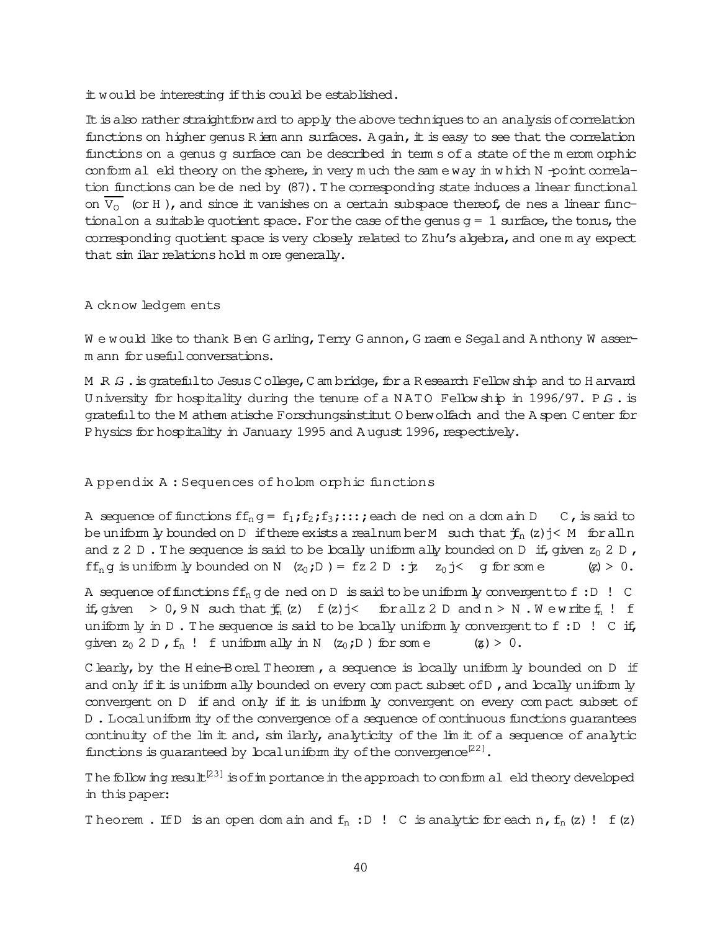it would be interesting if this could be established.

It is also rather straightforward to apply the above techniques to an analysis of correlation functions on higher genus R iem ann surfaces. A gain, it is easy to see that the correlation functions on a genus g surface can be described in term s of a state of the m erom orphic conform al eld theory on the sphere, in very m uch the same way in w hich  $N$  -point correlation functions can be de ned by (87). The corresponding state induces a linear functional on  $V_0$  (or H), and since it vanishes on a certain subspace thereof, de nes a linear functionalon a suitable quotient space. For the case of the genus  $q = 1$  surface, the torus, the corresponding quotient space is very closely related to Zhu's algebra, and one m ay expect that sim ilar relations hold m ore generally.

# A cknow ledgem ents

W e would like to thank Ben G arling, Terry G annon, G raem e Segal and A nthony W asserm ann for useful conversations.

M R G . is gratefulto Jesus College, C am bridge, for a R esearch Fellow ship and to H arvard U niversity for hospitality during the tenure of a N AT O Fellow ship in 1996/97. P.G .is gratefulto the M athem atische Forschungsinstitut O berwolfach and the A spen C enter for Physics for hospitality in January 1995 and A ugust 1996, respectively.

A ppendix A :Sequences of holom orphic functions

A sequence of functions  $ff_n g = f_1; f_2; f_3; \ldots$ ; each de ned on a dom ain D C, is said to be uniform  $\frac{1}{2}$  bounded on D if there exists a realnum ber M such that  $\dot{\mathbb{F}}_n$  (z)j< M for all n and z 2 D. The sequence is said to be locally uniform ally bounded on D if, given  $z_0$  2 D, ff<sub>n</sub> g is uniform ly bounded on N  $(z_0;D) = fz 2 D : \dot{z}$  z<sub>0</sub>j< g for some  $\langle z \rangle > 0$ .

A sequence of functions  $ff_n g$  de ned on D is said to be uniform  $\frac{1}{2}$  convergent to f: D ! C if, given  $> 0.9$  N such that  $f_n(z)$  f(z)  $i < \text{for all } z \geq D$  and  $n > N$ . We write  $f_n$ ! f uniform ly in D. The sequence is said to be locally uniform ly convergent to f: D! C if, given  $z_0$  2 D,  $f_n$  ! f uniform ally in N  $(z_0;D)$  for some  $(z_0)>0$ .

C learly, by the H eine-B orel T heorem , a sequence is locally uniform ly bounded on  $D$  if and only if  $#$  is uniform ally bounded on every compact subset of  $D$ , and locally uniform  $\frac{1}{2}$ convergent on D if and only if it is uniform ly convergent on every com pact subset of D. Localuniform ity of the convergence of a sequence of continuous functions quarantees continuity of the lim it and, sim ilarly, analyticity of the lim it of a sequence of analytic functions is guaranteed by local uniform ity of the convergence<sup>[22]</sup>.

The follow ing result<sup>[23]</sup> is of in portance in the approach to conform alleld theory developed in this paper:

Theorem . If D is an open dom ain and  $f_n : D \subseteq C$  is analytic for each n,  $f_n(z) \subseteq f(z)$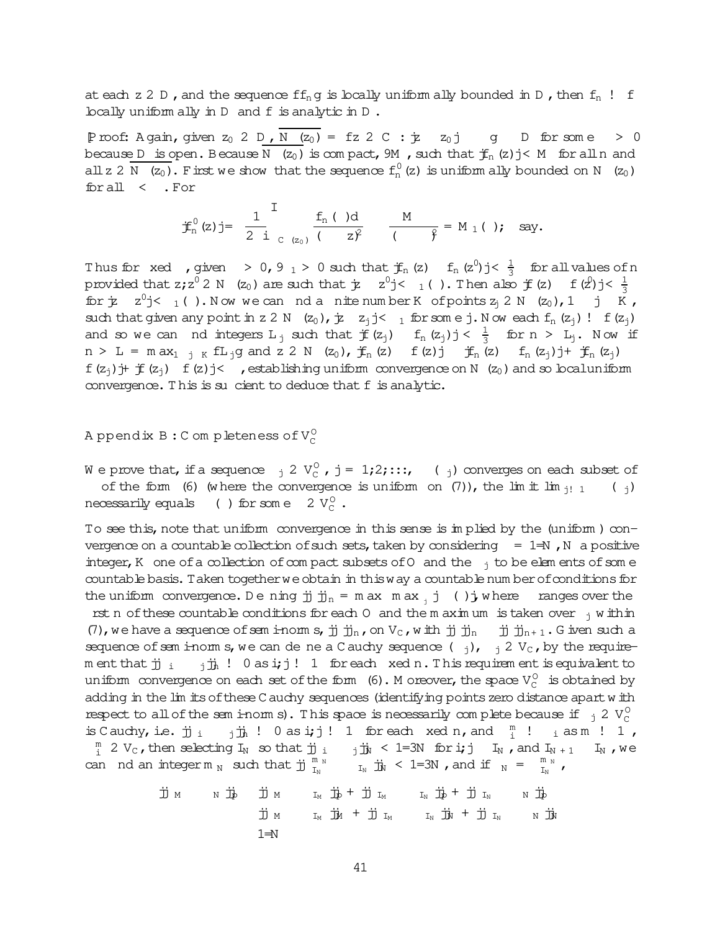at each z 2 D, and the sequence  $\text{ff}_n$  g is locally uniform ally bounded in D, then  $f_n$ ! f locally uniform ally in D and f is analytic in D .

[Proof: A gain, given  $z_0$  2 D, N  $(z_0)$  = fz 2 C :  $\dot{\tau}$   $z_0$  j g D for som e > 0 because D is open. Because N  $(z_0)$  is compact, 9M, such that  $\dot{\mathbb{F}}_n(z)$  j< M for all n and all z 2  $\overline{N}$  ( $z_0$ ). First we show that the sequence  $f_n^0$  (z) is uniform ally bounded on N ( $z_0$ ) for all < . For

$$
\oint_{n}^{0} (z) j = \frac{1}{2i} \int_{C_{(z_0)}}^{1} \frac{f_n(\theta) d}{(\theta - z)^2} \frac{M}{(\theta - z)^2} = M_1(\theta); \text{ say.}
$$

 $\mathbf{I}$ 

Thus for xed , given  $\rightarrow$  0,9  $_{1}$   $>$  0 such that  $\texttt{if}_{\texttt{n}}$  (z)  $\texttt{f}_{\texttt{n}}$  (z<sup>0</sup>)j<  $\frac{1}{3}$  $\frac{1}{3}$  for all values of n provided that z;z<sup>0</sup> 2 N (z<sub>0</sub>) are such that  $\dot{p}$   $z^0$ j<  $_1$  ( ). Then also jf (z)  $f(z^0)$ j<  $\frac{1}{3}$ 3 for  $\dot{z}$   $z^0$ j< 1(). Now we can nd a nite number K of points  $z_j$  2 N  $(z_0)$ , 1 j K, such that given any point in z 2 N  $(z_0)$ ,  $\dot{z}$   $z_i$   $\dot{z}$   $\dot{z}$  for some j. N ow each  $f_n(z_i)$ !  $f(z_i)$ and so we can nd integers  $L_j$  such that  $\overline{f}(z_j)$   $f_n(z_j)$ j <  $\frac{1}{3}$  $\frac{1}{3}$  for n > L<sub>j</sub>. Now if  $n > L = m ax_{1} + K fL_{1}g$  and  $z \ge N$   $(z_{0})$ ,  $\dot{\mathbb{F}}_{n}(z)$   $f(z)$   $\dot{\mathbb{F}}_{n}(z)$   $f_{n}(z_{1})$  $\dot{\mathbb{F}}_{n}(z_{1})$ f(z<sub>i</sub>)  $\#$   $f(z_i)$  f(z)  $\neq$  , establishing uniform convergence on N (z<sub>0</sub>) and so localuniform convergence. This is sucient to deduce that  $f$  is analytic.

Appendix B:Completeness of  $\rm V^O_C$ 

We prove that, if a sequence  $\frac{1}{3}$  2  $\frac{V^{\text{O}}_{\text{C}}}$  ,  $\frac{1}{3}$  = 1;2;::;,  $\frac{1}{3}$  converges on each subset of of the form (6) (where the convergence is uniform on (7)), the lim it lim  $_{j!1}$  ( $_{j}$ ) necessarily equals ( ) for some  $2 V_C^0$ .

To see this, note that uniform convergence in this sense is im plied by the (uniform ) convergence on a countable collection of such sets, taken by considering =  $1=$ N, N a positive integer, K one of a collection of compact subsets of O and the  $_i$  to be elem ents of some countable basis. Taken togetherwe obtain in thisway a countable num ber of conditions for the uniform convergence. Dening  $\exists j_{n} = m \text{ ax } m \text{ ax } j$  ( ) j where ranges over the rst n of these countable conditions for each 0 and the m aximum is taken over  $j$  within (7), we have a sequence of sem inorm s, jj jj<sub>n</sub>, on  $V_c$ , w ith jj jj<sub>n</sub> jj jj<sub>n+1</sub>. G iven such a sequence of sem inom s, we can de ne a C auchy sequence  $\left(\begin{array}{cc} 1 \end{array}\right)$ ,  $\begin{array}{cc} 1 \end{array}$  2 V<sub>C</sub>, by the requirem entthat  $j_{i}$  ind  $j_{i}$  asi;j! 1 for each xed n. This requirem entisequivalent to uniform convergence on each set of the form (6). M oreover, the space  $\rm V_{C}^{O}$  is obtained by adding in the lim its of these C auchy sequences (identifying points zero distance apart w ith respect to all of the sem i-norm s). This space is necessarily complete because if  $j_1$  2  $V_C^0$ is Cauchy, i.e.  $\overrightarrow{jj}$  i  $\overrightarrow{jj}$  ! 0 as i; j ! 1 for each xed n, and  $\frac{m}{i}$  !  $\overrightarrow{i}$  as  $m$  ! 1,  $\frac{m}{i}$  2 V<sub>C</sub>, then selecting  $I_N$  so that  $\dot{J}$  i  $\frac{1}{i}$  j $\dot{J}$   $\dot{J}$   $\dot{J}$  = 1=3N for  $i$ ;  $j$   $I_N$ , and  $I_{N+1}$   $I_N$ , we can nd an integer  $m_N$  such that  $j_j \frac{m_N}{r_N}$   $i_N \frac{1}{N}$  < 1=3N, and if  $N = \frac{m_N}{r_N}$  $\begin{array}{cc} m_N \\ I_N \end{array}$  /

jj <sup>M</sup> <sup>N</sup> jj<sup>p</sup> jj <sup>M</sup> <sup>I</sup><sup>M</sup> jj<sup>p</sup> + jj <sup>I</sup><sup>M</sup> <sup>I</sup><sup>N</sup> jj<sup>p</sup> + jj <sup>I</sup><sup>N</sup> <sup>N</sup> jj<sup>p</sup> jj <sup>M</sup> <sup>I</sup><sup>M</sup> jj<sup>M</sup> + jj <sup>I</sup><sup>M</sup> <sup>I</sup><sup>N</sup> jj<sup>N</sup> + jj <sup>I</sup><sup>N</sup> <sup>N</sup> jj<sup>N</sup> 1=N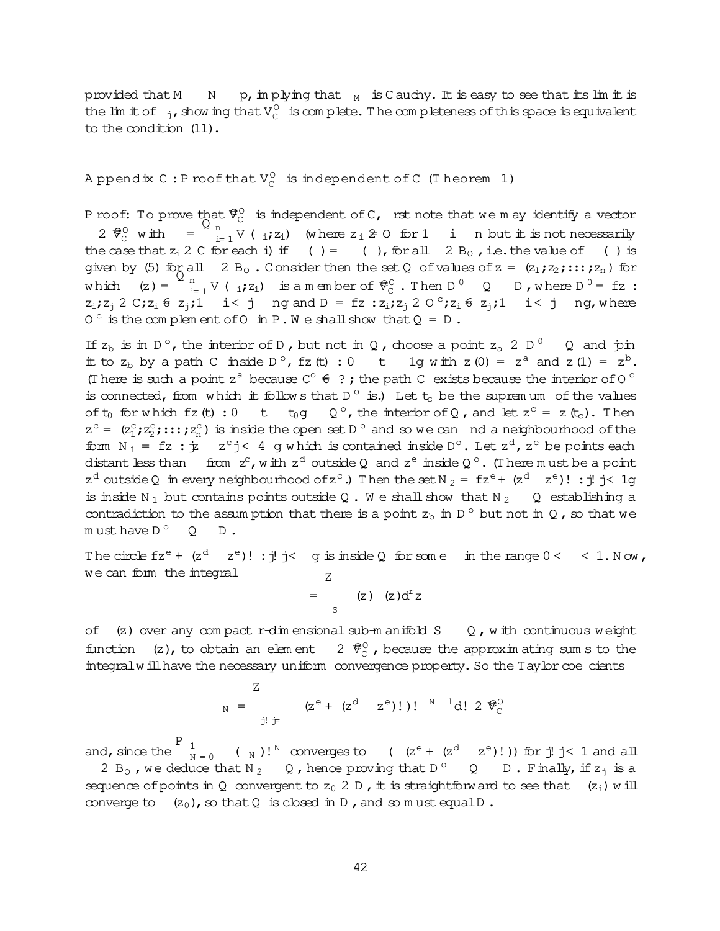provided that M  $\parallel$  N p, im plying that  $\parallel$  is C auchy. It is easy to see that its lim it is the lim it of  $j$ , show ing that  $V^0_C$  is complete. The completeness of this space is equivalent to the condition  $(11)$ .

Appendix C:P roof that  $V_C^0$  is independent of C (T heorem 1)

P roof: To prove that  $\mathfrak{F}_{\mathbb{C}}^{\mathbb{O}}$  is independent of C,  $\;$  rst note that we m ay identify a vector  $2 \, \mathcal{C}^0$  with =  $\overset{\text{na}}{\mathsf{Q}}_{\mathsf{n}}$  $\sum_{i=1}^{n}V(i_i; z_i)$  (where  $z_i \ge 0$  for 1 i n but it is not necessarily the case that  $z_i$  2 C for each i) if ( ) = ( ), for all 2  $B_0$ , i.e. the value of ( ) is given by (5) for all 2 B<sub>0</sub>. Consider then the set Q of values of  $z = (z_1; z_2; \ldots; z_n)$  for  $y$  which  $z = \int_{x}^{n}$  $\int_{i=1}^{n} V(\iota_i; z_i)$  is a member of  $\mathfrak{P}_C^0$ . Then  $D^0$  Q D, where  $D^0 = fz$ :  $z_i$ ; $z_j$  2 C; $z_i$   $\neq$   $z_j$ ;1 i< j ng and D = fz : $z_i$ ; $z_j$  2 O  $\circ$ ; $z_i$   $\neq$   $z_j$ ;1 i< j ng, where  $0<sup>c</sup>$  is the complement of 0 in P. We shall show that  $Q = D$ .

If  $z_b$  is in D<sup>o</sup>, the interior of D, but not in Q, choose a point  $z_a$  2 D<sup>0</sup> Q and join it to  $z_b$  by a path C inside D<sup>o</sup>, fz (t) : 0 t 1g with z(0) =  $z^a$  and z(1) =  $z^b$ . (There is such a point  $z^a$  because  $C^{\circ}$   $\theta$  ?; the path C exists because the interior of 0<sup>c</sup> is connected, from which it follows that  $D^{\circ}$  is.) Let  $t_c$  be the suprem um of the values of  $t_0$  for w hich fz(t) : 0 t  $t_0g$  Q<sup>o</sup>, the interior of Q, and let  $z^c = z(t_c)$ . Then  $z^c = (z_1^c, z_2^c, \ldots, z_n^c)$  is inside the open set D<sup>o</sup> and so we can nd a neighbourhood of the form  $N_1 = fx : \dot{x}$   $z^c$  j< 4 g which is contained inside  $D^{\circ}$ . Let  $z^d$ ,  $z^e$  be points each distant less than from  $z^c$ , with  $z^d$  outside Q and  $z^e$  inside Q<sup>o</sup>. (There m ust be a point  $z<sup>d</sup>$  outside Q in every neighbourhood of  $z<sup>c</sup>$ .) Then the set  $N_2 = f z<sup>e</sup> + (z<sup>d</sup> - z<sup>e</sup>)!$ : j! j< 1g is inside N<sub>1</sub> but contains points outside Q. We shall show that N<sub>2</sub> Q establishing a contradiction to the assum ption that there is a point  $z_b$  in D<sup>o</sup> but not in Q, so that we m ust have  $D^{\circ}$  Q D.

The circle  $f z^e + (z^d z^e)! : j! j < g$  is inside Q for some in the range  $0 < < 1$ . Now, we can form the integral Z

> = S (z)  $(z)$   $(d^r z)$

of  $(z)$  over any compact r-dim ensional sub-m anifold  $S$   $Q$ , with continuous weight function (z), to obtain an element 2  $\mathcal{P}_C^O$ , because the approximating sum s to the integralw ill have the necessary uniform convergence property. So the Taylor coe cients

$$
N = \sum_{j! \ j \neq j}^{Z} (z^{e} + (z^{d} z^{e})!)! \cdot N^{-1} d! \cdot 2 \cdot \mathcal{F}_{C}^{O}
$$

and, since the  $\frac{P}{N}$  $N_{N=0}$  (  $N$  )!<sup>N</sup> converges to (  $(z^{e} + (z^{d} z^{e})!)$  for j! j< 1 and all 2 B<sub>0</sub>, we deduce that N<sub>2</sub> Q, hence proving that D<sup>o</sup> Q D. Finally, if z<sub>j</sub> is a sequence of points in Q convergent to  $z_0$  2 D, it is straightforward to see that  $(z_i)$  w ill converge to  $(z_0)$ , so that Q is closed in D, and so m ust equal D.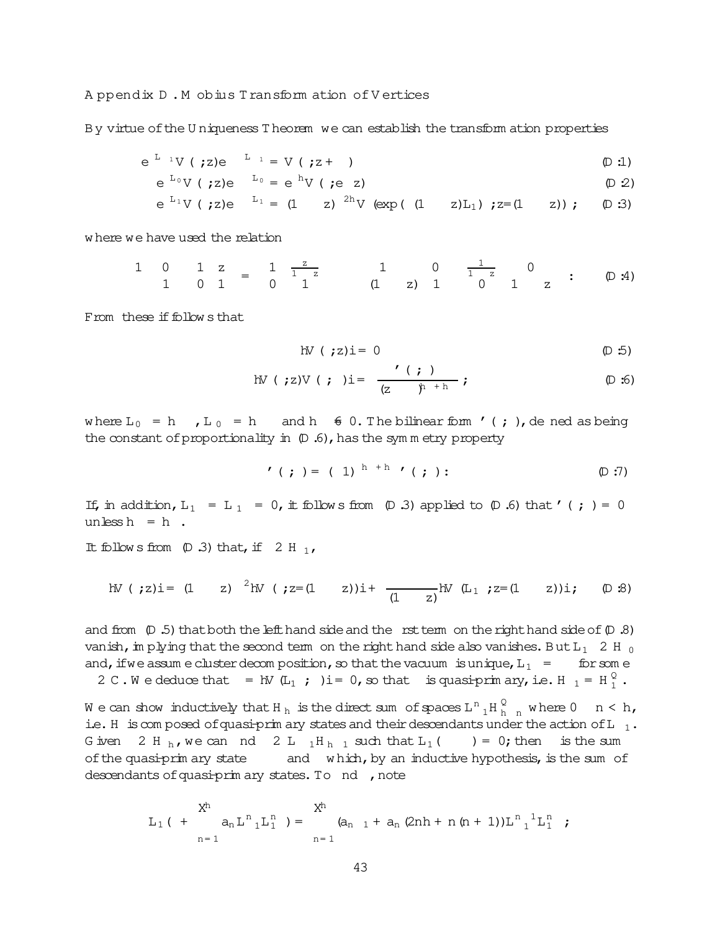Appendix D.M obius Transform ation of Vertices

By virtue of the Uniqueness Theorem we can establish the transform ation properties

$$
e^{L_{1}} V ( ; z)e^{-L_{1}} = V ( ; z + )
$$
 (D.1)

$$
e^{L_0}V
$$
 ( ;z)  $e^{L_0} = e^{h}V$  ( ;e z) (D 2)

$$
e^{L_1}V
$$
 ( ;z) $e^{L_1} = (1 \t z)^{2h}V$  (exp ( (1  $z)L_1$ ) ;z=(1  $z$ )) ; (D 3)

where we have used the relation

$$
\begin{array}{ccccccccc}\n1 & 0 & 1 & z & = & 1 & \frac{z}{1-z} & 1 & 0 & \frac{1}{1-z} & 0 \\
1 & 0 & 1 & 0 & 1 & 0 & 1 & 0 & 1 & z\n\end{array} \qquad \qquad \begin{array}{ccccccccc}\n\frac{1}{1-z} & 0 & 0 & 0 & 0 & 0 & 0 & 0 \\
0 & 0 & 0 & 0 & 0 & 0 & 0 & 0 & 0\n\end{array}
$$

From these if follows that

$$
hV \t(z) = 0 \t(D.5)
$$

$$
hV ( ; z)V ( ; )i = \frac{'}{(z - )^{h + h}} ; \qquad (p : 6)
$$

where  $L_0 = h$ ,  $L_0 = h$  and  $h \neq 0$ . The bilinear form '(; ), de ned as being the constant of proportionality in  $(D.6)$ , has the symmetry property

$$
f(t; y) = (1)^{h + h} f(t; y); \tag{D.7}
$$

If, in addition,  $L_1 = L_1 = 0$ , it follows from (D .3) applied to (D .6) that '(; ) = 0 unless  $h = h$ .

It follows from  $(D 3)$  that, if  $2 H_1$ ,

$$
hV ( ; z) i = (1 z) {^{2}}hV ( ; z = (1 z))i + \frac{1}{(1 z)}hV (L_{1} ; z = (1 z))i ; (D .3)
$$

and from  $(D 5)$  that both the left hand side and the rst term on the right hand side of  $(D 0.8)$ vanish, in plying that the second term on the right hand side also vanishes. But  $L_1$  2 H  $_0$ and, if we assume cluster decomposition, so that the vacuum is unique,  $L_1 =$  for some 2 C. We deduce that =  $W(L_1; j) = 0$ , so that is quasi-primary, i.e.  $H_1 = H_1^Q$ .

We can show inductively that H<sub>h</sub> is the direct sum of spaces  $L^n{}_{1}H^Q_{h-n}$  where 0  $n < h$ , i.e. H is composed of quasi-prim ary states and their descendants under the action of L  $_1$ . Given  $2$  H<sub>h</sub>, we can nd  $2$  L<sub>1</sub>H<sub>h 1</sub> such that L<sub>1</sub>(  $) = 0;$  then is the sum of the quasi-prim ary state and which, by an inductive hypothesis, is the sum of descendants of quasi-prim ary states. To nd , note

$$
L_1( + \sum_{n=1}^{X^h} a_n L^n {}_1 L_1^n ) = \sum_{n=1}^{X^h} (a_{n-1} + a_n (2nh + n(n+1)) L^n {}_1^1 L_1^n ;
$$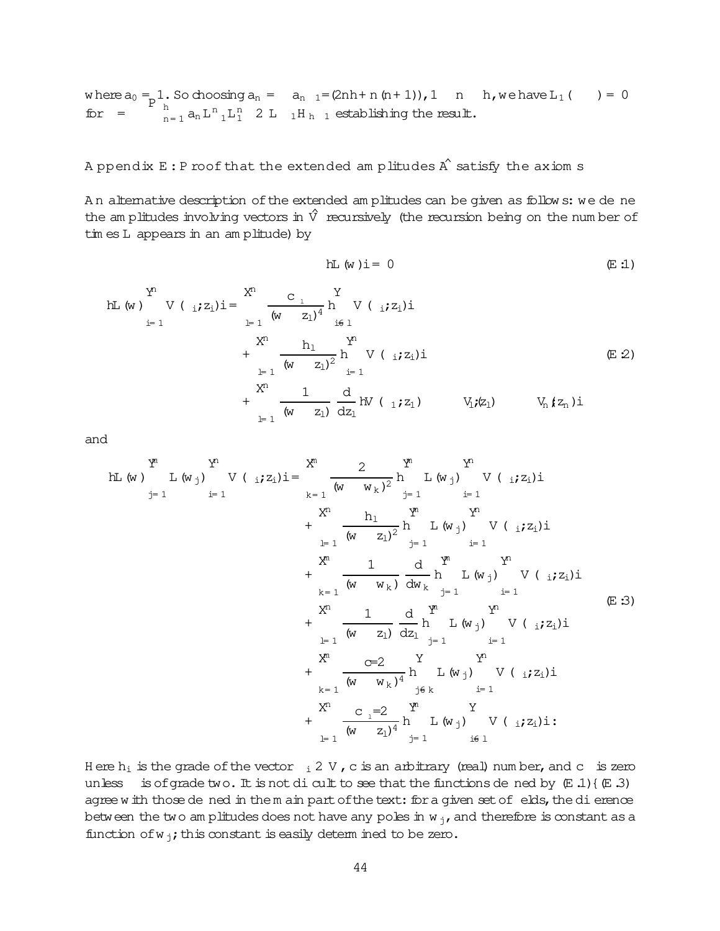where  $a_0 = 1$ . So choosing  $a_n = a_{n-1} = (2nh + n(n+1))$ , 1 n  $h$ , we have  $L_1$  ( ) = 0 where  $a_0 - p^2$ .<br>
for  $=$   $p^2$  $_{n=1}^{h}$  a<sub>n</sub> L<sup>n</sup><sub>1</sub> L<sup>n</sup><sub>1</sub> 2 L<sub>1</sub>H<sub>h<sub>1</sub></sub> establishing the result.

A ppendix  $E : P$  roof that the extended am plitudes  $A^{\hat{}}$  satisfy the axiom s

An alternative description of the extended am plitudes can be given as follows: we de ne the am plitudes involving vectors in  $\hat{V}$  recursively (the recursion being on the num ber of tim es L appears in an am plitude) by

$$
hL(w) i = 0 \qquad (E:1)
$$

hL (w) 
$$
\begin{aligned} Y^n & V \left( i, z_i \right) i = \frac{X^n}{[w - z_1)^4} \begin{cases} \n\frac{C_1}{[w - z_1)^4} & \text{if } V \left( i, z_i \right) i \\ \n\frac{1}{[w - z_1)^2} & \text{if } V \left( i, z_i \right) i \n\end{cases} \quad \text{if } V \left( i, z_i \right) i \\
& \text{if } V \left( i, z_i \right) i \\
& \text{if } V \left( i, z_i \right) i \\
& \text{if } V \left( i, z_i \right) i \\
& \text{if } V \left( i, z_i \right) i \\
& \text{if } V \left( i, z_i \right) i \\
& \text{if } V \left( i, z_i \right) i \\
& \text{if } V \left( i, z_i \right) i \\
& \text{if } V \left( i, z_i \right) i \\
& \text{if } V \left( i, z_i \right) i \\
& \text{if } V \left( i, z_i \right) i \\
& \text{if } V \left( i, z_i \right) i \\
& \text{if } V \left( i, z_i \right) i \\
& \text{if } V \left( i, z_i \right) i \\
& \text{if } V \left( i, z_i \right) i \\
& \text{if } V \left( i, z_i \right) i \\
& \text{if } V \left( i, z_i \right) i \\
& \text{if } V \left( i, z_i \right) i \\
& \text{if } V \left( i, z_i \right) i \\
& \text{if } V \left( i, z_i \right) i \\
& \text{if } V \left( i, z_i \right) i \\
& \text{if } V \left( i, z_i \right) i \\
& \text{if } V \left( i, z_i \right) i \\
& \text{if } V \left( i, z_i \right) i \\
& \text{if } V \left( i, z_i \right) i \\
& \text{if } V \left( i, z_i \right) i \\
& \text{if } V \left( i, z_i \right) i \\
& \text{if } V \left( i, z_i \right) i \\
& \text{if } V \left( i, z_i \right) i \\
& \text{if } V \left( i, z_i \right) i \\
& \text{if } V \left( i, z_i \right) i \\
& \text{if } V \left( i,
$$

and

hL (w) L (w<sub>j</sub>) V (i, z<sub>i</sub>)i = 
$$
\frac{X^n}{k-1} \frac{2}{(w - w_k)^2} h
$$
 L (w<sub>j</sub>) V (i, z<sub>i</sub>)i  
\nj=1  
\n $\frac{X^n}{k-1} \frac{h_1}{(w - z_1)^2} h$  L (w<sub>j</sub>) V (i, z<sub>i</sub>)i  
\n $\frac{1}{k-1} \frac{X^n}{(w - z_1)^2} h$  L (w<sub>j</sub>) V (i, z<sub>i</sub>)i  
\n $\frac{X^n}{k-1} \frac{1}{(w - w_k)} \frac{d}{dw_k} h$  L (w<sub>j</sub>) V (i, z<sub>i</sub>)i  
\n $\frac{X^n}{k-1} \frac{1}{(w - z_1)} \frac{d}{dz_1} h$  L (w<sub>j</sub>) V (i, z<sub>i</sub>)i  
\n $\frac{d}{dz_1} \frac{Y^n}{j-1} \frac{Y^n}{j-1}$  E: 3)  
\n $\frac{X^n}{k-1} \frac{1}{(w - z_1)} \frac{d}{dz_1} h$  L (w<sub>j</sub>) V (i, z<sub>i</sub>)i  
\n $\frac{k}{k-1} \frac{X^n}{(w - w_k)^4} h$  L (w<sub>j</sub>) V (i, z<sub>i</sub>)i  
\n $\frac{X^n}{(w - z_1)^4} h$  L (w<sub>j</sub>) V (i, z<sub>i</sub>)i  
\n $\frac{X^n}{(w - z_1)^4} h$  L (w<sub>j</sub>) V (i, z<sub>i</sub>)i:  
\n $\frac{X^n}{(w - z_1)^4} h$  L (w<sub>j</sub>) V (i, z<sub>i</sub>)i:  
\n $\frac{1}{(w - z_1)^4} h$  L (w<sub>j</sub>) V (i, z<sub>i</sub>)i

H ere  $h_i$  is the grade of the vector  $i \in I$  V, c is an arbitrary (real) number, and c is zero unless is of grade two. It is not dicult to see that the functions dened by  $(E.1)$  { $(E.3)$ } agree w ith those de ned in the m ain part of the text: for a given set of elds, the dierence between the two am plitudes does not have any poles in  $w_j$ , and therefore is constant as a function of  $w_j$ ; this constant is easily determ ined to be zero.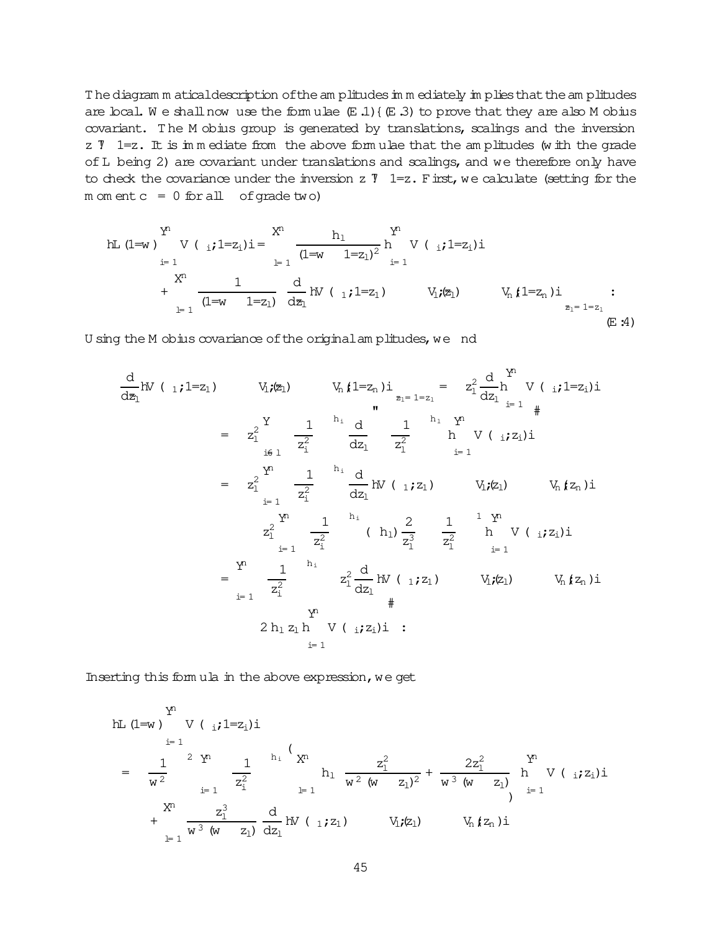The diagram m atical description of the am plitudes im m ediately im plies that the am plitudes are local. We shall now use the form ulae  $(E.1)$  { $(E.3)$  to prove that they are also M obius covariant. T he M obius group is generated by translations, scalings and the inversion  $z$   $\overline{y}$  1=z. It is im m ediate from the above form ulae that the am plitudes (w ith the grade of L being 2) are covariant under translations and scalings, and we therefore only have to check the covariance under the inversion z  $7 \quad 1=x$ . First, we calculate (setting for the  $m$  om entc = 0 for all of grade two)

hL (1=w) 
$$
\begin{aligned} Y^n & \text{if } (1=w) \\ Y & \text{if } (1=w) \end{aligned}
$$
\n
$$
Y^n = \frac{1}{(1=w)1-z_1} \begin{aligned} Y^n & \text{if } (1=w) \\ Y & \text{if } (1=w) \\ Y^n & \text{if } (1=w) \end{aligned}
$$
\n
$$
Y^n = \frac{1}{(1=w)1-z_1} \begin{aligned} Y^n & \text{if } (1=w) \\ Y^n & \text{if } (1=w) \\ Y^n & \text{if } (1=w) \end{aligned}
$$
\n
$$
Y^n = \frac{1}{(1=w)1-z_1} \begin{aligned} Y^n & \text{if } (1=w) \\ Y^n & \text{if } (1=w) \\ Y^n & \text{if } (1=w) \end{aligned}
$$
\n
$$
Y^n = \frac{1}{(1=w)1-z_1} \begin{aligned} Y^n & \text{if } (1=w) \\ Y^n & \text{if } (1=w) \\ Y^n & \text{if } (1=w) \end{aligned}
$$

U sing the M obius covariance of the original am plitudes, we nd

$$
\frac{d}{dz_1}W (i, i=z_1) \t V_1(z_1) \t V_2(z_2) \t V_3(z_1) \t V_4(z_1) \t V_5(z_1) \t V_6(z_1) \t V_7(z_1) \t V_8(z_1) \t V_9(z_1) \t V_1(z_1) \t V_1(z_1) \t V_1(z_1) \t V_1(z_1) \t V_1(z_1) \t V_1(z_1) \t V_1(z_1) \t V_1(z_1) \t V_1(z_1) \t V_1(z_1) \t V_1(z_1) \t V_1(z_1) \t V_1(z_1) \t V_1(z_1) \t V_1(z_1) \t V_1(z_1) \t V_1(z_1) \t V_1(z_1) \t V_1(z_1) \t V_1(z_1) \t V_1(z_1) \t V_1(z_1) \t V_1(z_1) \t V_1(z_1) \t V_1(z_1) \t V_1(z_1) \t V_1(z_1) \t V_1(z_1) \t V_1(z_1) \t V_1(z_1) \t V_1(z_1) \t V_1(z_1) \t V_1(z_1) \t V_1(z_1) \t V_1(z_1) \t V_1(z_1) \t V_1(z_1) \t V_1(z_1) \t V_1(z_1) \t V_1(z_1) \t V_1(z_1) \t V_1(z_1) \t V_1(z_1) \t V_1(z_1) \t V_1(z_1) \t V_1(z_1) \t V_1(z_1) \t V_1(z_1) \t V_1(z_1) \t V_1(z_1) \t V_1(z_1) \t V_1(z_1) \t V_1(z_1) \t V_1(z_1) \t V_1(z_1) \t V_1(z_1) \t V_1(z_1) \t V_1(z_1) \t V_1(z_1) \t V_1(z_1) \t V_1(z_1) \t V_1(z_1) \t V_1(z_1) \t V_1(z_1) \t V_1(z_1) \t V_1(z_1) \t V_1(z_1) \t V_1(z_1) \t V_1(z_1) \t V_1(z_1) \t V_1(z_1) \t V_1(z_1) \t V_1(z_1) \t V
$$

Inserting this form ula in the above expression, we get

hL (1=w) V ( ;1=z<sub>1</sub>)  
\ni=1  
\n
$$
= \frac{1}{w^{2}} \sum_{i=1}^{2} \frac{Y^{n}}{z_{i}^{2}} \frac{1}{z_{i}^{2}} h_{1} \frac{z_{1}^{2}}{w^{2} (w - z_{1})^{2}} + \frac{2z_{1}^{2}}{w^{3} (w - z_{1})} h_{1} V ( ;z_{1})\n+ \sum_{l=1}^{X^{n}} \frac{z_{1}^{3}}{w^{3} (w - z_{1})} \frac{d}{dz_{1}} h V ( ;z_{1}) \qquad V_{1}(z_{1}) \qquad V_{n}(z_{n})\n= 1
$$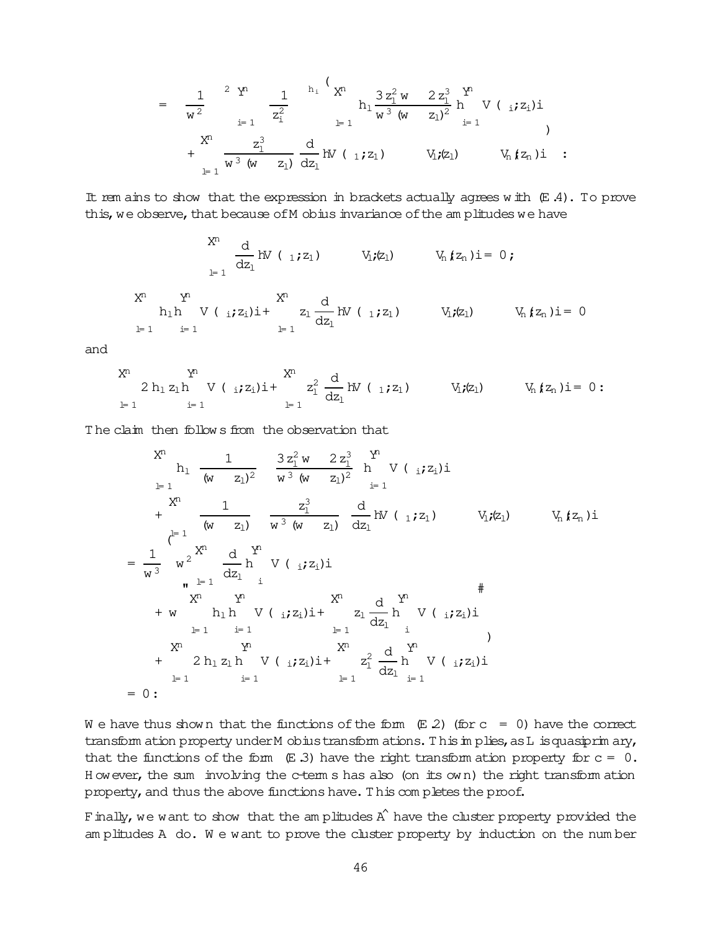$$
= \frac{1}{w^{2}} \sum_{i=1}^{2} \frac{Y^{n}}{z_{i}^{2}} \frac{1}{z_{i}^{2}} \frac{h_{i} \kappa^{N}}{h_{1} \frac{3 z_{i}^{2} w}{w^{3} (w - z_{l})^{2}} h_{i} V (i, z_{i}) i}{h_{1} \frac{3 z_{i}^{2} w}{w^{3} (w - z_{l})^{2}} h_{i} V (i, z_{i}) i + \frac{X^{n}}{w^{3} (w - z_{1})} \frac{d}{dz_{1}} h V (i, z_{1}) \qquad V_{1} \mathbf{z}_{1} \qquad V_{n} \mathbf{z}_{n} \qquad i
$$

 $\mathbf{r}$ 

It rem ains to show that the expression in brackets actually agrees with  $(E.4)$ . To prove this, we observe, that because of M obius invariance of the am plitudes we have

$$
X^{n} \frac{d}{dz_{1}} MV (i, z_{1}) \t V_{1}(z_{1}) \t V_{n}(z_{n})i = 0 ;
$$
  
\n
$$
X^{n} \frac{Y^{n}}{h_{1}h} V (i, z_{1})i + \sum_{l=1}^{X^{n}} \frac{d}{dz_{1}}hV (i, z_{1}) \t V_{l}(z_{1}) \t V_{n}(z_{1}) i = 0
$$

and

Xn l= 1 2 h<sup>l</sup> zlh Yn i= 1 V ( <sup>i</sup>;zi)i+ Xn l= 1 z 2 l d dz<sup>l</sup> hV ( <sup>1</sup>;z1) Vl;z( <sup>l</sup>) Vn(;z<sup>n</sup> )i= 0:

T he claim then follow s from the observation that

$$
X^{n} \t\t\t\t\frac{1}{(w - z_{1})^{2}} \t\t\t\frac{3 z_{1}^{2} w}{w^{3} (w - z_{1})^{2}} \t\t\t\frac{1}{h} V (\t i; z_{i}) i
$$
\n
$$
+ \t\t\t\frac{X^{n}}{(w - z_{1})} \t\t\t\frac{1}{w^{3} (w - z_{1})} \t\t\t\frac{z_{1}^{3}}{dz_{1}} \t\t\t\frac{d}{dz_{1}} hV (\t i; z_{1}) \t\t\tV_{1}; z_{1}) \t\t\tV_{n}; z_{n}) i
$$
\n
$$
= \frac{1}{w^{3}} w^{2} \t\t\t\frac{d}{dz_{1}} h V (\t i; z_{1}) i
$$
\n
$$
+ \t\t\t\t\frac{X^{n}}{w} \t\t\t\frac{1}{dz_{1}} i
$$
\n
$$
+ \t\t\t\t\frac{X^{n}}{h} \t\t\t\frac{Y^{n}}{k} \t\t\t\t\frac{X^{n}}{k^{2}} \t\t\t\frac{1}{dz_{1}} i
$$
\n
$$
+ \t\t\t\t\frac{X^{n}}{h} \t\t\t\frac{Y^{n}}{k^{2}} \t\t\t\frac{1}{dz_{1}} i
$$
\n
$$
+ \t\t\t\t2 h_{1} z_{1} h V (\t i; z_{1}) i + \t\t\t\t\frac{X^{n}}{k^{2}} \t\t\t\frac{1}{dz_{1}} h V (\t i; z_{1}) i
$$
\n
$$
= 0:
$$

W e have thus shown that the functions of the form  $(E 2)$  (for  $c = 0$ ) have the correct transform ation property under M obius transform ations. This implies, as L is quasiprim ary, that the functions of the form  $(E.3)$  have the right transform ation property for  $c = 0$ . H owever, the sum involving the c-term s has also (on its own) the right transform ation property, and thus the above functions have. This completes the proof.

Finally, we want to show that the am plitudes  $A^{\hat{}}$  have the cluster property provided the am plitudes A do. W e want to prove the cluster property by induction on the num ber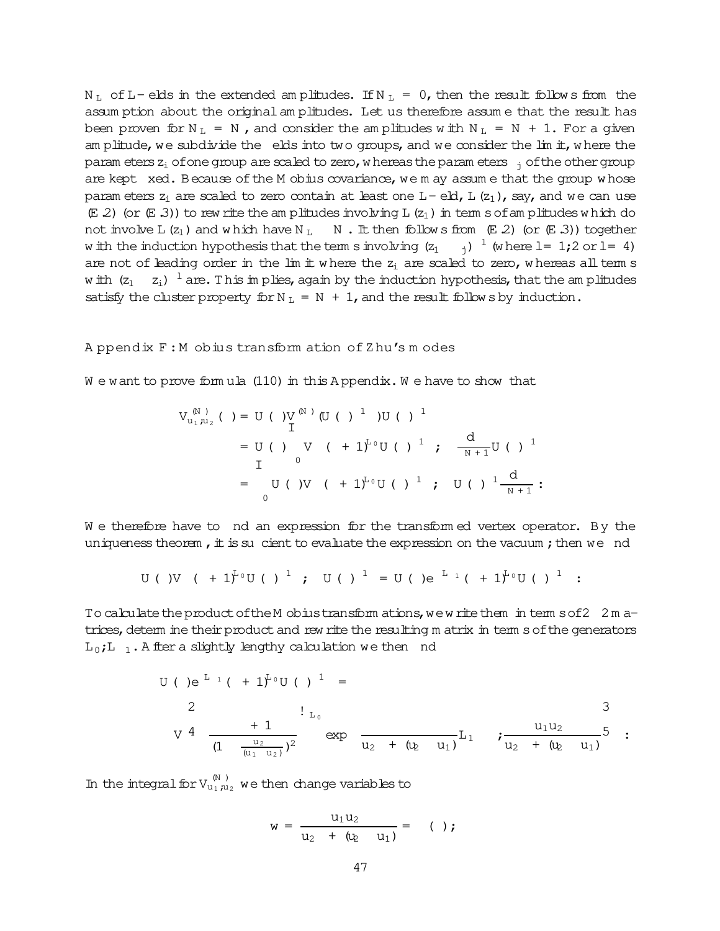$N_L$  of L-elds in the extended am plitudes. If  $N_L = 0$ , then the result follows from the assum ption about the originalam plitudes. Let us therefore assum e that the result has been proven for N<sub>L</sub> = N, and consider the am plitudes with N<sub>L</sub> = N + 1. For a given am plitude, we subdivide the elds into two groups, and we consider the  $\lim_{n \to \infty} x$ , where the param eters  $z_i$  of one group are scaled to zero, w hereas the param eters  $\frac{1}{1}$  of the other group are kept xed. Because of the M obius covariance, we m ay assume that the group whose param eters  $z_i$  are scaled to zero contain at least one  $L - eL$ ,  $L (z_1)$ , say, and we can use  $(E.2)$  (or  $(E.3)$ ) to rew rite the am plitudes involving L(z<sub>1</sub>) in term sof am plitudes w hich do not involve L( $z_1$ ) and w hich have N<sub>L</sub> N. It then follow s from (E.2) (or (E.3)) together w ith the induction hypothesis that the term s involving  $(z_1 j)^{-1}$  (where  $l=1;2$  or  $l=4$ ) are not of leading order in the lim it where the  $z_i$  are scaled to zero, whereas all term s w ith  $\rm (z_1-z_i)^{-1}$  are. This implies, again by the induction hypothesis, that the amplitudes satisfy the cluster property for  $N_L = N + 1$ , and the result follows by induction.

## A ppendix F :M obius transform ation of Zhu's m odes

W e want to prove form ula  $(110)$  in this A ppendix. W e have to show that

$$
V_{u_1, u_2}^{(N)}( ) = U ( )V^{(N)}(U( ) ^1 )U( ) ^1
$$
  
= U ( ) V ( + 1)<sup>F<sub>0</sub></sup>U( ) ^1 ;  $\frac{d}{N+1}U( ) ^1$   
= U ( ) V ( + 1)<sup>F<sub>0</sub></sup>U( ) ^1 ; U( )  $\frac{d}{N+1}$ :

W e therefore have to nd an expression for the transform ed vertex operator. By the uniqueness theorem,  $\ddot{\textbf{r}}$  is sucient to evaluate the expression on the vacuum; then we nd

$$
U()
$$
  $V$   $( + 1)^{j}$   $U()$   $( )$   $1$   $\neq$   $U()$   $( )$   $1$   $=$   $U()$   $( )$   $e$   $1$   $1$   $( )$   $+1)^{j}$   $U()$   $1$   $\neq$ 

To calculate the product of the M obiustransform ations, we write them in term sof  $2 \text{ m}$  atrices, determ ine their product and rew rite the resulting m atrix in term s of the generators  $L_0; L_{-1}$ . A fter a slightly lengthy calculation we then nd

U ( )e<sup>L<sub>1</sub></sup> (+ 1)<sup>L<sub>0</sub></sup>U ( )<sup>1</sup> =  
\n2  
\nV<sup>4</sup> 
$$
\frac{+1}{(1 - \frac{u_2}{(u_1 - u_2)})^2}
$$
 exp  $\frac{1}{u_2 + (u_2 - u_1)} L_1$  ;  $\frac{u_1 u_2}{u_2 + (u_2 - u_1)} 5$  :

In the integral for  $V^{(N)}_{u_1,u_2}$  we then change variables to

$$
w = \frac{u_1 u_2}{u_2 + (u_2 - u_1)} = (x)
$$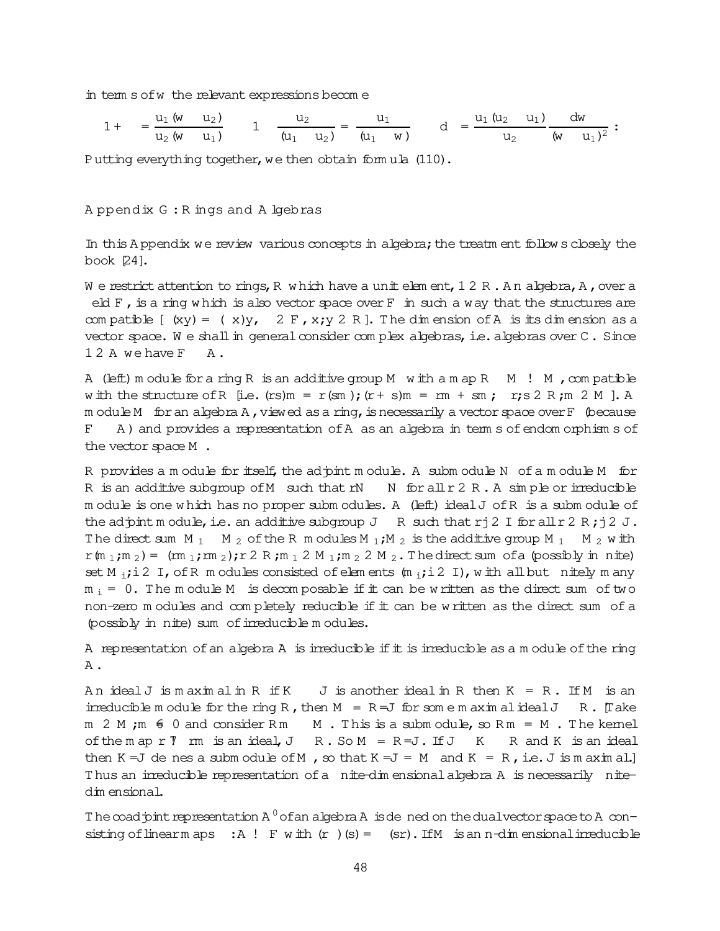in term s ofw the relevant expressions becom e

$$
1+\quad =\frac{u_1\ (w\quad u_2)}{u_2\ (w\quad u_1)}\qquad 1\quad \frac{u_2}{(u_1\quad u_2)}=\frac{u_1}{(u_1\quad w\,)}\qquad d\quad =\frac{u_1\ (u_2\quad u_1)}{u_2}\frac{dw}{(w\quad u_1)^2}:
$$

Putting everything together, we then obtain formula (110).

## A ppendix G :R ings and A lgebras

In this A ppendix we review various concepts in a ligebra; the treatm ent follow s closely the book [24].

W e restrict attention to rings, R w hich have a unit element,  $1 2 R$ . An algebra, A, over a eld F, is a ring which is also vector space over  $F$  in such a way that the structures are com patible  $[(xy) = (x)y, 2 F, x; y 2 R]$ . The dim ension of A is its dim ension as a vector space. We shall in general consider com plex algebras, i.e. algebras over C. Since 12 A we have F A.

A (left) m odule for a ring R is an additive group M with a m ap R  $M$  ! M , compatible w ith the structure of R [i.e. (rs)m =  $r$ (sm);(r + s)m = rm + sm; r;s 2 R;m 2 M ]. A m odule M for an algebra  $A$ , viewed as a ring, is necessarily a vector space over  $F$  (because F A ) and provides a representation of A as an algebra in term s of endom orphism s of the vector space M .

R provides a m odule for itself, the adjoint m odule. A subm odule N of a m odule M for R is an additive subgroup of M such that  $rN$  N for all  $r2R$ . A simple or irreducible m odule is one w hich has no proper subm odules. A (left) idealJ ofR is a subm odule of the adjoint m odule, i.e. an additive subgroup J R such that  $rj2 I$  for all  $r2 R$ ;  $j2 J$ . The direct sum  $M_1$   $M_2$  of the R m odules  $M_1$ ;  $M_2$  is the additive group  $M_1$   $M_2$  with  $r(m_1;m_2) = (m_1; m_2); r 2 R; m_1 2 M_1; m_2 2 M_2$ . The direct sum of a (possibly in nite) set M<sub>i</sub>; i 2 I, of R m odules consisted of elements  $(m_i; i 2 I)$ , with all but nitely m any  $m_i = 0$ . The module M is decomposable if it can be written as the direct sum of two non-zero m odules and com pletely reducible if it can be w ritten as the direct sum of a (possibly in nite) sum of irreducible m odules.

A representation of an algebra A is irreducible if  $\pm$  is irreducible as a module of the ring A .

An ideal J is m axim alin R if K  $J$  is another ideal in R then K = R. If M is an irreducible m odule for the ring R, then  $M = R = J$  for some m axim alideal J R. [Take  $m \nightharpoonup M$  ;  $m \nightharpoonup 0$  and consider R m M . This is a subm odule, so R m = M . The kernel of the m ap r  $\overline{Y}$  rm is an ideal,  $J$  R. So  $M = R = J$ . If  $J$  K R and K is an ideal then  $K = J$  de nes a subm odule of M, so that  $K = J = M$  and  $K = R$ , i.e. J is m axim al.] Thus an irreducible representation of a nite-dim ensional algebra A is necessarily nitedim ensional.

The coad  $\mathtt{joint}$  representation A  $^0$  of an algebra A  $\mathtt{ is}$  de ned on the dualvector space to A  $\mathtt{conn}$ sisting of linearm aps  $: A$  ! F w ith  $(r)(s) =$  (sr). If M is an n-dim ensional irreducible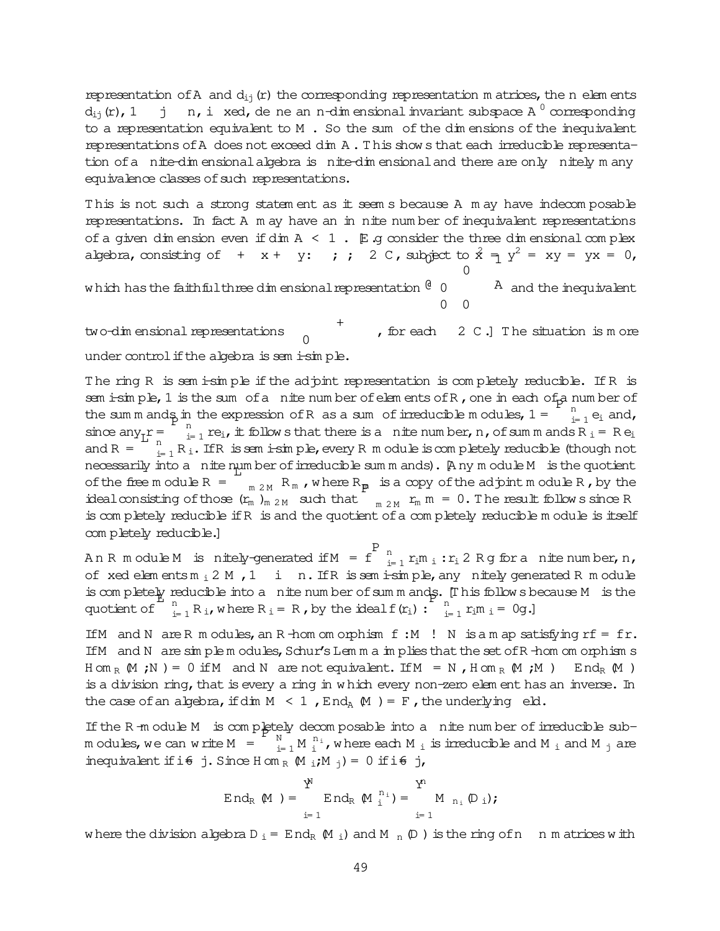representation of A and  $d_{ij}(r)$  the corresponding representation m atrices, the n elements  $d_{ij}(r)$ , 1 j n, i xed, de ne an n-dimensional invariant subspace A  $^0$  corresponding to a representation equivalent to  $M$ . So the sum of the dimensions of the inequivalent representations of A does not exceed dim A. This show s that each irreducible representation of a nite-dimensional algebra is nite-dimensional and there are only nitely many equivalence classes of such representations.

This is not such a strong statement as it seem s because A m ay have indecomposable representations. In fact A m ay have an in nite number of inequivalent representations of a given dimension even if dim  $A \leq 1$ . E g consider the three dimensional complex algebra, consisting of + x + y: ; ; 2 C, subject to  $\hat{x} = y^2 = xy = yx = 0$ , which has the faithful three dim ensional representation  $\frac{1}{2}$  0 <sup>A</sup> and the inequivalent

two-dimensional representations , for each 2 C.] The situation is more under control if the algebra is sem i-simple.

The ring R is sem i-simple if the adjoint representation is completely reducible. If R is sem is in ple, 1 is the sum of a nite number of elements of R, one in each of a number of the sum m ands in the expression of R as a sum of irreducible m odules,  $1 = \frac{1}{i} e_i$  and,  $\sum_{i=1}^{n}$  re<sub>i</sub>, it follows that there is a nite number, n, of sum m ands R<sub>i</sub> = Re<sub>i</sub> since  $\operatorname{any}_{\mathbf{L}} \mathbf{r} = \int_{\mathbf{i}=\mathbf{1}}^{\mathbf{n}} \mathbf{r} \mathbf{e}_{\mathbf{i}}$ , it follows that there is a nite number, n, of sum m ands  $R_{\mathbf{i}} = R \mathbf{e}_{\mathbf{i}}$  and  $R = \int_{\mathbf{i}=\mathbf{1}}^{\mathbf{n}} R_{\mathbf{i}}$ . If R is semi-simple, every R m odule i necessarily into a nite num ber of irreducible sum m ands). Any m odule M is the quotient  $\overline{C}_{m\ 2M}$  R<sub>m</sub>, where R<sub>pp</sub> is a copy of the adjoint module R, by the of the free module  $R =$ ideal consisting of those  $(r_m)_{m \ 2M}$  such that  $r_{m \ 2M}$   $r_m$   $m = 0$ . The result follows since R is completely reducible if R is and the quotient of a completely reducible module is itself completely reducible.]

An R m odule M is nitely-generated if  $M = f \bigg|_{i=1}^{p} r_i m_i : r_i 2 R g$  for a nite number, n, of xed elements  $m_i 2 M$ , 1 i n. If R is semi-simple, any nitely generated R module is completely reducible into a nite number of summands. [This follows because M is the quotient of  $\int_{i=1}^{n} R_{i}$ , where  $R_{i} = R$ , by the ideal f(r<sub>i</sub>):  $\int_{i=1}^{n} r_{i}m_{i} = 0$ g.

If M and N are R m odules, an R -hom om orphism  $f : M$  ! N is a m ap satisfying  $rf = fr$ . If M and N are simple modules, Schur's Lemma implies that the set of R -hom om orphisms H om R (M ; N ) = 0 if M and N are not equivalent. If M = N , H om R (M ; M ) End R (M ) is a division ring, that is every a ring in which every non-zero element has an inverse. In the case of an algebra, if dim  $M < 1$ ,  $End_A(M) = F$ , the underlying eld.

If the R-m odule M is completely decomposable into a nite number of irreducible sub-<br>module we can write M =  $\frac{N}{M}$  M is valued and M is irreducible and M and M and M m odules, we can write  $M = \int_{i=1}^{N} M_i^{n_i}$ , where each  $M_i$  is irreducible and  $M_i$  and  $M_j$  are inequivalent if  $i \in j$ . Since  $Hom_R M_i; M_j = 0$  if  $i \in j$ ,

$$
\text{End}_{R} \text{ (M)} = \sum_{i=1}^{N} \text{End}_{R} \text{ (M)}_{i}^{n_{i}} = \sum_{i=1}^{N} \text{ M}_{n_{i}} \text{ (D)}_{i};
$$

where the division algebra  $D_i = End_R (M_i)$  and  $M_n (D)$  is the ring of n n m atrices with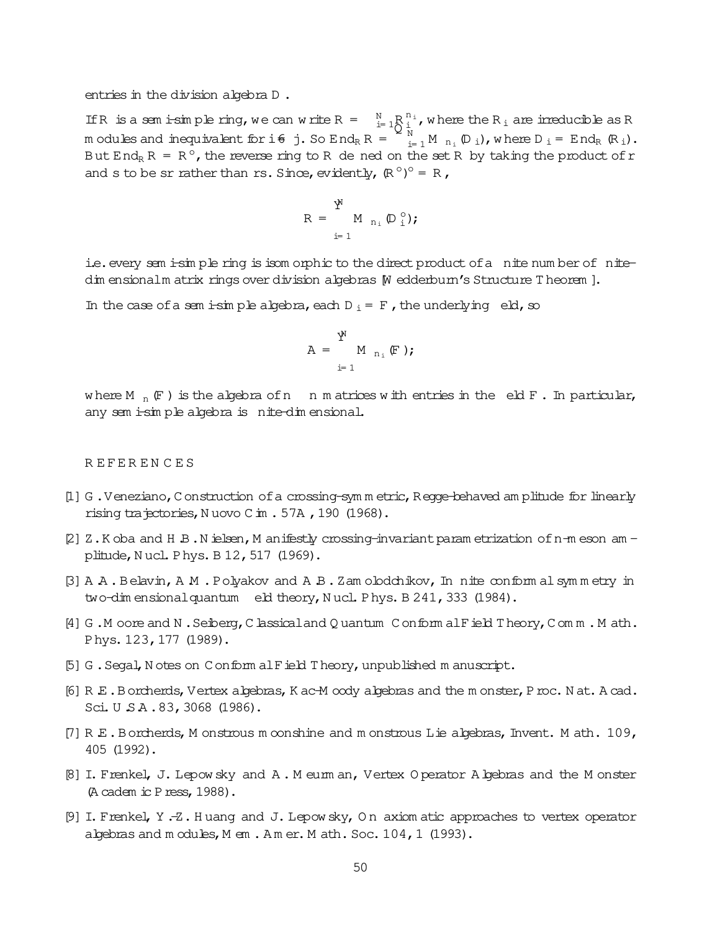entries in the division algebra D .

If R is a sem i-simple ring, we can write  $R = \frac{N}{i} \sum_{i=1}^{n} \int_{0}^{n_i}$ , where the R<sub>i</sub> are irreducible as R  $m$  as a semi-simple image, we can write  $N = \begin{bmatrix} 1 & 1 & 1 \ 1 & 1 & 1 \ 1 & 1 & 1 \end{bmatrix}$ <br>modules and inequivalent for  $i \in J$ . So End<sub>R</sub> R =  $\sum_{i=1}^{N} M_{n_i}(\text{D}_i)$ , where  $D_i = End_R(\text{R}_i)$ . But End<sub>R</sub> R = R<sup>o</sup>, the reverse ring to R de ned on the set R by taking the product of r and s to be sr rather than rs. Since, evidently,  $(\mathbb{R}^{\circ})^{\circ} = \mathbb{R}$ ,

$$
R = \begin{array}{c} \n\stackrel{\circ}{\mathbf{M}} & \mathbf{M} \ \mathbf{M} & \mathbf{M} \end{array}
$$

i.e. every sem i-sim ple ring is isom orphic to the direct product of a nite number of nitedim ensionalm atrix rings over division algebras [W edderburn's Structure T heorem ].

In the case of a sem i-simple algebra, each  $D_i = F$ , the underlying eld, so

$$
A = \begin{array}{c} Y^{N} \\ M_{n_{1}}(F); \end{array}
$$

where M  $_{n}$  (F) is the algebra of n n m atrices with entries in the eld F. In particular, any sem i-sim ple algebra is nite-dim ensional.

R E F E R E N C E S

- [1] G .Veneziano,Construction ofa crossing-sym m etric,Regge-behaved am plitude for linearly rising trajectories, N uovo C im . 57A , 190 (1968).
- $[2]$  Z.K oba and H  $\,$ B.N ielsen, M anifestly crossing-invariant param etrization of n-m eson am plitude, N ucl. Phys. B 12, 517 (1969).
- $[3]$  A  $A$  . Belavin, A  $M$  . Polyakov and A  $B$  . Zam olodchikov, In nite conform al symmetry in two-dim ensional quantum eld theory, Nucl. Phys. B 241, 333 (1984).
- [4] G .M oore and N .Seiberg,Classicaland Q uantum Conform alField Theory,C om m .M ath. Phys.123,177 (1989).
- [5] G .Segal,N otes on Conform alField Theory,unpublished m anuscript.
- [6] R E.Borcherds, Vertex algebras, K ac-M oody algebras and the m onster, P roc. N at. A cad. Sci. U SA.83,3068 (1986).
- [7] R E . Borcherds, M onstrous m conshine and m onstrous Lie algebras, Invent. M ath.  $109$ , 405 (1992).
- [8] I. Frenkel, J. Lepow sky and A . M eurm an, Vertex O perator Algebras and the M onster  $(A \text{ cadem} \text{ic P} \text{ress}, 1988)$ .
- [9] I. Frenkel, Y.-Z. Huang and J. Lepow sky, On axiom atic approaches to vertex operator abebras and m odules, M em . A m er. M ath. Soc. 104, 1 (1993).